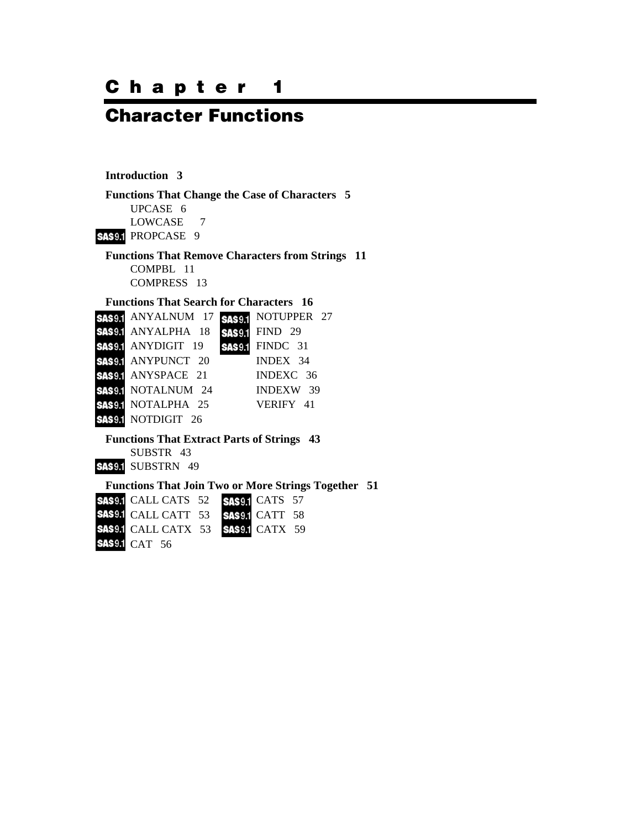# **Chapter 1**

# **Character Functions**

#### **Introduction 3**

**Functions That Change the Case of Characters 5**  UPCASE 6 LOWCASE 7 SAS9.1 PROPCASE 9 **Functions That Remove Characters from Strings 11**  COMPBL 11

COMPRESS 13

#### **Functions That Search for Characters 16**

| SAS9.1 ANYALNUM 17        | SAS9.1 NOTUPPER 27     |
|---------------------------|------------------------|
| <b>SAS9.1 ANYALPHA 18</b> | <b>SAS9.1 FIND 29</b>  |
| <b>SAS9.1 ANYDIGIT 19</b> | <b>SAS9.1 FINDC 31</b> |
| <b>SAS9.1 ANYPUNCT 20</b> | INDEX 34               |
| <b>SAS9.1 ANYSPACE 21</b> | INDEXC 36              |
| <b>SAS91 NOTALNUM 24</b>  | INDEXW 39              |
| <b>SAS9.1 NOTALPHA 25</b> | VERIFY 41              |
| <b>SAS9.1 NOTDIGIT 26</b> |                        |

## **Functions That Extract Parts of Strings 43**

SUBSTR 43 **SAS9.1 SUBSTRN 49** 

#### **Functions That Join Two or More Strings Together 51**

| <b>SAS9.1</b> CALL CATS 52 <b>SAS9.1</b> CATS 57 |  |  |
|--------------------------------------------------|--|--|
| <b>SAS9.1</b> CALL CATT 53 <b>SAS9.1</b> CATT 58 |  |  |
| <b>SAS9.1</b> CALL CATX 53 <b>SAS9.1</b> CATX 59 |  |  |
| <b>SAS9.1 CAT 56</b>                             |  |  |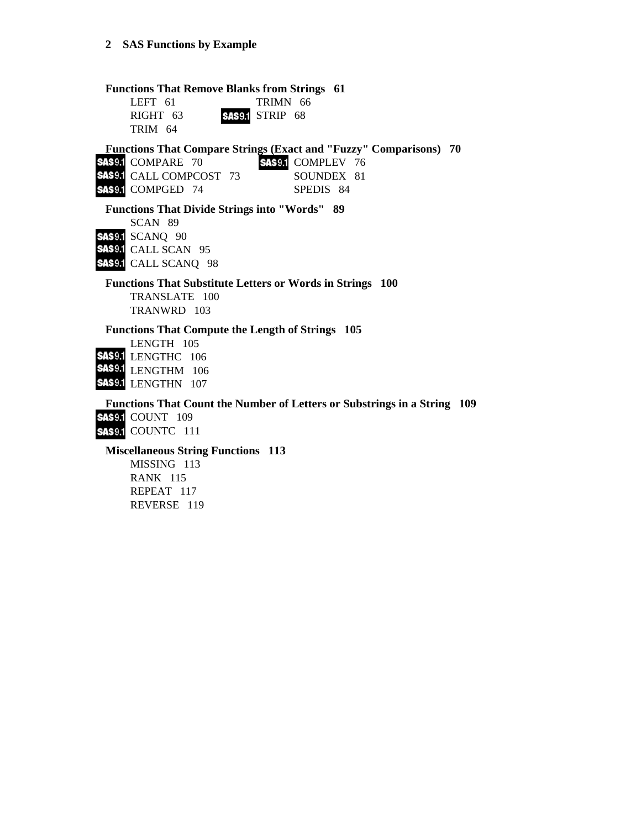**Functions That Remove Blanks from Strings 61**  LEFT 61 TRIMN 66 RIGHT 63 SAS9.1 STRIP 68 TRIM 64 **Functions That Compare Strings (Exact and "Fuzzy" Comparisons) 70**  SAS9.1 COMPARE 70 SAS9.1 COMPLEV 76 SAS9.1 CALL COMPCOST 73 SOUNDEX 81 SAS9.1 COMPGED 74 SPEDIS 84 **Functions That Divide Strings into "Words" 89**  SCAN 89 **SAS9.1 SCANQ 90** SAS9.1 CALL SCAN 95 SAS9.1 CALL SCANQ 98 **Functions That Substitute Letters or Words in Strings 100**  TRANSLATE 100 TRANWRD 103 **Functions That Compute the Length of Strings 105**  LENGTH 105 SAS9.1 LENGTHC 106 SAS9.1 LENGTHM 106 SAS9.1 LENGTHN 107 **Functions That Count the Number of Letters or Substrings in a String 109 SAS9.1 COUNT 109 SAS9.1 COUNTC 111 Miscellaneous String Functions 113** 

MISSING 113 RANK 115 REPEAT 117 REVERSE 119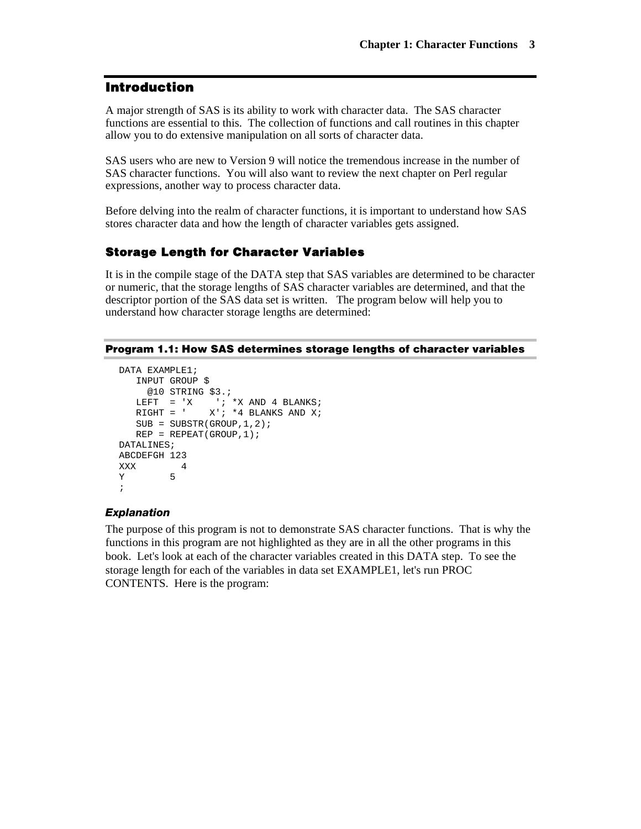## **Introduction**

A major strength of SAS is its ability to work with character data. The SAS character functions are essential to this. The collection of functions and call routines in this chapter allow you to do extensive manipulation on all sorts of character data.

SAS users who are new to Version 9 will notice the tremendous increase in the number of SAS character functions. You will also want to review the next chapter on Perl regular expressions, another way to process character data.

Before delving into the realm of character functions, it is important to understand how SAS stores character data and how the length of character variables gets assigned.

## **Storage Length for Character Variables**

It is in the compile stage of the DATA step that SAS variables are determined to be character or numeric, that the storage lengths of SAS character variables are determined, and that the descriptor portion of the SAS data set is written. The program below will help you to understand how character storage lengths are determined:

#### **Program 1.1: How SAS determines storage lengths of character variables**

```
DATA EXAMPLE1; 
       INPUT GROUP $ 
           @10 STRING $3.; 
      \begin{tabular}{lllllllllll} \texttt{LEFT} & = & 'X & ' & ' *X & \texttt{AND} & 4 & \texttt{BLANKS}\, \texttt{RIGHT} & = & ' & X'\, \texttt{;} & *4 & \texttt{BLANKS} & \texttt{AND} & X\, \texttt{;} \end{tabular}X'; *4 BLANKS AND X;
      SUB = SUBSTR(GROUP, 1, 2);REP = REPEAT(GROUP, 1);DATALINES; 
ABCDEFGH 123 
\begin{array}{ccc}\nXXX & & 4 \\
Y & & 5\n\end{array}\rm Y;
```
#### *Explanation*

The purpose of this program is not to demonstrate SAS character functions. That is why the functions in this program are not highlighted as they are in all the other programs in this book. Let's look at each of the character variables created in this DATA step. To see the storage length for each of the variables in data set EXAMPLE1, let's run PROC CONTENTS. Here is the program: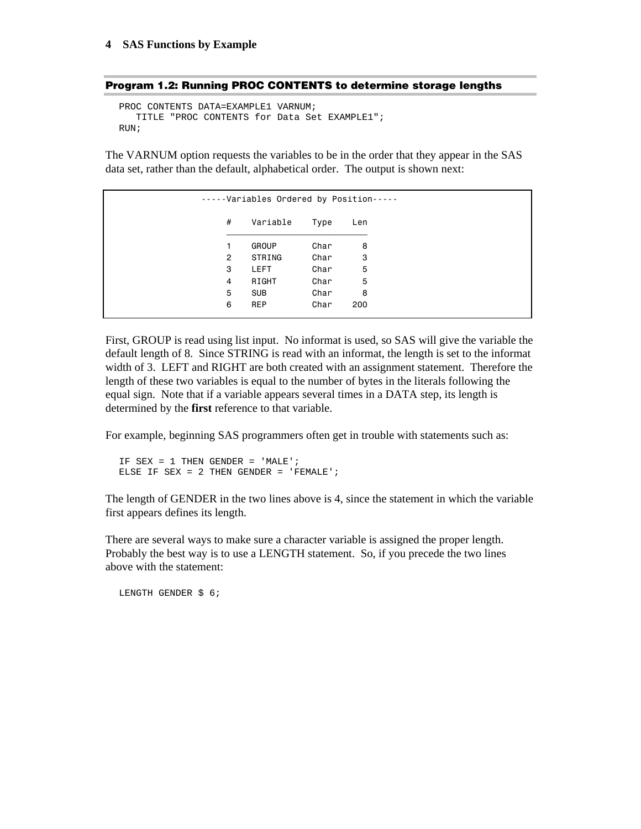|  |  |  |  |  | Program 1.2: Running PROC CONTENTS to determine storage lengths |  |  |  |  |
|--|--|--|--|--|-----------------------------------------------------------------|--|--|--|--|
|--|--|--|--|--|-----------------------------------------------------------------|--|--|--|--|

PROC CONTENTS DATA=EXAMPLE1 VARNUM; TITLE "PROC CONTENTS for Data Set EXAMPLE1"; RIIN;

The VARNUM option requests the variables to be in the order that they appear in the SAS data set, rather than the default, alphabetical order. The output is shown next:

|                | -----Variables Ordered by Position----- |      |     |
|----------------|-----------------------------------------|------|-----|
| #              | Variable                                | Type | Len |
| 1.             | <b>GROUP</b>                            | Char | 8   |
| $\overline{2}$ | STRING                                  | Char | 3   |
| 3              | <b>LEFT</b>                             | Char | 5   |
| 4              | RIGHT                                   | Char | 5   |
| 5              | <b>SUB</b>                              | Char | 8   |
| 6              | <b>REP</b>                              | Char | 200 |

First, GROUP is read using list input. No informat is used, so SAS will give the variable the default length of 8. Since STRING is read with an informat, the length is set to the informat width of 3. LEFT and RIGHT are both created with an assignment statement. Therefore the length of these two variables is equal to the number of bytes in the literals following the equal sign. Note that if a variable appears several times in a DATA step, its length is determined by the **first** reference to that variable.

For example, beginning SAS programmers often get in trouble with statements such as:

```
IF SEX = 1 THEN GENDER = 'MALE'; 
ELSE IF SEX = 2 THEN GENDER = 'FEMALE';
```
The length of GENDER in the two lines above is 4, since the statement in which the variable first appears defines its length.

There are several ways to make sure a character variable is assigned the proper length. Probably the best way is to use a LENGTH statement. So, if you precede the two lines above with the statement:

LENGTH GENDER \$ 6;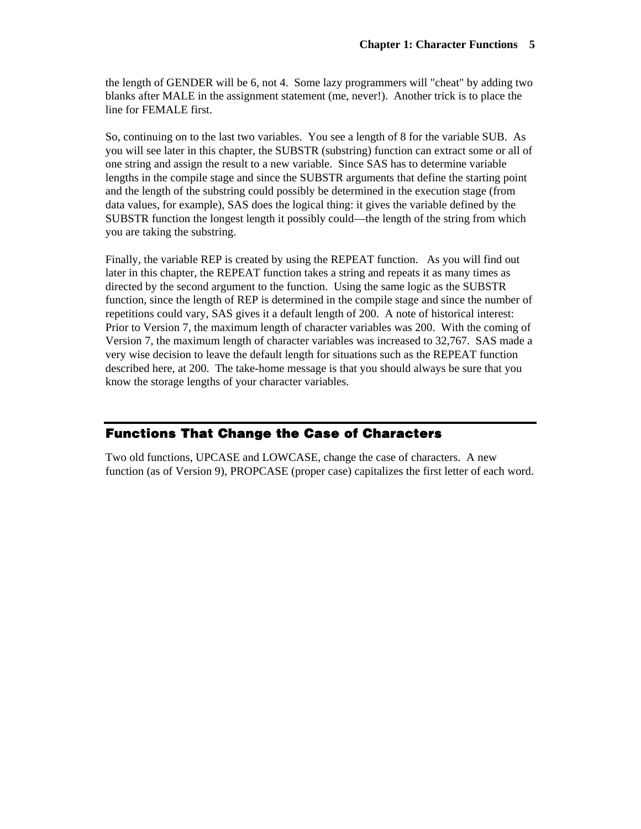the length of GENDER will be 6, not 4. Some lazy programmers will "cheat" by adding two blanks after MALE in the assignment statement (me, never!). Another trick is to place the line for FEMALE first.

So, continuing on to the last two variables. You see a length of 8 for the variable SUB. As you will see later in this chapter, the SUBSTR (substring) function can extract some or all of one string and assign the result to a new variable. Since SAS has to determine variable lengths in the compile stage and since the SUBSTR arguments that define the starting point and the length of the substring could possibly be determined in the execution stage (from data values, for example), SAS does the logical thing: it gives the variable defined by the SUBSTR function the longest length it possibly could—the length of the string from which you are taking the substring.

Finally, the variable REP is created by using the REPEAT function. As you will find out later in this chapter, the REPEAT function takes a string and repeats it as many times as directed by the second argument to the function. Using the same logic as the SUBSTR function, since the length of REP is determined in the compile stage and since the number of repetitions could vary, SAS gives it a default length of 200. A note of historical interest: Prior to Version 7, the maximum length of character variables was 200. With the coming of Version 7, the maximum length of character variables was increased to 32,767. SAS made a very wise decision to leave the default length for situations such as the REPEAT function described here, at 200. The take-home message is that you should always be sure that you know the storage lengths of your character variables.

## **Functions That Change the Case of Characters**

Two old functions, UPCASE and LOWCASE, change the case of characters. A new function (as of Version 9), PROPCASE (proper case) capitalizes the first letter of each word.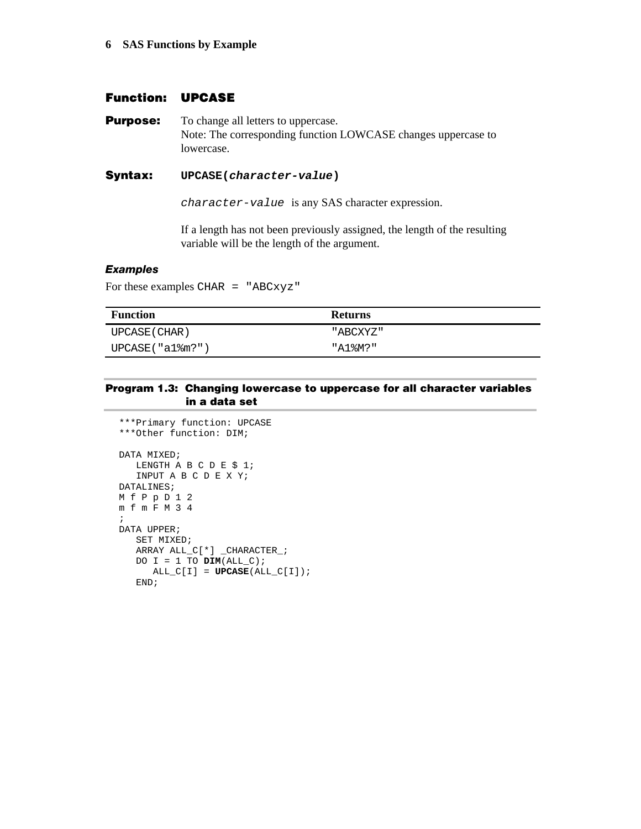## **Function: UPCASE**

**Purpose:** To change all letters to uppercase. Note: The corresponding function LOWCASE changes uppercase to lowercase.

#### **Syntax: UPCASE(***character-value***)**

*character-value* is any SAS character expression.

If a length has not been previously assigned, the length of the resulting variable will be the length of the argument.

#### *Examples*

For these examples CHAR = "ABCxyz"

| <b>Function</b> | <b>Returns</b> |
|-----------------|----------------|
| UPCASE ( CHAR ) | "ABCXYZ"       |
| UPCASE("a1%m?") | "A1%M?"        |

#### **Program 1.3: Changing lowercase to uppercase for all character variables in a data set**

```
***Primary function: UPCASE 
***Other function: DIM; 
DATA MIXED; 
  LENGTH A B C D E $ 1;
    INPUT A B C D E X Y; 
DATALINES; 
M f P p D 1 2 
m f m F M 3 4 
; 
DATA UPPER; 
   SET MIXED; 
    ARRAY ALL_C[*] _CHARACTER_; 
   DO I = 1 TO Dim(ALL_C);
     ALL C[I] = UPCASE(ALL C[I]);
    END;
```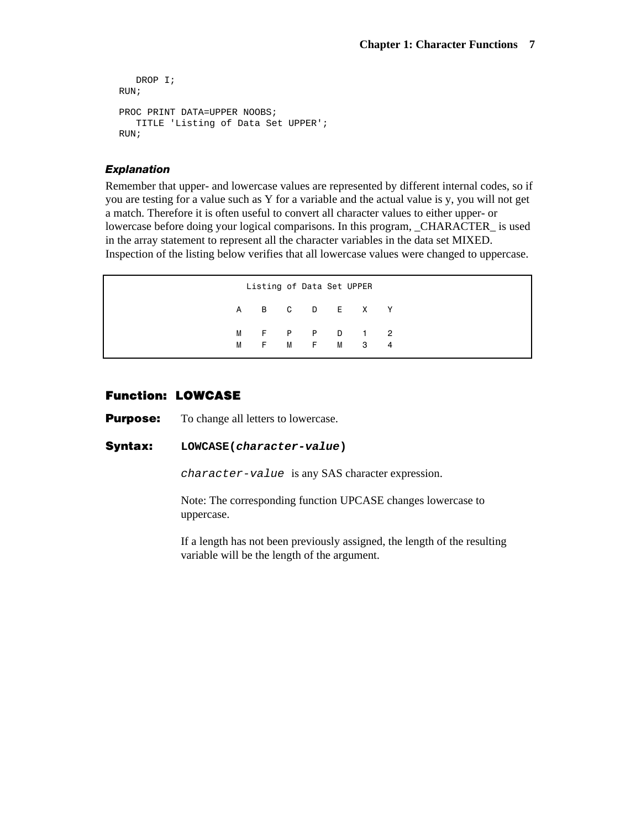```
 DROP I; 
RUN; 
PROC PRINT DATA=UPPER NOOBS;
   TITLE 'Listing of Data Set UPPER'; 
RUN;
```
#### *Explanation*

Remember that upper- and lowercase values are represented by different internal codes, so if you are testing for a value such as Y for a variable and the actual value is y, you will not get a match. Therefore it is often useful to convert all character values to either upper- or lowercase before doing your logical comparisons. In this program, \_CHARACTER\_ is used in the array statement to represent all the character variables in the data set MIXED. Inspection of the listing below verifies that all lowercase values were changed to uppercase.

```
 Listing of Data Set UPPER 
 A B C D E X Y 
M F P P D 1 2
 M F M F M 3 4
```
## **Function: LOWCASE**

**Purpose:** To change all letters to lowercase.

#### **Syntax: LOWCASE(***character-value***)**

*character-value* is any SAS character expression.

 Note: The corresponding function UPCASE changes lowercase to uppercase.

If a length has not been previously assigned, the length of the resulting variable will be the length of the argument.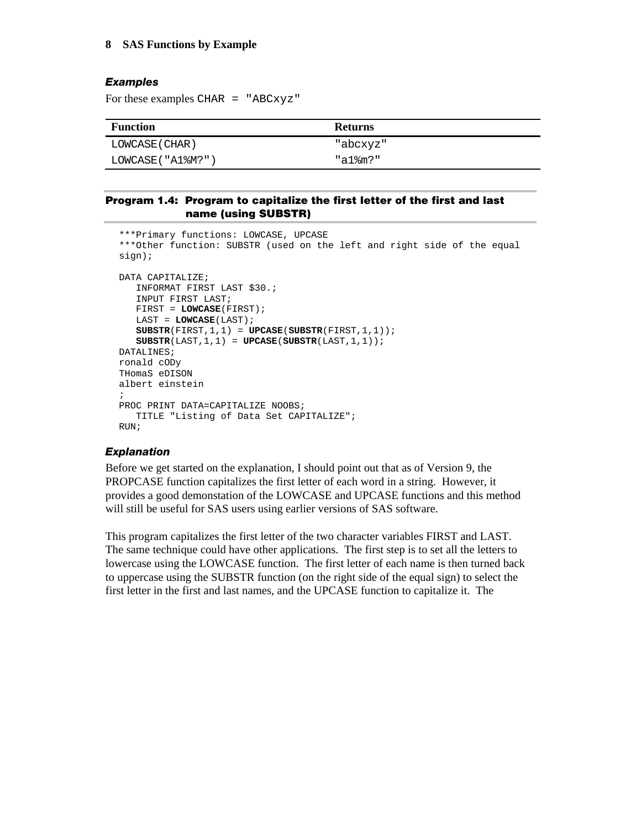### *Examples*

For these examples CHAR = "ABCxyz"

| <b>Function</b>  | <b>Returns</b> |
|------------------|----------------|
| LOWCASE ( CHAR ) | "abcxyz"       |
| LOWCASE("A1%M?"  | "a1%m?"        |

#### **Program 1.4: Program to capitalize the first letter of the first and last name (using SUBSTR)**

```
***Primary functions: LOWCASE, UPCASE 
***Other function: SUBSTR (used on the left and right side of the equal 
sign); 
DATA CAPITALIZE; 
    INFORMAT FIRST LAST $30.; 
    INPUT FIRST LAST; 
    FIRST = LOWCASE(FIRST); 
    LAST = LOWCASE(LAST); 
    SUBSTR(FIRST,1,1) = UPCASE(SUBSTR(FIRST,1,1)); 
    SUBSTR(LAST,1,1) = UPCASE(SUBSTR(LAST,1,1)); 
DATALINES; 
ronald cODy 
THomaS eDISON 
albert einstein 
; 
PROC PRINT DATA=CAPITALIZE NOOBS;
   TITLE "Listing of Data Set CAPITALIZE"; 
RUN;
```
#### *Explanation*

Before we get started on the explanation, I should point out that as of Version 9, the PROPCASE function capitalizes the first letter of each word in a string. However, it provides a good demonstation of the LOWCASE and UPCASE functions and this method will still be useful for SAS users using earlier versions of SAS software.

This program capitalizes the first letter of the two character variables FIRST and LAST. The same technique could have other applications. The first step is to set all the letters to lowercase using the LOWCASE function. The first letter of each name is then turned back to uppercase using the SUBSTR function (on the right side of the equal sign) to select the first letter in the first and last names, and the UPCASE function to capitalize it. The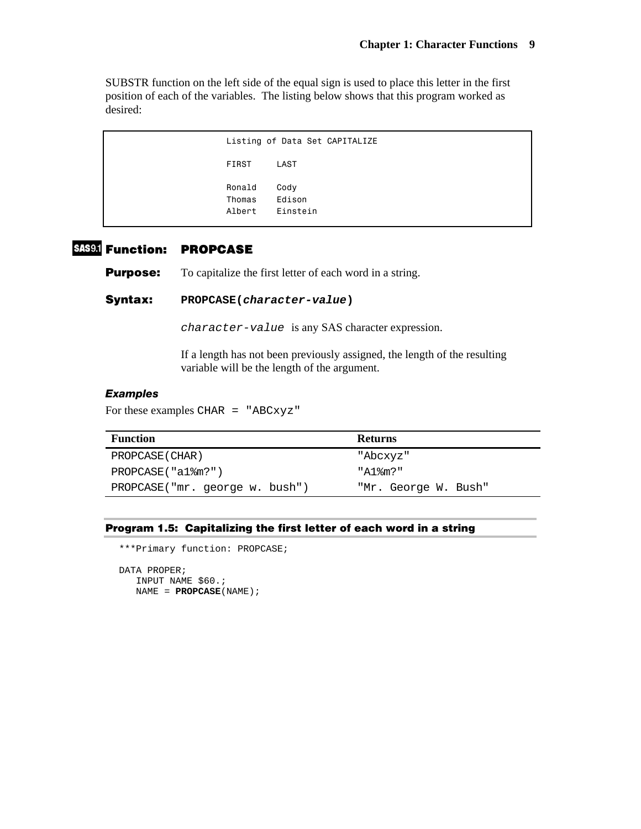SUBSTR function on the left side of the equal sign is used to place this letter in the first position of each of the variables. The listing below shows that this program worked as desired:

```
 Listing of Data Set CAPITALIZE 
 FIRST LAST 
 Ronald Cody 
 Thomas Edison 
 Albert Einstein
```
## **Function: PROPCASE**

**Purpose:** To capitalize the first letter of each word in a string.

**Syntax: PROPCASE(***character-value***)** 

*character-value* is any SAS character expression.

If a length has not been previously assigned, the length of the resulting variable will be the length of the argument.

#### *Examples*

For these examples CHAR = "ABCxyz"

| <b>Function</b>                | <b>Returns</b>       |
|--------------------------------|----------------------|
| PROPCASE (CHAR)                | "Abcxyz"             |
| $PROPCASE('al\$ fm?")          | "A1%m?"              |
| PROPCASE("mr. george w. bush") | "Mr. George W. Bush" |

#### **Program 1.5: Capitalizing the first letter of each word in a string**

\*\*\*Primary function: PROPCASE;

```
DATA PROPER; 
    INPUT NAME $60.; 
    NAME = PROPCASE(NAME);
```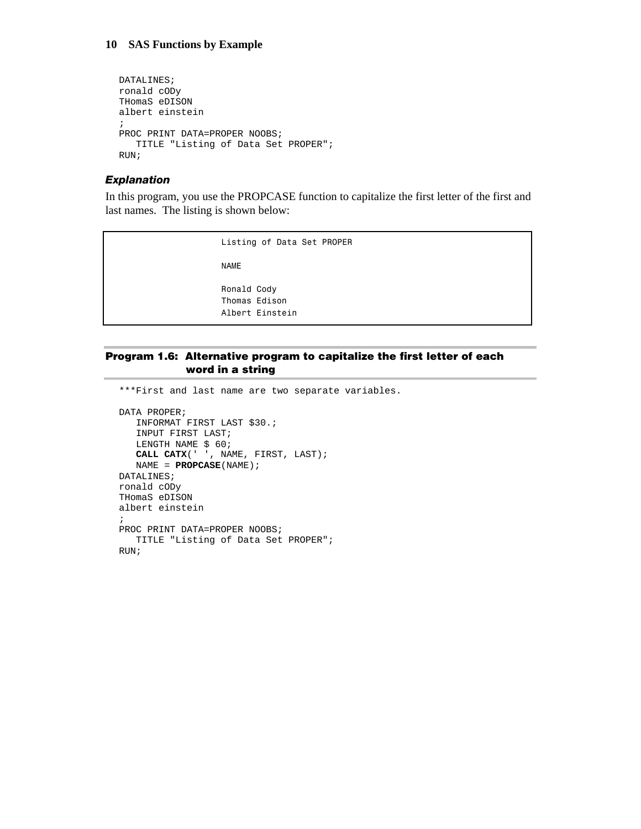```
DATALINES; 
ronald cODy 
THomaS eDISON 
albert einstein 
; 
PROC PRINT DATA=PROPER NOOBS;
   TITLE "Listing of Data Set PROPER"; 
RUN;
```
#### *Explanation*

In this program, you use the PROPCASE function to capitalize the first letter of the first and last names. The listing is shown below:

> Listing of Data Set PROPER NAME

 Ronald Cody Thomas Edison Albert Einstein

#### **Program 1.6: Alternative program to capitalize the first letter of each word in a string**

\*\*\*First and last name are two separate variables. DATA PROPER; INFORMAT FIRST LAST \$30.; INPUT FIRST LAST; LENGTH NAME \$ 60; **CALL CATX**(' ', NAME, FIRST, LAST); NAME = **PROPCASE**(NAME); DATALINES; ronald cODy THomaS eDISON albert einstein ; PROC PRINT DATA=PROPER NOOBS; TITLE "Listing of Data Set PROPER"; RUN;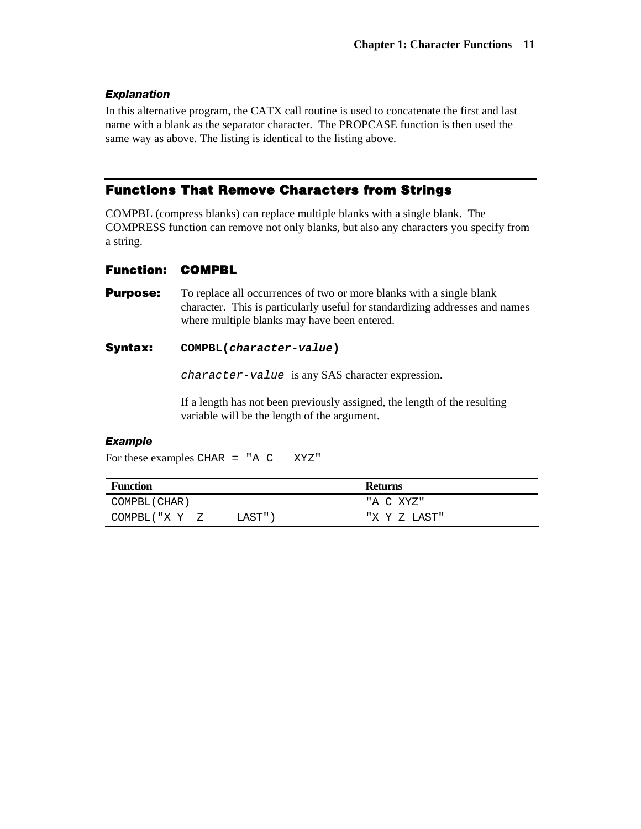#### *Explanation*

In this alternative program, the CATX call routine is used to concatenate the first and last name with a blank as the separator character. The PROPCASE function is then used the same way as above. The listing is identical to the listing above.

## **Functions That Remove Characters from Strings**

COMPBL (compress blanks) can replace multiple blanks with a single blank. The COMPRESS function can remove not only blanks, but also any characters you specify from a string.

#### **Function: COMPBL**

**Purpose:** To replace all occurrences of two or more blanks with a single blank character. This is particularly useful for standardizing addresses and names where multiple blanks may have been entered.

#### **Syntax: COMPBL(***character-value***)**

*character-value* is any SAS character expression.

If a length has not been previously assigned, the length of the resulting variable will be the length of the argument.

#### *Example*

For these examples CHAR = "A C XYZ"

| <b>Function</b> |        | <b>Returns</b> |
|-----------------|--------|----------------|
| COMPBL (CHAR)   |        | "A C XYZ"      |
| COMPBL("X Y Z   | LAST") | "X Y Z LAST"   |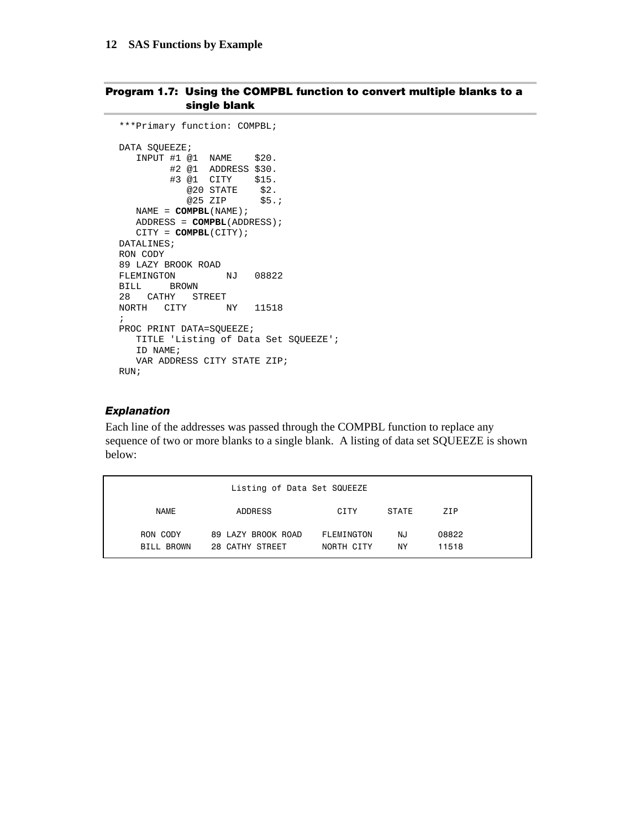#### **Program 1.7: Using the COMPBL function to convert multiple blanks to a single blank**

```
***Primary function: COMPBL; 
DATA SQUEEZE; 
   INPUT #1 @1 NAME $20. 
        #2 @1 ADDRESS $30. 
 #3 @1 CITY $15. 
@20 STATE $2. @25 ZIP $5.; 
  NAME = COMPBL(NAME); 
   ADDRESS = COMPBL(ADDRESS); 
   CITY = COMPBL(CITY); 
DATALINES; 
RON CODY 
89 LAZY BROOK ROAD 
FLEMINGTON NJ 08822 
BILL BROWN 
28 CATHY STREET 
NORTH CITY NY 11518 
; 
PROC PRINT DATA=SQUEEZE; 
  TITLE 'Listing of Data Set SQUEEZE'; 
   ID NAME; 
   VAR ADDRESS CITY STATE ZIP; 
RUN;
```
#### *Explanation*

Each line of the addresses was passed through the COMPBL function to replace any sequence of two or more blanks to a single blank. A listing of data set SQUEEZE is shown below:

|                        | Listing of Data Set SQUEEZE           |                          |          |                |
|------------------------|---------------------------------------|--------------------------|----------|----------------|
| <b>NAME</b>            | ADDRESS                               | CITY                     | STATE    | 7 T P          |
| RON CODY<br>BILL BROWN | 89 LAZY BROOK ROAD<br>28 CATHY STREET | FLEMINGTON<br>NORTH CITY | NJ<br>ΝY | 08822<br>11518 |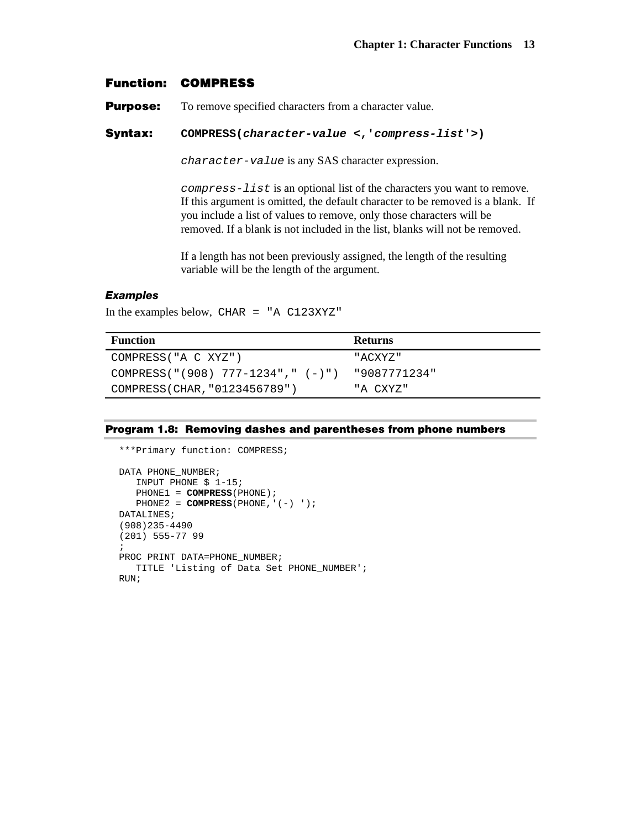## **Function: COMPRESS**

**Purpose:** To remove specified characters from a character value.

#### **Syntax: COMPRESS(***character-value* **<,'***compress-list***'>)**

*character-value* is any SAS character expression.

*compress-list* is an optional list of the characters you want to remove. If this argument is omitted, the default character to be removed is a blank. If you include a list of values to remove, only those characters will be removed. If a blank is not included in the list, blanks will not be removed.

If a length has not been previously assigned, the length of the resulting variable will be the length of the argument.

#### *Examples*

In the examples below, CHAR = "A  $C123XYZ$ "

| <b>Function</b>                      | <b>Returns</b> |
|--------------------------------------|----------------|
| COMPRESS("A C XYZ")                  | "ACXYZ"        |
| COMPRESS("(908) 777-1234"," $(-)$ ") | "9087771234"   |
| COMPRESS(CHAR, "0123456789")         | "A CXYZ"       |

#### **Program 1.8: Removing dashes and parentheses from phone numbers**

```
***Primary function: COMPRESS; 
DATA PHONE_NUMBER; 
    INPUT PHONE $ 1-15; 
    PHONE1 = COMPRESS(PHONE); 
   PHONE2 = COMPRESS(PHONE, '(-) ');
DATALINES; 
(908)235-4490 
(201) 555-77 99 
; 
PROC PRINT DATA=PHONE_NUMBER; 
    TITLE 'Listing of Data Set PHONE_NUMBER'; 
RIIN;
```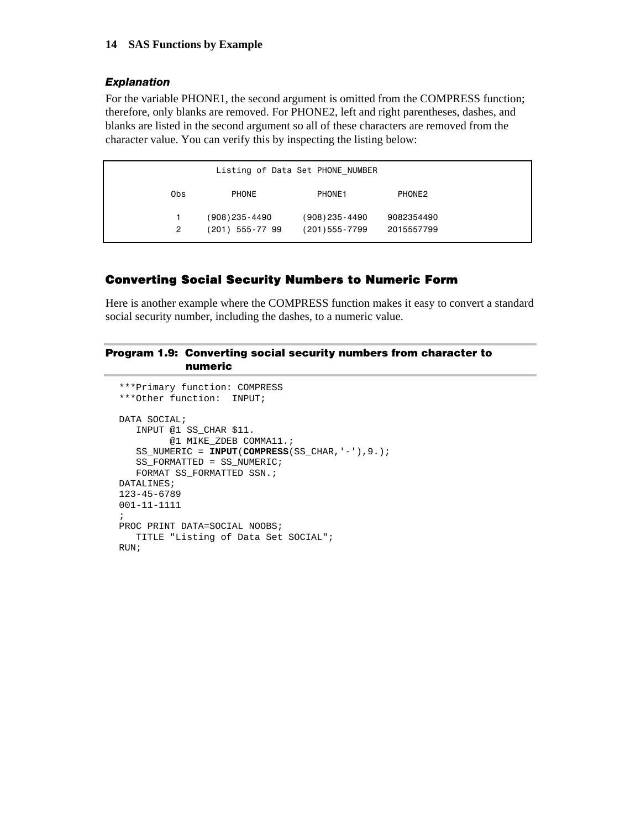#### *Explanation*

For the variable PHONE1, the second argument is omitted from the COMPRESS function; therefore, only blanks are removed. For PHONE2, left and right parentheses, dashes, and blanks are listed in the second argument so all of these characters are removed from the character value. You can verify this by inspecting the listing below:

| Listing of Data Set PHONE NUMBER |                    |                    |            |  |  |  |  |  |
|----------------------------------|--------------------|--------------------|------------|--|--|--|--|--|
| 0bs                              | PHONE              | PHONE1             | PHONE2     |  |  |  |  |  |
|                                  | $(908)$ 235 - 4490 | $(908)$ 235 - 4490 | 9082354490 |  |  |  |  |  |
| 2                                | $(201)$ 555-77 99  | $(201)$ 555 - 7799 | 2015557799 |  |  |  |  |  |

## **Converting Social Security Numbers to Numeric Form**

Here is another example where the COMPRESS function makes it easy to convert a standard social security number, including the dashes, to a numeric value.

#### **Program 1.9: Converting social security numbers from character to numeric**

```
***Primary function: COMPRESS 
***Other function: INPUT; 
DATA SOCIAL; 
    INPUT @1 SS_CHAR $11. 
         @1 MIKE_ZDEB COMMA11.; 
   SS_NUMERIC = INPUT(COMPRESS(SS_CHAR,'-'),9.); 
   SS_FORMATTED = SS_NUMERIC; 
  FORMAT SS_FORMATTED SSN.;
DATALINES; 
123-45-6789 
001-11-1111 
; 
PROC PRINT DATA=SOCIAL NOOBS; 
    TITLE "Listing of Data Set SOCIAL"; 
RUN;
```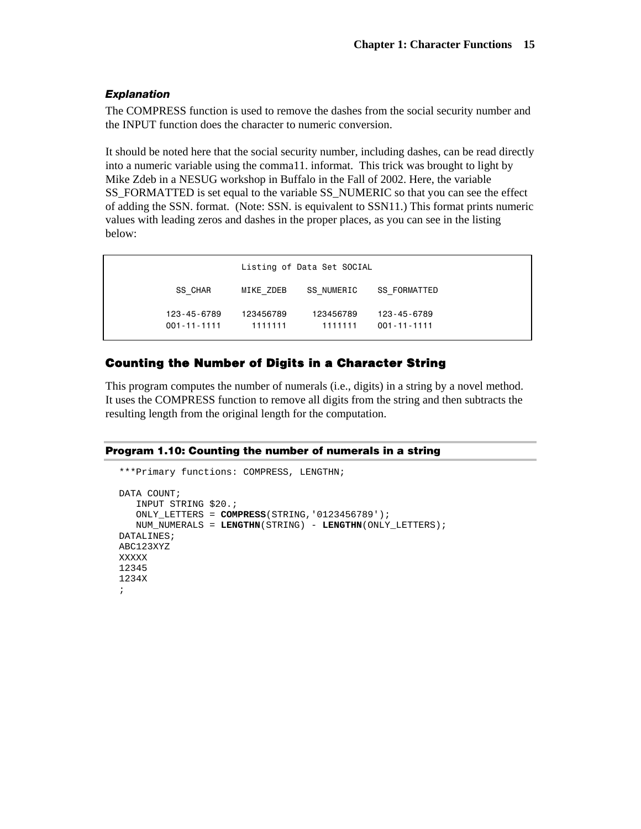#### *Explanation*

The COMPRESS function is used to remove the dashes from the social security number and the INPUT function does the character to numeric conversion.

It should be noted here that the social security number, including dashes, can be read directly into a numeric variable using the comma11. informat. This trick was brought to light by Mike Zdeb in a NESUG workshop in Buffalo in the Fall of 2002. Here, the variable SS\_FORMATTED is set equal to the variable SS\_NUMERIC so that you can see the effect of adding the SSN. format. (Note: SSN. is equivalent to SSN11.) This format prints numeric values with leading zeros and dashes in the proper places, as you can see in the listing below:

|                                  | Listing of Data Set SOCIAL |                      |                                  |  |  |  |  |
|----------------------------------|----------------------------|----------------------|----------------------------------|--|--|--|--|
| SS CHAR                          | MIKE ZDEB                  | SS NUMERIC           | SS FORMATTED                     |  |  |  |  |
| 123-45-6789<br>$001 - 11 - 1111$ | 123456789<br>1111111       | 123456789<br>1111111 | 123-45-6789<br>$001 - 11 - 1111$ |  |  |  |  |

## **Counting the Number of Digits in a Character String**

This program computes the number of numerals (i.e., digits) in a string by a novel method. It uses the COMPRESS function to remove all digits from the string and then subtracts the resulting length from the original length for the computation.

#### **Program 1.10: Counting the number of numerals in a string**

```
***Primary functions: COMPRESS, LENGTHN; 
DATA COUNT;
    INPUT STRING $20.; 
    ONLY_LETTERS = COMPRESS(STRING,'0123456789'); 
    NUM_NUMERALS = LENGTHN(STRING) - LENGTHN(ONLY_LETTERS); 
DATALINES; 
ABC123XYZ 
XXXXX 
12345 
1234X 
;
```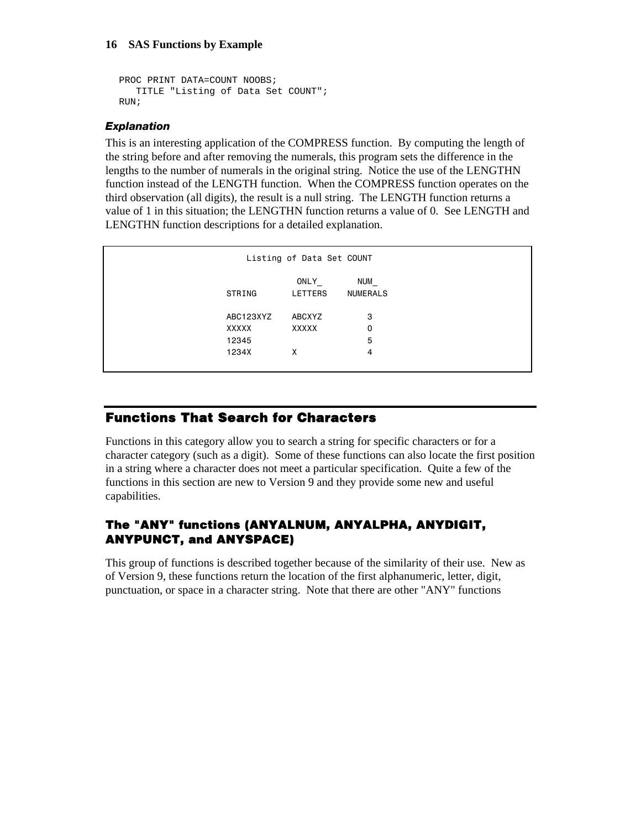```
PROC PRINT DATA=COUNT NOOBS; 
    TITLE "Listing of Data Set COUNT"; 
RIM;
```
## *Explanation*

This is an interesting application of the COMPRESS function. By computing the length of the string before and after removing the numerals, this program sets the difference in the lengths to the number of numerals in the original string. Notice the use of the LENGTHN function instead of the LENGTH function. When the COMPRESS function operates on the third observation (all digits), the result is a null string. The LENGTH function returns a value of 1 in this situation; the LENGTHN function returns a value of 0. See LENGTH and LENGTHN function descriptions for a detailed explanation.

|           | Listing of Data Set COUNT |                        |  |  |
|-----------|---------------------------|------------------------|--|--|
| STRING    | ONLY<br><b>LETTERS</b>    | NUM<br><b>NUMERALS</b> |  |  |
| ABC123XYZ | ABCXYZ                    | 3                      |  |  |
| XXXXX     | XXXXX                     | 0                      |  |  |
| 12345     |                           | 5                      |  |  |
| 1234X     | x                         | 4                      |  |  |
|           |                           |                        |  |  |

## **Functions That Search for Characters**

Functions in this category allow you to search a string for specific characters or for a character category (such as a digit). Some of these functions can also locate the first position in a string where a character does not meet a particular specification. Quite a few of the functions in this section are new to Version 9 and they provide some new and useful capabilities.

## **The "ANY" functions (ANYALNUM, ANYALPHA, ANYDIGIT, ANYPUNCT, and ANYSPACE)**

This group of functions is described together because of the similarity of their use. New as of Version 9, these functions return the location of the first alphanumeric, letter, digit, punctuation, or space in a character string. Note that there are other "ANY" functions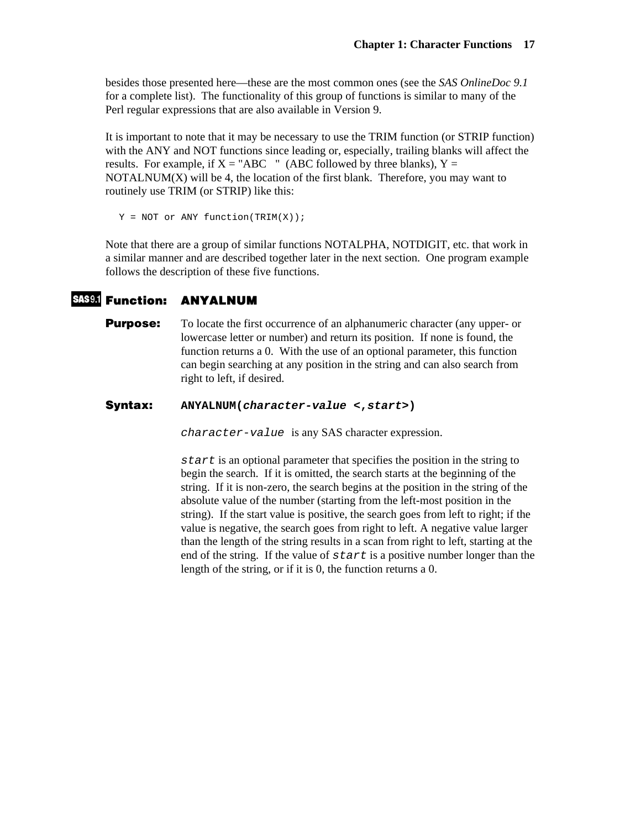besides those presented here—these are the most common ones (see the *SAS OnlineDoc 9.1* for a complete list). The functionality of this group of functions is similar to many of the Perl regular expressions that are also available in Version 9.

It is important to note that it may be necessary to use the TRIM function (or STRIP function) with the ANY and NOT functions since leading or, especially, trailing blanks will affect the results. For example, if  $X = "ABC"$  (ABC followed by three blanks),  $Y =$ NOTALNUM $(X)$  will be 4, the location of the first blank. Therefore, you may want to routinely use TRIM (or STRIP) like this:

```
Y = NOT or ANY function(TRIM(X));
```
Note that there are a group of similar functions NOTALPHA, NOTDIGIT, etc. that work in a similar manner and are described together later in the next section. One program example follows the description of these five functions.

## **Function: ANYALNUM**

**Purpose:** To locate the first occurrence of an alphanumeric character (any upper- or lowercase letter or number) and return its position. If none is found, the function returns a 0. With the use of an optional parameter, this function can begin searching at any position in the string and can also search from right to left, if desired.

#### **Syntax: ANYALNUM(***character-value* **<,***start***>)**

*character-value* is any SAS character expression.

*start* is an optional parameter that specifies the position in the string to begin the search. If it is omitted, the search starts at the beginning of the string. If it is non-zero, the search begins at the position in the string of the absolute value of the number (starting from the left-most position in the string). If the start value is positive, the search goes from left to right; if the value is negative, the search goes from right to left. A negative value larger than the length of the string results in a scan from right to left, starting at the end of the string. If the value of *start* is a positive number longer than the length of the string, or if it is 0, the function returns a 0.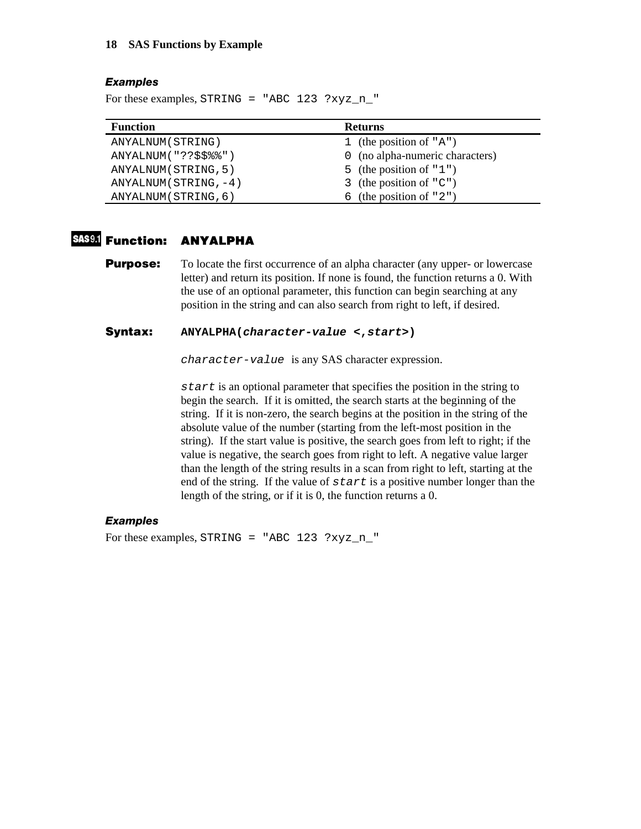#### *Examples*

For these examples, STRING = "ABC 123 ?xyz\_n\_"

| <b>Function</b>        | <b>Returns</b>                  |
|------------------------|---------------------------------|
| ANYALNUM (STRING)      | 1 (the position of " $A$ ")     |
| ANYALNUM("??\$\$%%")   | 0 (no alpha-numeric characters) |
| ANYALNUM (STRING, 5)   | 5 (the position of $"1")$       |
| $ANYALNUM(STRING, -4)$ | 3 (the position of $"C"$ )      |
| ANYALNUM (STRING, 6)   | 6 (the position of $"2")$       |

## **Function: ANYALPHA**

**Purpose:** To locate the first occurrence of an alpha character (any upper- or lowercase) letter) and return its position. If none is found, the function returns a 0. With the use of an optional parameter, this function can begin searching at any position in the string and can also search from right to left, if desired.

#### **Syntax: ANYALPHA(***character-value* **<,***start***>)**

*character-value* is any SAS character expression.

*start* is an optional parameter that specifies the position in the string to begin the search. If it is omitted, the search starts at the beginning of the string. If it is non-zero, the search begins at the position in the string of the absolute value of the number (starting from the left-most position in the string). If the start value is positive, the search goes from left to right; if the value is negative, the search goes from right to left. A negative value larger than the length of the string results in a scan from right to left, starting at the end of the string. If the value of *start* is a positive number longer than the length of the string, or if it is 0, the function returns a 0.

#### *Examples*

For these examples, STRING = "ABC 123 ?xyz\_n\_"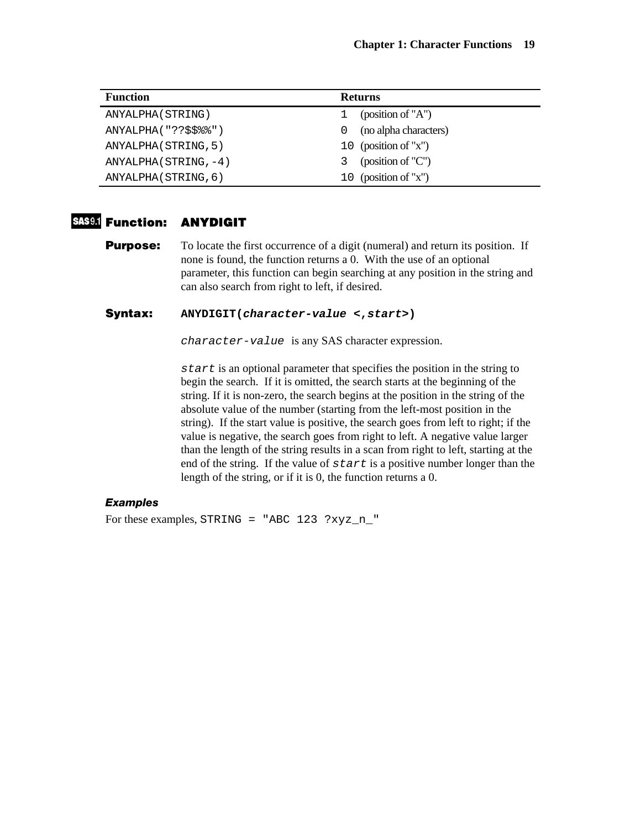| <b>Function</b>         | <b>Returns</b>            |
|-------------------------|---------------------------|
| ANYALPHA (STRING)       | (position of "A")         |
| ANYALPHA ( "??\$\$%%" ) | (no alpha characters)     |
| ANYALPHA (STRING, 5)    | 10 (position of "x")      |
| $ANYALPHA (STRING, -4)$ | (position of $C''$ )<br>3 |
| ANYALPHA (STRING, 6)    | 10 (position of "x")      |

## **Function: ANYDIGIT**

**Purpose:** To locate the first occurrence of a digit (numeral) and return its position. If none is found, the function returns a 0. With the use of an optional parameter, this function can begin searching at any position in the string and can also search from right to left, if desired.

#### **Syntax: ANYDIGIT(***character-value* **<,***start***>)**

*character-value* is any SAS character expression.

*start* is an optional parameter that specifies the position in the string to begin the search. If it is omitted, the search starts at the beginning of the string. If it is non-zero, the search begins at the position in the string of the absolute value of the number (starting from the left-most position in the string). If the start value is positive, the search goes from left to right; if the value is negative, the search goes from right to left. A negative value larger than the length of the string results in a scan from right to left, starting at the end of the string. If the value of *start* is a positive number longer than the length of the string, or if it is 0, the function returns a 0.

#### *Examples*

For these examples, STRING = "ABC 123 ?xyz\_n\_"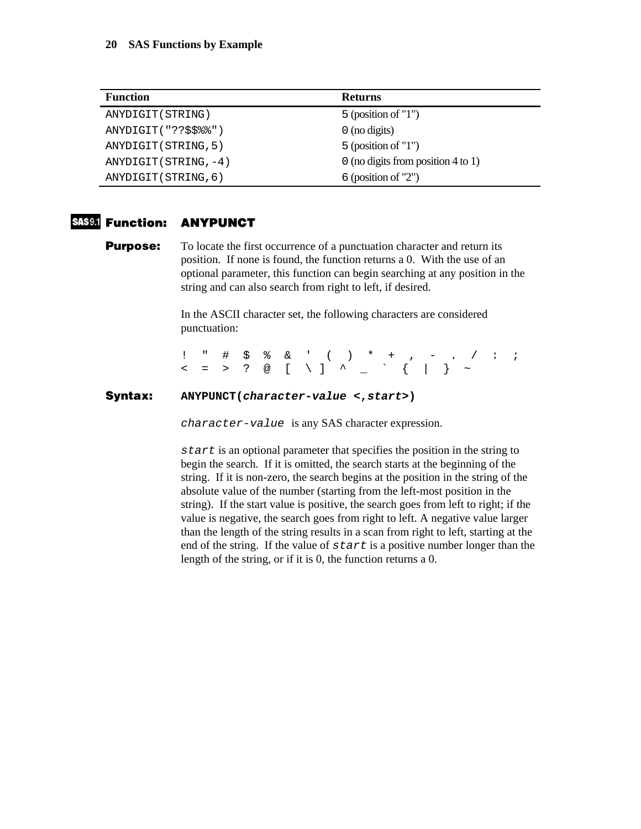| <b>Function</b>       | <b>Returns</b>                     |
|-----------------------|------------------------------------|
| ANYDIGIT (STRING)     | $5$ (position of "1")              |
| ANYDIGIT("??\$\$%%")  | $\theta$ (no digits)               |
| ANYDIGIT (STRING, 5)  | $5$ (position of "1")              |
| ANYDIGIT (STRING, -4) | 0 (no digits from position 4 to 1) |
| ANYDIGIT (STRING, 6)  | $6$ (position of "2")              |

## **Function: ANYPUNCT**

**Purpose:** To locate the first occurrence of a punctuation character and return its position. If none is found, the function returns a 0. With the use of an optional parameter, this function can begin searching at any position in the string and can also search from right to left, if desired.

> In the ASCII character set, the following characters are considered punctuation:

! " # \$ % & ' ( ) \* + , - . / : ; < = > ? @ [ \ ] ^ \_ ` { | } ~

#### **Syntax: ANYPUNCT(***character-value* **<,***start***>)**

*character-value* is any SAS character expression.

*start* is an optional parameter that specifies the position in the string to begin the search. If it is omitted, the search starts at the beginning of the string. If it is non-zero, the search begins at the position in the string of the absolute value of the number (starting from the left-most position in the string). If the start value is positive, the search goes from left to right; if the value is negative, the search goes from right to left. A negative value larger than the length of the string results in a scan from right to left, starting at the end of the string. If the value of *start* is a positive number longer than the length of the string, or if it is 0, the function returns a 0.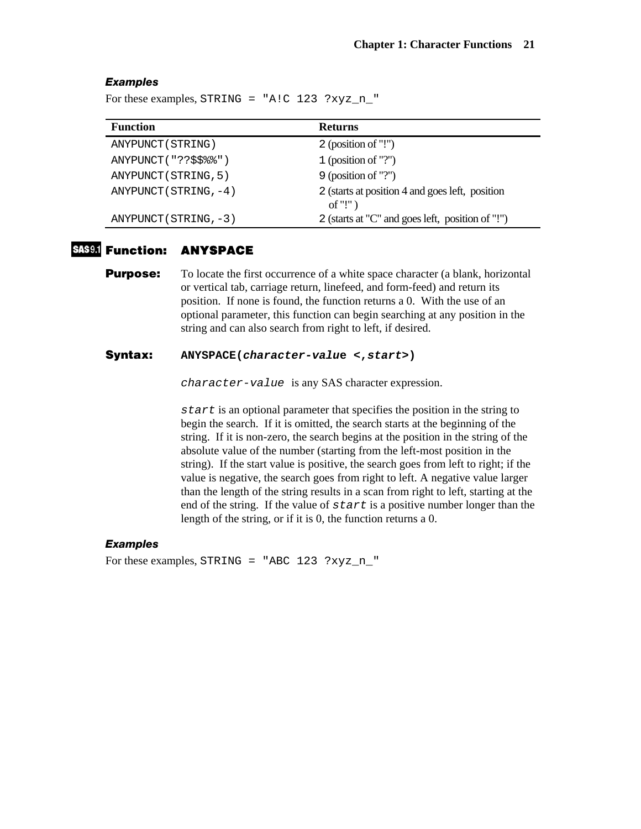#### *Examples*

For these examples, STRING = "A!C  $123$  ?xyz\_n\_"

| <b>Function</b>           | <b>Returns</b>                                                          |
|---------------------------|-------------------------------------------------------------------------|
| ANYPUNCT (STRING)         | 2 (position of $"!$ ")                                                  |
| ANYPUNCT("??\$\$%%")      | 1 (position of "?")                                                     |
| ANYPUNCT (STRING, 5)      | $9$ (position of "?")                                                   |
| ANYPUNCT ( $STRING, -4$ ) | 2 (starts at position 4 and goes left, position<br>of "!" $\mathcal{C}$ |
| $ANYPUNCT (STRING, -3)$   | 2 (starts at "C" and goes left, position of "!")                        |

## **Function: ANYSPACE**

**Purpose:** To locate the first occurrence of a white space character (a blank, horizontal or vertical tab, carriage return, linefeed, and form-feed) and return its position. If none is found, the function returns a 0. With the use of an optional parameter, this function can begin searching at any position in the string and can also search from right to left, if desired.

#### **Syntax: ANYSPACE(***character-valu***e <,***start***>)**

*character-value* is any SAS character expression.

*start* is an optional parameter that specifies the position in the string to begin the search. If it is omitted, the search starts at the beginning of the string. If it is non-zero, the search begins at the position in the string of the absolute value of the number (starting from the left-most position in the string). If the start value is positive, the search goes from left to right; if the value is negative, the search goes from right to left. A negative value larger than the length of the string results in a scan from right to left, starting at the end of the string. If the value of *start* is a positive number longer than the length of the string, or if it is 0, the function returns a 0.

#### *Examples*

For these examples, STRING = "ABC 123 ?xyz\_n\_"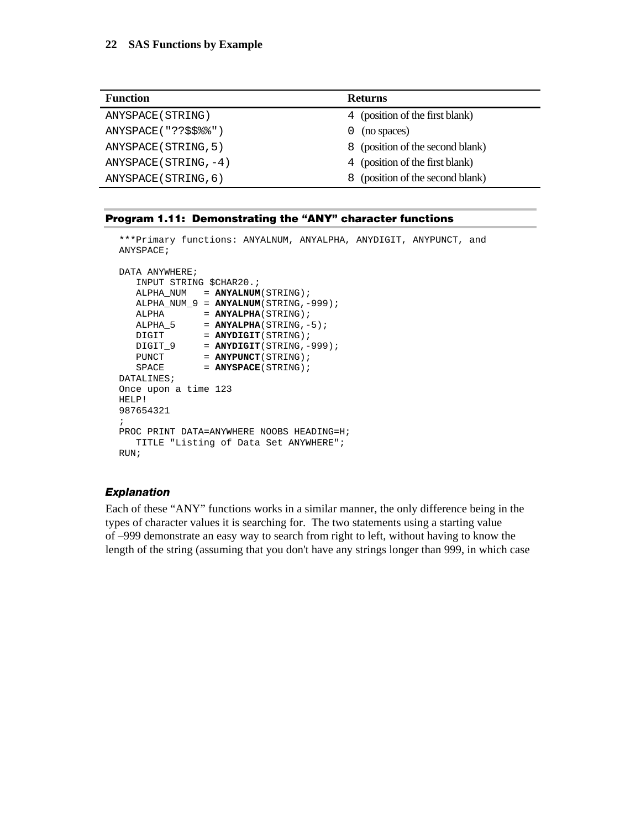| <b>Function</b>            | <b>Returns</b>                      |  |  |
|----------------------------|-------------------------------------|--|--|
| ANYSPACE (STRING)          | 4 (position of the first blank)     |  |  |
| ANYSPACE("??\$\$%%")       | (no spaces)<br>0                    |  |  |
| ANYSPACE (STRING, 5)       | 8 (position of the second blank)    |  |  |
| $ANYSPACE$ (STRING, $-4$ ) | 4 (position of the first blank)     |  |  |
| ANYSPACE (STRING, 6)       | (position of the second blank)<br>8 |  |  |

#### **Program 1.11: Demonstrating the "ANY" character functions**

```
***Primary functions: ANYALNUM, ANYALPHA, ANYDIGIT, ANYPUNCT, and 
ANYSPACE; 
DATA ANYWHERE;
   INPUT STRING $CHAR20.; 
   ALPHA_NUM = ANYALNUM(STRING); 
   ALPHA_NUM_9 = ANYALNUM(STRING,-999); 
ALPHA = ANYALPHA(STRING);
ALPHA_5 = ANTALPHA(STRING, -5);DIGIT = ANYDIGIT(STRING);
 DIGIT_9 = ANYDIGIT(STRING,-999); 
PUNCT = ANYPUNCT(STRING);
SPACE = ANYSPACE(STRING);
DATALINES; 
Once upon a time 123 
HELP! 
987654321 
; 
PROC PRINT DATA=ANYWHERE NOOBS HEADING=H; 
   TITLE "Listing of Data Set ANYWHERE"; 
RUN;
```
#### *Explanation*

Each of these "ANY" functions works in a similar manner, the only difference being in the types of character values it is searching for. The two statements using a starting value of –999 demonstrate an easy way to search from right to left, without having to know the length of the string (assuming that you don't have any strings longer than 999, in which case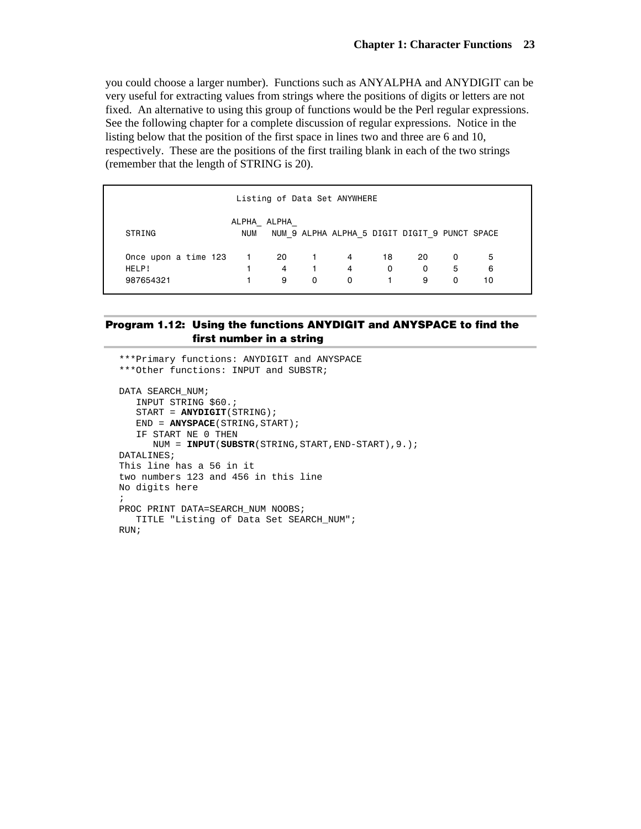you could choose a larger number). Functions such as ANYALPHA and ANYDIGIT can be very useful for extracting values from strings where the positions of digits or letters are not fixed. An alternative to using this group of functions would be the Perl regular expressions. See the following chapter for a complete discussion of regular expressions. Notice in the listing below that the position of the first space in lines two and three are 6 and 10, respectively. These are the positions of the first trailing blank in each of the two strings (remember that the length of STRING is 20).

| Listing of Data Set ANYWHERE |                           |   |          |                                               |    |          |   |    |
|------------------------------|---------------------------|---|----------|-----------------------------------------------|----|----------|---|----|
| STRING                       | ALPHA ALPHA<br><b>NUM</b> |   |          | NUM 9 ALPHA ALPHA 5 DIGIT DIGIT 9 PUNCT SPACE |    |          |   |    |
| Once upon a time 123 1 20 1  |                           |   |          | 4                                             | 18 | 20       | 0 | 5  |
| HELP!                        |                           | 4 | $\sim$ 1 | 4                                             | 0  | $\Omega$ | 5 | 6  |
| 987654321                    |                           | 9 | 0        | 0                                             |    | 9        | 0 | 10 |

#### **Program 1.12: Using the functions ANYDIGIT and ANYSPACE to find the first number in a string**

```
***Primary functions: ANYDIGIT and ANYSPACE 
***Other functions: INPUT and SUBSTR; 
DATA SEARCH_NUM; 
    INPUT STRING $60.; 
    START = ANYDIGIT(STRING); 
    END = ANYSPACE(STRING,START); 
    IF START NE 0 THEN 
       NUM = INPUT(SUBSTR(STRING,START,END-START),9.); 
DATALINES; 
This line has a 56 in it 
two numbers 123 and 456 in this line 
No digits here 
; 
PROC PRINT DATA=SEARCH NUM NOOBS;
   TITLE "Listing of Data Set SEARCH_NUM"; 
RUN;
```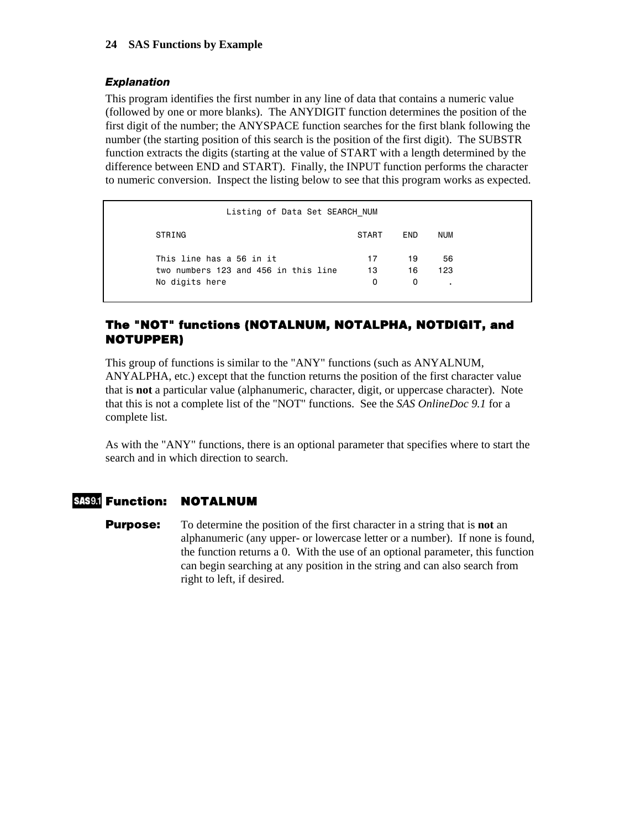#### *Explanation*

This program identifies the first number in any line of data that contains a numeric value (followed by one or more blanks). The ANYDIGIT function determines the position of the first digit of the number; the ANYSPACE function searches for the first blank following the number (the starting position of this search is the position of the first digit). The SUBSTR function extracts the digits (starting at the value of START with a length determined by the difference between END and START). Finally, the INPUT function performs the character to numeric conversion. Inspect the listing below to see that this program works as expected.

| Listing of Data Set SEARCH NUM       |              |            |            |  |
|--------------------------------------|--------------|------------|------------|--|
| STRING                               | <b>START</b> | <b>END</b> | <b>NUM</b> |  |
| This line has a 56 in it             | 17           | 19         | 56         |  |
| two numbers 123 and 456 in this line | 13           | 16         | 123        |  |
| No digits here                       | 0            | 0          |            |  |

## **The "NOT" functions (NOTALNUM, NOTALPHA, NOTDIGIT, and NOTUPPER)**

This group of functions is similar to the "ANY" functions (such as ANYALNUM, ANYALPHA, etc.) except that the function returns the position of the first character value that is **not** a particular value (alphanumeric, character, digit, or uppercase character). Note that this is not a complete list of the "NOT" functions. See the *SAS OnlineDoc 9.1* for a complete list.

As with the "ANY" functions, there is an optional parameter that specifies where to start the search and in which direction to search.

## **Function: NOTALNUM**

**Purpose:** To determine the position of the first character in a string that is **not** an alphanumeric (any upper- or lowercase letter or a number). If none is found, the function returns a 0. With the use of an optional parameter, this function can begin searching at any position in the string and can also search from right to left, if desired.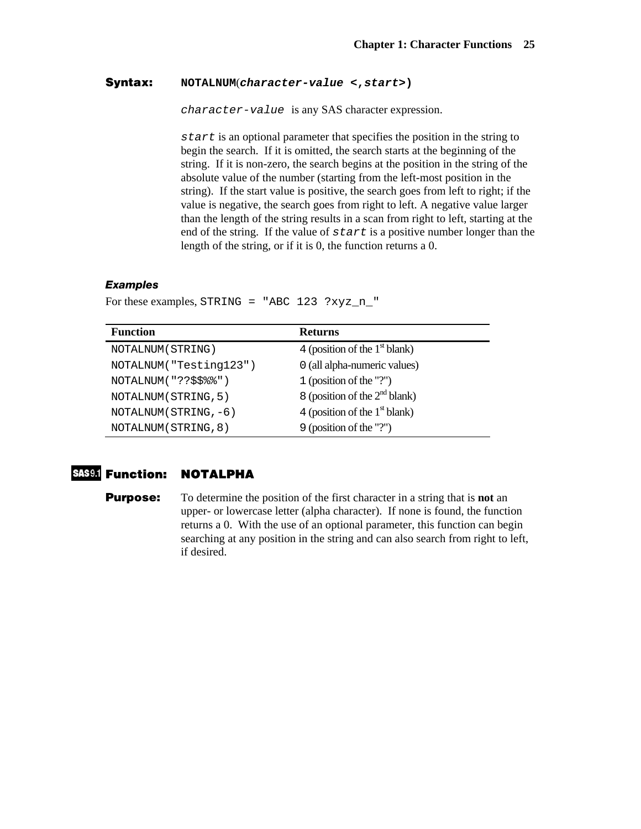#### **Syntax: NOTALNUM**(*character-value* **<,***start***>)**

*character-value* is any SAS character expression.

*start* is an optional parameter that specifies the position in the string to begin the search. If it is omitted, the search starts at the beginning of the string. If it is non-zero, the search begins at the position in the string of the absolute value of the number (starting from the left-most position in the string). If the start value is positive, the search goes from left to right; if the value is negative, the search goes from right to left. A negative value larger than the length of the string results in a scan from right to left, starting at the end of the string. If the value of *start* is a positive number longer than the length of the string, or if it is 0, the function returns a 0.

#### *Examples*

| <b>Function</b>        | <b>Returns</b>                  |
|------------------------|---------------------------------|
| NOTALNUM (STRING)      | 4 (position of the $1st$ blank) |
| NOTALNUM("Testing123") | 0 (all alpha-numeric values)    |
| NOTALNUM("??\$\$%%")   | 1 (position of the "?")         |
| NOTALNUM (STRING, 5)   | 8 (position of the $2nd$ blank) |
| $NOTALNUM(STRING, -6)$ | 4 (position of the $1st$ blank) |
| NOTALNUM (STRING, 8)   | 9 (position of the "?")         |

For these examples, STRING = "ABC 123 ?xyz\_n\_"

## **Function: NOTALPHA**

**Purpose:** To determine the position of the first character in a string that is **not** an upper- or lowercase letter (alpha character). If none is found, the function returns a 0. With the use of an optional parameter, this function can begin searching at any position in the string and can also search from right to left, if desired.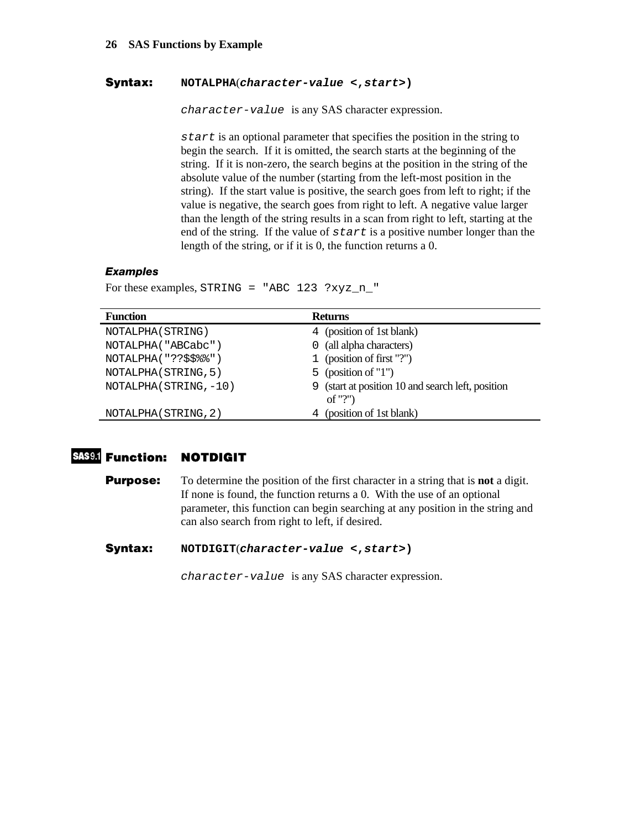#### **Syntax: NOTALPHA**(*character-value* **<,***start***>)**

*character-value* is any SAS character expression.

*start* is an optional parameter that specifies the position in the string to begin the search. If it is omitted, the search starts at the beginning of the string. If it is non-zero, the search begins at the position in the string of the absolute value of the number (starting from the left-most position in the string). If the start value is positive, the search goes from left to right; if the value is negative, the search goes from right to left. A negative value larger than the length of the string results in a scan from right to left, starting at the end of the string. If the value of *start* is a positive number longer than the length of the string, or if it is 0, the function returns a 0.

### *Examples*

For these examples, STRING = "ABC 123 ?xyz\_n\_"

| <b>Function</b>        | <b>Returns</b>                                               |
|------------------------|--------------------------------------------------------------|
| NOTALPHA (STRING)      | 4 (position of 1st blank)                                    |
| NOTALPHA("ABCabc")     | 0 (all alpha characters)                                     |
| NOTALPHA("??\$\$%%")   | 1 (position of first "?")                                    |
| NOTALPHA (STRING, 5)   | 5 (position of $"1"$ )                                       |
| NOTALPHA (STRING, -10) | 9 (start at position 10 and search left, position<br>of "?") |
| NOTALPHA (STRING, 2)   | (position of 1st blank)<br>4                                 |

## **Function: NOTDIGIT**

**Purpose:** To determine the position of the first character in a string that is **not** a digit. If none is found, the function returns a 0. With the use of an optional parameter, this function can begin searching at any position in the string and can also search from right to left, if desired.

**Syntax: NOTDIGIT**(*character-value* **<,***start***>)** 

*character-value* is any SAS character expression.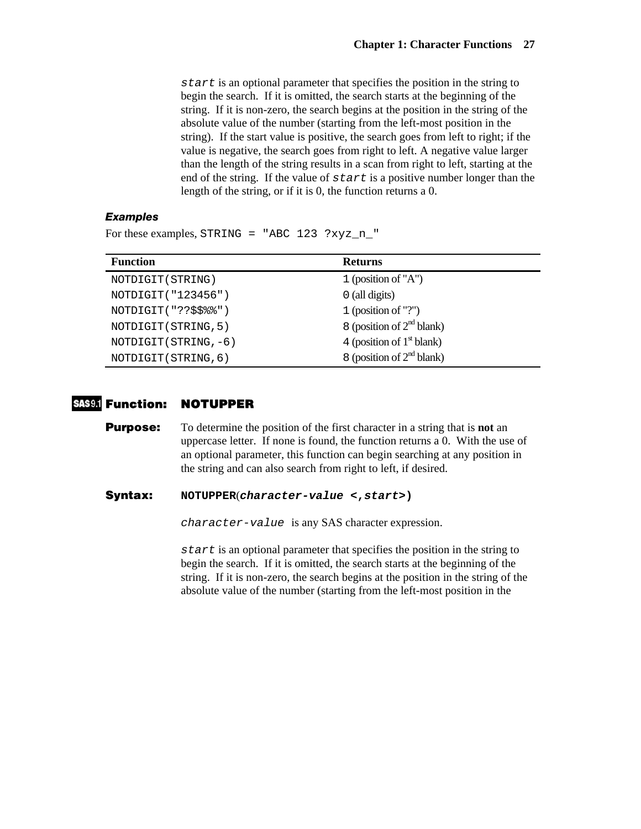*start* is an optional parameter that specifies the position in the string to begin the search. If it is omitted, the search starts at the beginning of the string. If it is non-zero, the search begins at the position in the string of the absolute value of the number (starting from the left-most position in the string). If the start value is positive, the search goes from left to right; if the value is negative, the search goes from right to left. A negative value larger than the length of the string results in a scan from right to left, starting at the end of the string. If the value of *start* is a positive number longer than the length of the string, or if it is 0, the function returns a 0.

#### *Examples*

For these examples, STRING = "ABC 123 ?xyz\_n\_"

| <b>Function</b>       | <b>Returns</b>              |
|-----------------------|-----------------------------|
| NOTDIGIT (STRING)     | 1 (position of $'A$ )       |
| NOTDIGIT ("123456")   | $0$ (all digits)            |
| NOTDIGIT("??\$\$%%")  | 1 (position of "?")         |
| NOTDIGIT (STRING, 5)  | 8 (position of $2nd$ blank) |
| NOTDIGIT (STRING, -6) | 4 (position of $1st$ blank) |
| NOTDIGIT (STRING, 6)  | 8 (position of $2nd$ blank) |

#### **Function: NOTUPPER**

**Purpose:** To determine the position of the first character in a string that is **not** an uppercase letter. If none is found, the function returns a 0. With the use of an optional parameter, this function can begin searching at any position in the string and can also search from right to left, if desired.

#### **Syntax: NOTUPPER**(*character-value* **<,***start***>)**

*character-value* is any SAS character expression.

*start* is an optional parameter that specifies the position in the string to begin the search. If it is omitted, the search starts at the beginning of the string. If it is non-zero, the search begins at the position in the string of the absolute value of the number (starting from the left-most position in the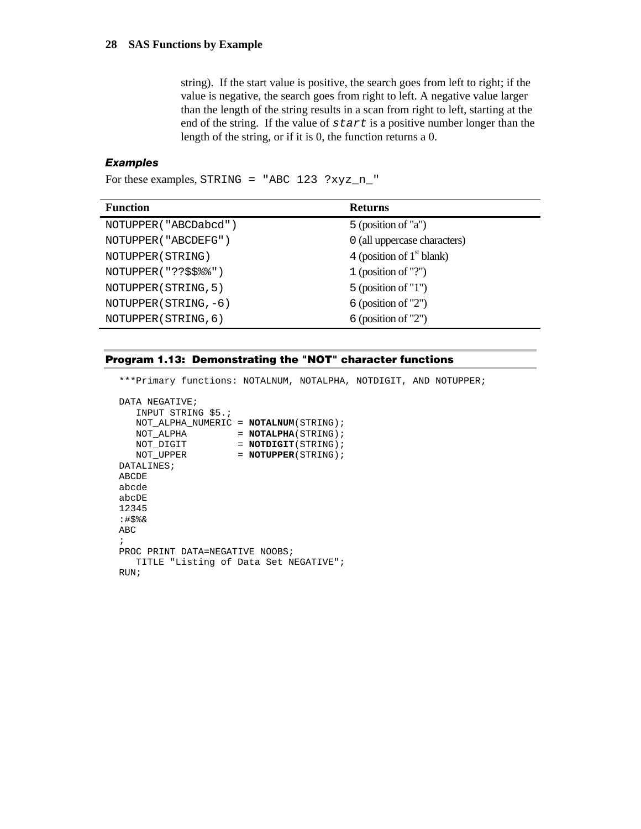string). If the start value is positive, the search goes from left to right; if the value is negative, the search goes from right to left. A negative value larger than the length of the string results in a scan from right to left, starting at the end of the string. If the value of *start* is a positive number longer than the length of the string, or if it is 0, the function returns a 0.

## *Examples*

For these examples, STRING = "ABC  $123$  ?xyz n "

| <b>Function</b>        | <b>Returns</b>               |
|------------------------|------------------------------|
| NOTUPPER ("ABCDabcd")  | 5 (position of "a")          |
| NOTUPPER ( "ABCDEFG" ) | 0 (all uppercase characters) |
| NOTUPPER (STRING)      | 4 (position of $1st$ blank)  |
| NOTUPPER("??\$\$%%")   | 1 (position of "?")          |
| NOTUPPER (STRING, 5)   | $5$ (position of "1")        |
| NOTUPPER (STRING, -6)  | $6$ (position of "2")        |
| NOTUPPER (STRING, 6)   | $6$ (position of "2")        |

#### **Program 1.13: Demonstrating the "NOT" character functions**

\*\*\*Primary functions: NOTALNUM, NOTALPHA, NOTDIGIT, AND NOTUPPER;

```
DATA NEGATIVE;
   INPUT STRING $5.; 
   NOT_ALPHA_NUMERIC = NOTALNUM(STRING); 
  NOT_ALPHA = NOTALPHA(STRING);
NOT_DIGIT = NOTDIGIT(STRING);
NOT_UPPER = NOTUPPER(STRING);
DATALINES; 
ABCDE 
abcde 
abcDE 
12345 
:#$%& 
ABC 
; 
PROC PRINT DATA=NEGATIVE NOOBS;
  TITLE "Listing of Data Set NEGATIVE"; 
RUN;
```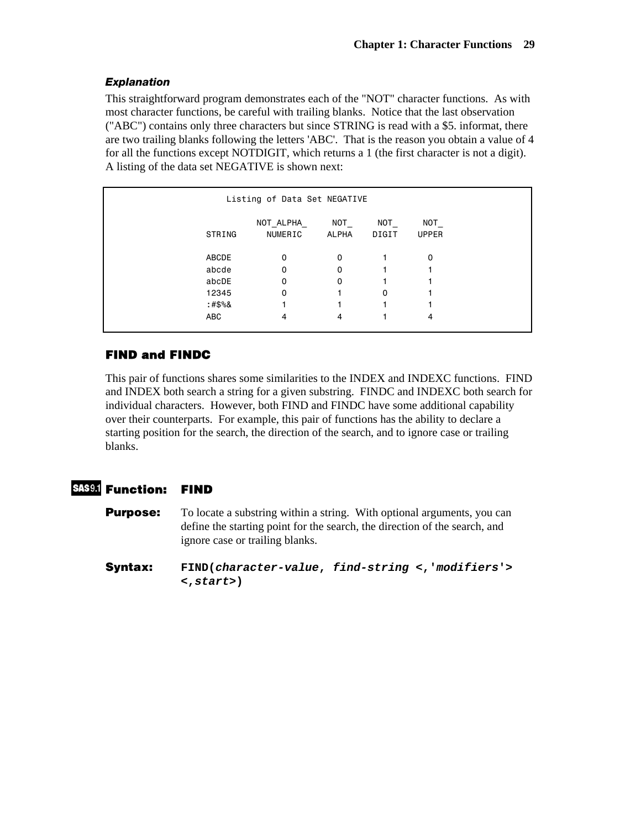## *Explanation*

This straightforward program demonstrates each of the "NOT" character functions. As with most character functions, be careful with trailing blanks. Notice that the last observation ("ABC") contains only three characters but since STRING is read with a \$5. informat, there are two trailing blanks following the letters 'ABC'. That is the reason you obtain a value of 4 for all the functions except NOTDIGIT, which returns a 1 (the first character is not a digit). A listing of the data set NEGATIVE is shown next:

| Listing of Data Set NEGATIVE |                       |              |              |                     |  |  |
|------------------------------|-----------------------|--------------|--------------|---------------------|--|--|
| STRING                       | NOT_ALPHA_<br>NUMERIC | NOT<br>ALPHA | NOT<br>DIGIT | NOT<br><b>UPPER</b> |  |  |
| ABCDE                        | 0                     | 0            |              | 0                   |  |  |
| abcde                        | 0                     | 0            |              |                     |  |  |
| abcDE                        | 0                     | 0            |              |                     |  |  |
| 12345                        | 0                     |              | 0            |                     |  |  |
| :#\$%&                       |                       |              |              |                     |  |  |
| ABC                          | 4                     | 4            |              | 4                   |  |  |

## **FIND and FINDC**

This pair of functions shares some similarities to the INDEX and INDEXC functions. FIND and INDEX both search a string for a given substring. FINDC and INDEXC both search for individual characters. However, both FIND and FINDC have some additional capability over their counterparts. For example, this pair of functions has the ability to declare a starting position for the search, the direction of the search, and to ignore case or trailing blanks.

## **Function: FIND**

**Purpose:** To locate a substring within a string. With optional arguments, you can define the starting point for the search, the direction of the search, and ignore case or trailing blanks.

**Syntax: FIND(***character-value***,** *find-string* **<,'***modifiers***'> <,***start***>)**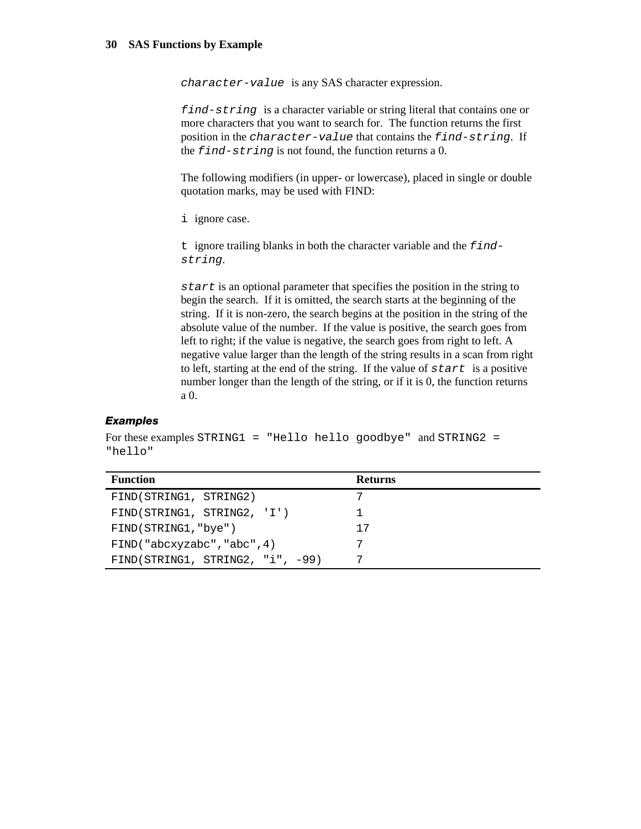*character-value* is any SAS character expression.

*find-string* is a character variable or string literal that contains one or more characters that you want to search for. The function returns the first position in the *character-value* that contains the *find-string*. If the *find-string* is not found, the function returns a 0.

The following modifiers (in upper- or lowercase), placed in single or double quotation marks, may be used with FIND:

i ignore case.

t ignore trailing blanks in both the character variable and the *findstring*.

*start* is an optional parameter that specifies the position in the string to begin the search. If it is omitted, the search starts at the beginning of the string. If it is non-zero, the search begins at the position in the string of the absolute value of the number. If the value is positive, the search goes from left to right; if the value is negative, the search goes from right to left. A negative value larger than the length of the string results in a scan from right to left, starting at the end of the string. If the value of *start* is a positive number longer than the length of the string, or if it is 0, the function returns a 0.

#### *Examples*

For these examples STRING1 = "Hello hello goodbye" and STRING2 = "hello"

| <b>Function</b>                    | <b>Returns</b> |
|------------------------------------|----------------|
| FIND(STRING1, STRING2)             |                |
| FIND(STRING1, STRING2, 'I')        |                |
| FIND(STRING1, "bye")               | 17             |
| FIND('abcxyzabc', 'abc', 4)        |                |
| $FIND(STRING1, STRING2, "i", -99)$ |                |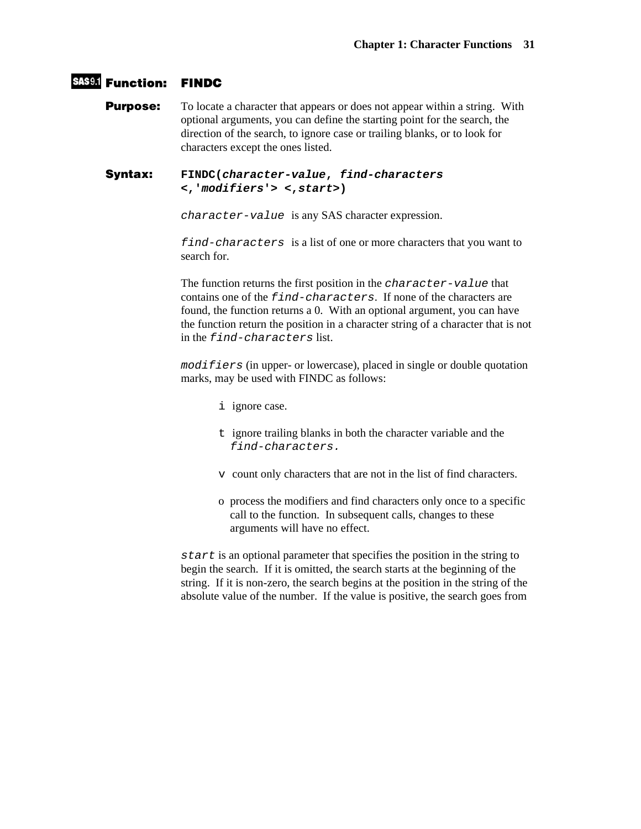## **Function: FINDC**

**Purpose:** To locate a character that appears or does not appear within a string. With optional arguments, you can define the starting point for the search, the direction of the search, to ignore case or trailing blanks, or to look for characters except the ones listed.

#### **Syntax: FINDC(***character-value***,** *find-characters* **<,'***modifiers***'> <,***start***>)**

*character-value* is any SAS character expression.

*find-characters* is a list of one or more characters that you want to search for.

The function returns the first position in the *character-value* that contains one of the *find-characters*. If none of the characters are found, the function returns a 0. With an optional argument, you can have the function return the position in a character string of a character that is not in the *find-characters* list.

*modifiers* (in upper- or lowercase), placed in single or double quotation marks, may be used with FINDC as follows:

- i ignore case.
- t ignore trailing blanks in both the character variable and the *find-characters.*
- v count only characters that are not in the list of find characters.
- o process the modifiers and find characters only once to a specific call to the function. In subsequent calls, changes to these arguments will have no effect.

*start* is an optional parameter that specifies the position in the string to begin the search. If it is omitted, the search starts at the beginning of the string. If it is non-zero, the search begins at the position in the string of the absolute value of the number. If the value is positive, the search goes from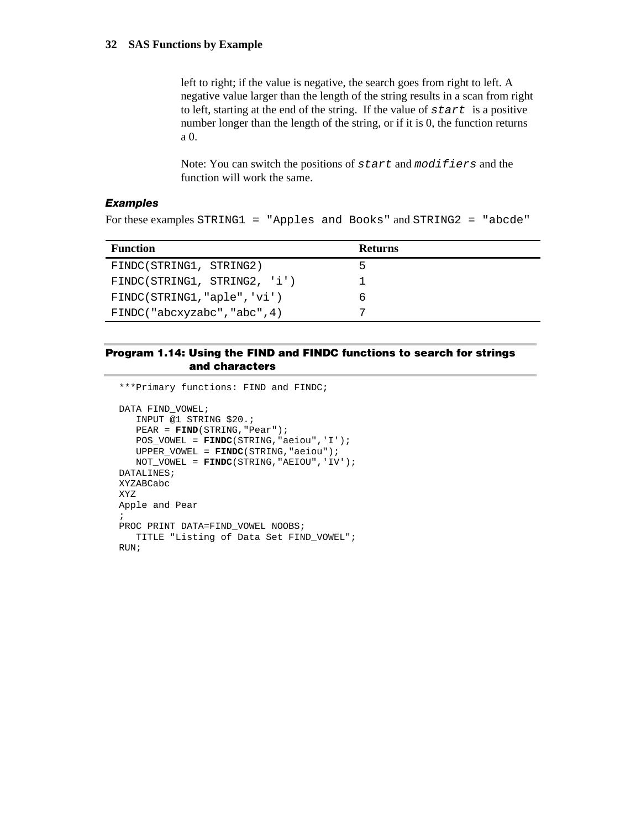left to right; if the value is negative, the search goes from right to left. A negative value larger than the length of the string results in a scan from right to left, starting at the end of the string. If the value of *start* is a positive number longer than the length of the string, or if it is 0, the function returns a 0.

Note: You can switch the positions of *start* and *modifiers* and the function will work the same.

#### *Examples*

For these examples STRING1 = "Apples and Books" and STRING2 = "abcde"

| <b>Function</b>              | <b>Returns</b> |
|------------------------------|----------------|
| FINDC(STRING1, STRING2)      | 5              |
| FINDC(STRING1, STRING2, 'i') |                |
| FINDC(STRING1, "aple", 'vi') | ь              |
| FINDC("abcxyzabc","abc",4)   |                |

#### **Program 1.14: Using the FIND and FINDC functions to search for strings and characters**

```
***Primary functions: FIND and FINDC; 
DATA FIND_VOWEL; 
    INPUT @1 STRING $20.; 
    PEAR = FIND(STRING,"Pear"); 
    POS_VOWEL = FINDC(STRING,"aeiou",'I'); 
   UPPER_VOWEL = FINDC(STRING,"aeiou"); 
   NOT_VOWEL = FINDC(STRING,"AEIOU",'IV'); 
DATALINES; 
XYZABCabc 
XYZ 
Apple and Pear 
; 
PROC PRINT DATA=FIND_VOWEL NOOBS;
   TITLE "Listing of Data Set FIND_VOWEL"; 
RUN;
```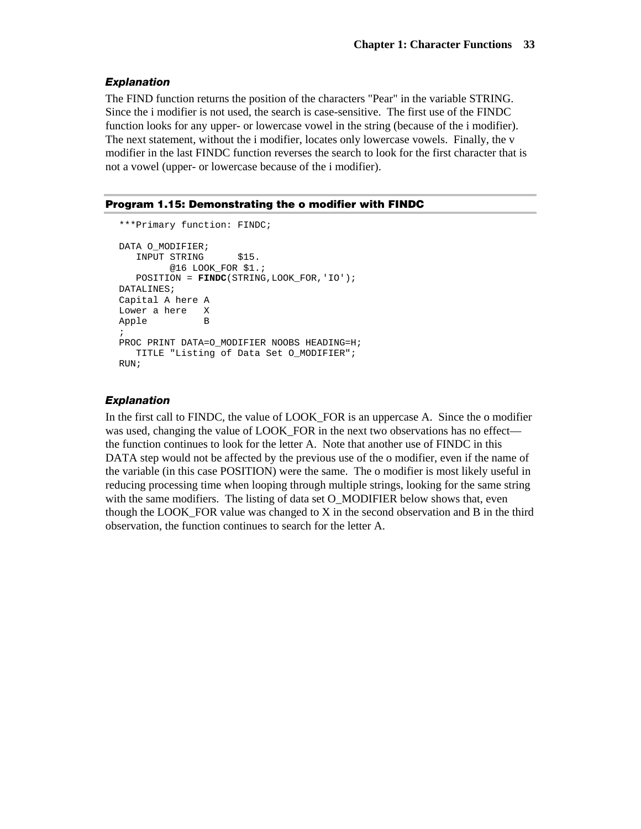#### *Explanation*

The FIND function returns the position of the characters "Pear" in the variable STRING. Since the i modifier is not used, the search is case-sensitive. The first use of the FINDC function looks for any upper- or lowercase vowel in the string (because of the i modifier). The next statement, without the i modifier, locates only lowercase vowels. Finally, the v modifier in the last FINDC function reverses the search to look for the first character that is not a vowel (upper- or lowercase because of the i modifier).

#### **Program 1.15: Demonstrating the o modifier with FINDC**

```
***Primary function: FINDC; 
DATA O_MODIFIER; 
   INPUT STRING $15.
         @16 LOOK_FOR $1.; 
    POSITION = FINDC(STRING,LOOK_FOR,'IO'); 
DATALINES; 
Capital A here A 
Lower a here X<br>Apple B
Apple
; 
PROC PRINT DATA=0_MODIFIER NOOBS HEADING=H;
    TITLE "Listing of Data Set O_MODIFIER"; 
RUN;
```
#### *Explanation*

In the first call to FINDC, the value of LOOK FOR is an uppercase A. Since the o modifier was used, changing the value of LOOK\_FOR in the next two observations has no effect the function continues to look for the letter A. Note that another use of FINDC in this DATA step would not be affected by the previous use of the o modifier, even if the name of the variable (in this case POSITION) were the same. The o modifier is most likely useful in reducing processing time when looping through multiple strings, looking for the same string with the same modifiers. The listing of data set O\_MODIFIER below shows that, even though the LOOK\_FOR value was changed to X in the second observation and B in the third observation, the function continues to search for the letter A.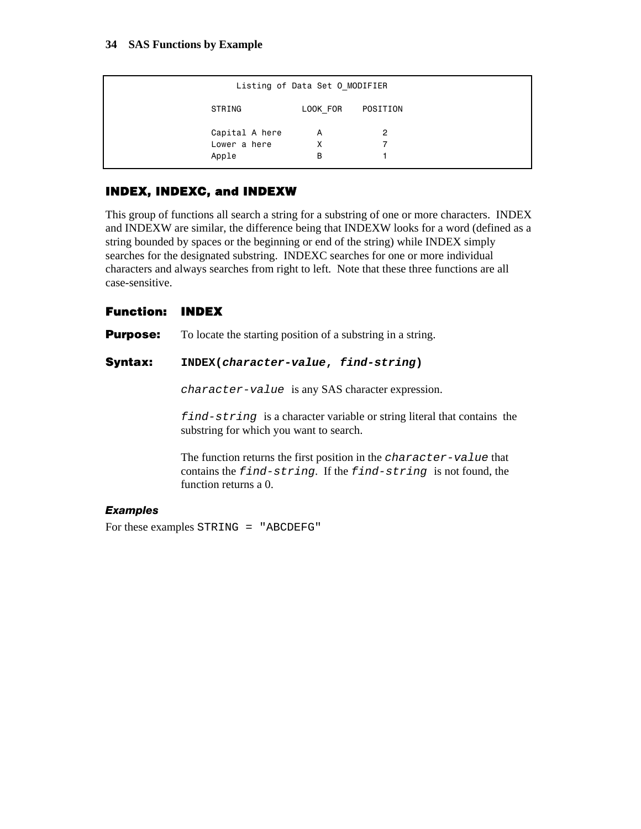|                | Listing of Data Set 0 MODIFIER |          |
|----------------|--------------------------------|----------|
| STRING         | LOOK FOR                       | POSITION |
| Capital A here | A                              | 2        |
| Lower a here   | X                              |          |
| Apple          | В                              |          |

## **INDEX, INDEXC, and INDEXW**

This group of functions all search a string for a substring of one or more characters. INDEX and INDEXW are similar, the difference being that INDEXW looks for a word (defined as a string bounded by spaces or the beginning or end of the string) while INDEX simply searches for the designated substring. INDEXC searches for one or more individual characters and always searches from right to left. Note that these three functions are all case-sensitive.

## **Function: INDEX**

**Purpose:** To locate the starting position of a substring in a string.

#### **Syntax: INDEX(***character-value***,** *find-string***)**

*character-value* is any SAS character expression.

*find-string* is a character variable or string literal that contains the substring for which you want to search.

The function returns the first position in the *character-value* that contains the *find-string*. If the *find-string* is not found, the function returns a 0.

#### *Examples*

For these examples STRING = "ABCDEFG"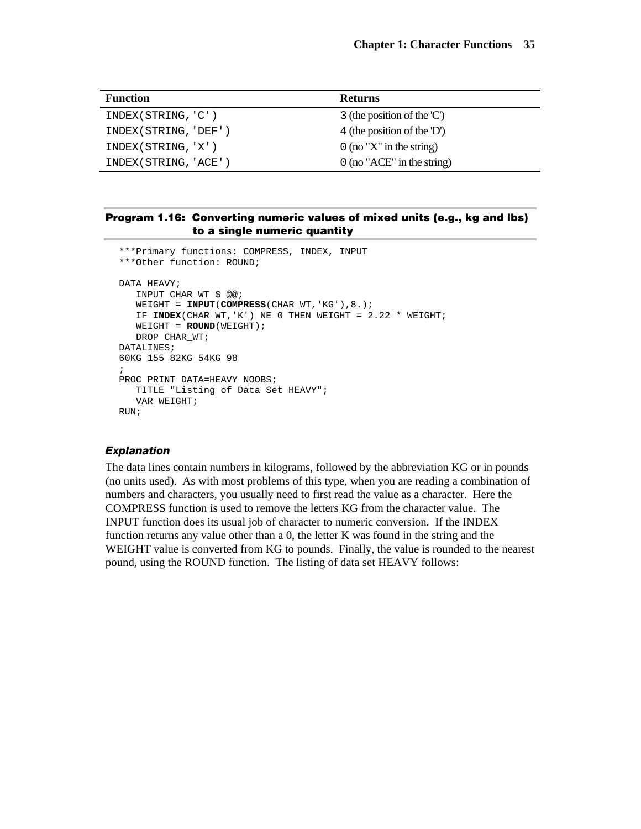| <b>Function</b>       | <b>Returns</b>                          |
|-----------------------|-----------------------------------------|
| INDEX(STRING, 'C')    | 3 (the position of the $\mathcal{C}'$ ) |
| INDEX (STRING, 'DEF') | 4 (the position of the 'D')             |
| INDEX(STRING, 'X')    | $0$ (no "X" in the string)              |
| INDEX (STRING, 'ACE') | $0$ (no "ACE" in the string)            |

#### **Program 1.16: Converting numeric values of mixed units (e.g., kg and lbs) to a single numeric quantity**

```
***Primary functions: COMPRESS, INDEX, INPUT 
***Other function: ROUND; 
DATA HEAVY;
    INPUT CHAR_WT $ @@; 
    WEIGHT = INPUT(COMPRESS(CHAR_WT,'KG'),8.); 
    IF INDEX(CHAR_WT,'K') NE 0 THEN WEIGHT = 2.22 * WEIGHT; 
    WEIGHT = ROUND(WEIGHT); 
    DROP CHAR_WT; 
DATALINES; 
60KG 155 82KG 54KG 98 
; 
PROC PRINT DATA=HEAVY NOOBS; 
    TITLE "Listing of Data Set HEAVY"; 
    VAR WEIGHT; 
RUN;
```
#### *Explanation*

The data lines contain numbers in kilograms, followed by the abbreviation KG or in pounds (no units used). As with most problems of this type, when you are reading a combination of numbers and characters, you usually need to first read the value as a character. Here the COMPRESS function is used to remove the letters KG from the character value. The INPUT function does its usual job of character to numeric conversion. If the INDEX function returns any value other than a 0, the letter K was found in the string and the WEIGHT value is converted from KG to pounds. Finally, the value is rounded to the nearest pound, using the ROUND function. The listing of data set HEAVY follows: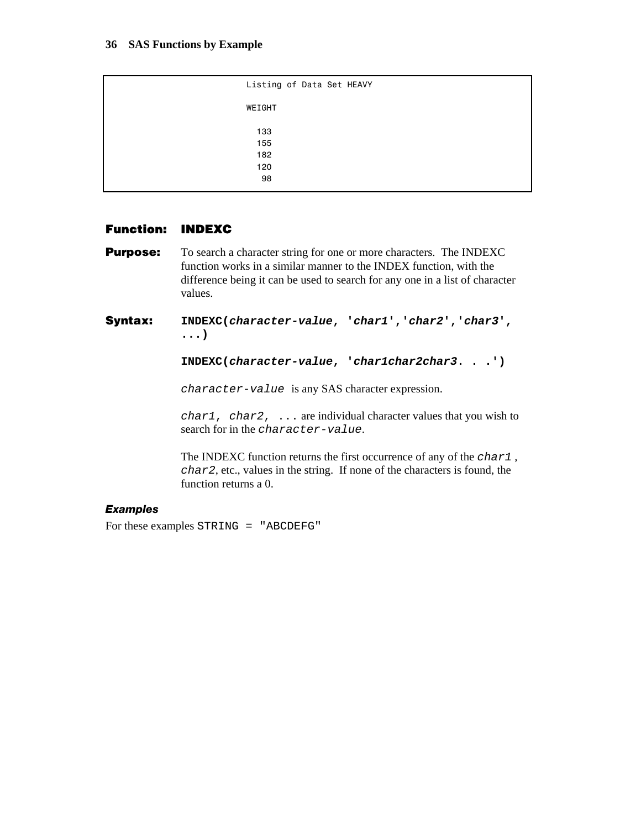```
 Listing of Data Set HEAVY 
                                       WEIGHT 
133 133
15518212098 - Paul Barbara, poeta e a 1998 - Paul Barbara, poeta e a 1998 - Paul Barbara, poeta e a 1998 - Paul Barbara<br>1998 - Paul Barbara, poeta e a 1999 - Paul Barbara, poeta e a 1999 - Paul Barbara, poeta e a 1999 - Paul Barba
```
## **Function: INDEXC**

- **Purpose:** To search a character string for one or more characters. The INDEXC function works in a similar manner to the INDEX function, with the difference being it can be used to search for any one in a list of character values.
- **Syntax: INDEXC(***character-value***, '***char1***','***char2***','***char3***', ...)**

```
INDEXC(character-value, 'char1char2char3. . .')
```
*character-value* is any SAS character expression.

*char1*, *char2*, ... are individual character values that you wish to search for in the *character-value*.

The INDEXC function returns the first occurrence of any of the *char1 , char2*, etc., values in the string. If none of the characters is found, the function returns a 0.

#### *Examples*

For these examples STRING = "ABCDEFG"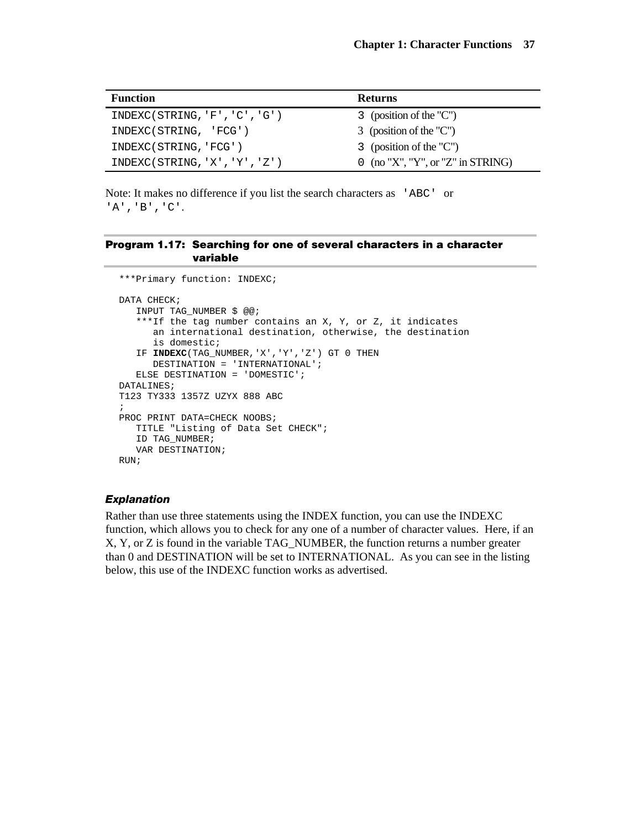| <b>Function</b>               | <b>Returns</b>                    |
|-------------------------------|-----------------------------------|
| INDEXC(STRING, 'F', 'C', 'G') | 3 (position of the "C")           |
| INDEXC(STRING, 'FCG')         | 3 (position of the "C")           |
| INDEXC(STRING, 'FCG')         | 3 (position of the "C")           |
| INDEXC(STRING, 'X', 'Y', 'Z') | 0 (no "X", "Y", or "Z" in STRING) |

Note: It makes no difference if you list the search characters as 'ABC' or 'A','B','C'.

### **Program 1.17: Searching for one of several characters in a character variable**

```
***Primary function: INDEXC; 
DATA CHECK;
    INPUT TAG_NUMBER $ @@; 
    ***If the tag number contains an X, Y, or Z, it indicates 
       an international destination, otherwise, the destination 
       is domestic; 
    IF INDEXC(TAG_NUMBER,'X','Y','Z') GT 0 THEN 
       DESTINATION = 'INTERNATIONAL'; 
    ELSE DESTINATION = 'DOMESTIC'; 
DATALINES; 
T123 TY333 1357Z UZYX 888 ABC 
; 
PROC PRINT DATA=CHECK NOOBS; 
    TITLE "Listing of Data Set CHECK"; 
    ID TAG_NUMBER; 
    VAR DESTINATION; 
RUN;
```
### *Explanation*

Rather than use three statements using the INDEX function, you can use the INDEXC function, which allows you to check for any one of a number of character values. Here, if an X, Y, or Z is found in the variable TAG\_NUMBER, the function returns a number greater than 0 and DESTINATION will be set to INTERNATIONAL. As you can see in the listing below, this use of the INDEXC function works as advertised.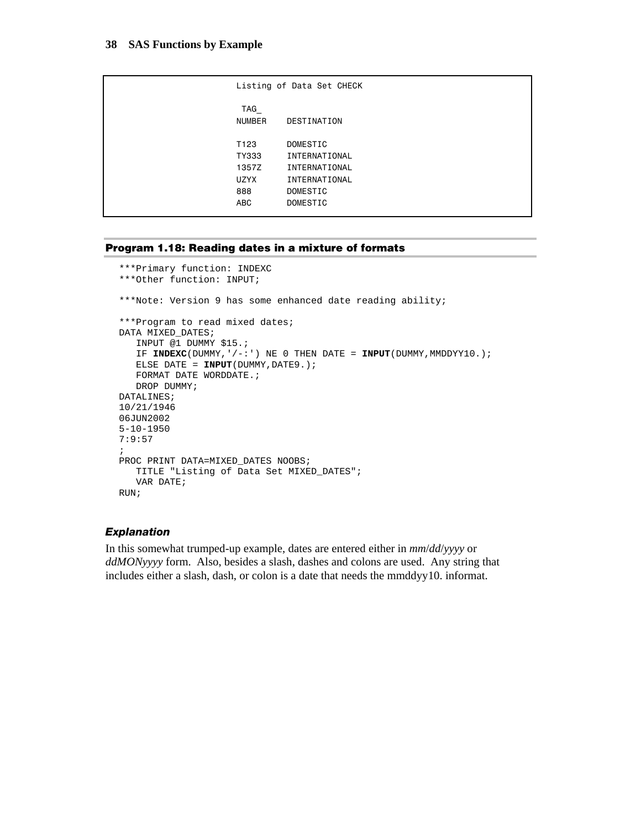|                      | Listing of Data Set CHECK |
|----------------------|---------------------------|
| TAG<br><b>NUMBER</b> | DESTINATION               |
| T <sub>123</sub>     | DOMESTIC                  |
| TY333                | INTERNATIONAL             |
| 1357Z                | INTERNATIONAL             |
| <b>UZYX</b>          | INTERNATIONAL             |
| 888                  | DOMESTIC                  |
| <b>ABC</b>           | DOMESTIC                  |
|                      |                           |

#### **Program 1.18: Reading dates in a mixture of formats**

```
***Primary function: INDEXC 
***Other function: INPUT; 
***Note: Version 9 has some enhanced date reading ability; 
***Program to read mixed dates; 
DATA MIXED_DATES; 
   INPUT @1 DUMMY $15.; 
   IF INDEXC(DUMMY,'/-:') NE 0 THEN DATE = INPUT(DUMMY, MMDDYY10.);
    ELSE DATE = INPUT(DUMMY,DATE9.); 
    FORMAT DATE WORDDATE.; 
   DROP DUMMY;
DATALINES; 
10/21/1946 
06JUN2002 
5-10-1950 
7:9:57 
; 
PROC PRINT DATA=MIXED_DATES NOOBS; 
    TITLE "Listing of Data Set MIXED_DATES"; 
    VAR DATE; 
RUN;
```
### *Explanation*

In this somewhat trumped-up example, dates are entered either in *mm*/*dd*/*yyyy* or *ddMONyyyy* form. Also, besides a slash, dashes and colons are used. Any string that includes either a slash, dash, or colon is a date that needs the mmddyy10. informat.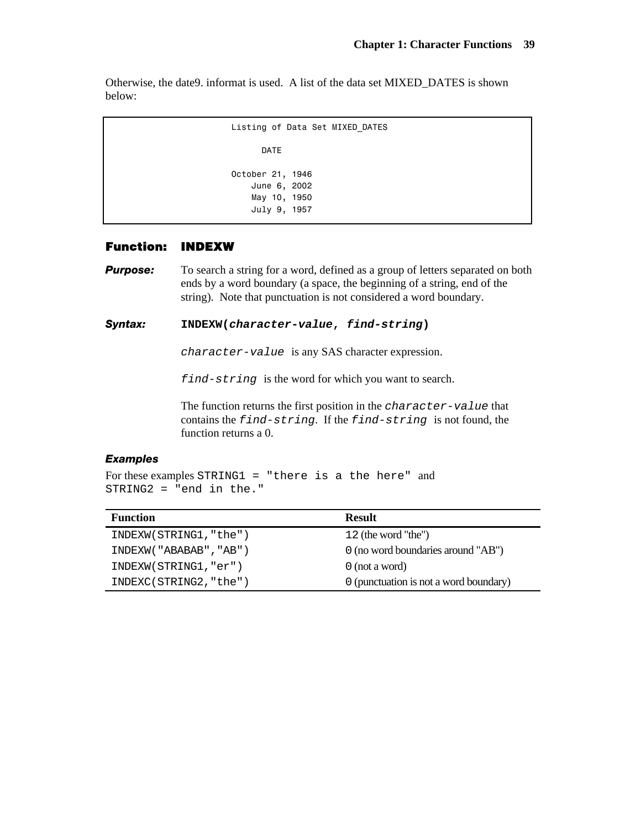Otherwise, the date9. informat is used. A list of the data set MIXED\_DATES is shown below:

```
 Listing of Data Set MIXED_DATES 
       DATE 
 October 21, 1946 
     June 6, 2002 
     May 10, 1950 
     July 9, 1957
```
#### **Function: INDEXW**

**Purpose:** To search a string for a word, defined as a group of letters separated on both ends by a word boundary (a space, the beginning of a string, end of the string). Note that punctuation is not considered a word boundary.

## *Syntax:* **INDEXW(***character-value***,** *find-string***)**

*character-value* is any SAS character expression.

*find-string* is the word for which you want to search.

The function returns the first position in the *character-value* that contains the *find-string*. If the *find-string* is not found, the function returns a 0.

### *Examples*

For these examples STRING1 = "there is a the here" and STRING2 = "end in the."

| <b>Function</b>        | <b>Result</b>                          |
|------------------------|----------------------------------------|
| INDEXW(STRING1, "the") | 12 (the word "the")                    |
| INDEXW("ABABAB", "AB") | 0 (no word boundaries around "AB")     |
| INDEXW(STRING1, "er")  | $0$ (not a word)                       |
| INDEXC(STRING2, "the") | 0 (punctuation is not a word boundary) |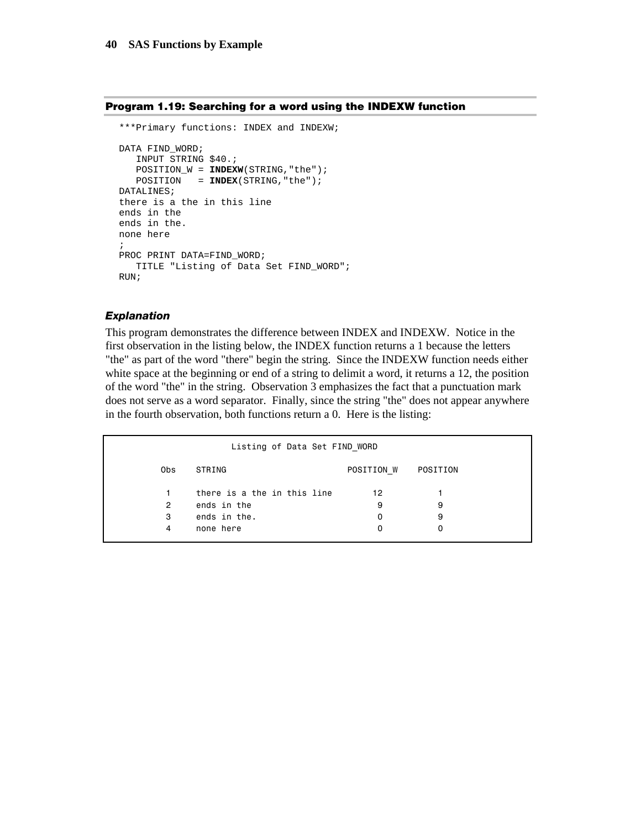```
Program 1.19: Searching for a word using the INDEXW function
```

```
***Primary functions: INDEX and INDEXW; 
DATA FIND_WORD; 
    INPUT STRING $40.; 
    POSITION_W = INDEXW(STRING,"the"); 
    POSITION = INDEX(STRING,"the"); 
DATALINES; 
there is a the in this line 
ends in the 
ends in the. 
none here 
; 
PROC PRINT DATA=FIND WORD;
   TITLE "Listing of Data Set FIND_WORD"; 
RUN;
```
#### *Explanation*

This program demonstrates the difference between INDEX and INDEXW. Notice in the first observation in the listing below, the INDEX function returns a 1 because the letters "the" as part of the word "there" begin the string. Since the INDEXW function needs either white space at the beginning or end of a string to delimit a word, it returns a 12, the position of the word "the" in the string. Observation 3 emphasizes the fact that a punctuation mark does not serve as a word separator. Finally, since the string "the" does not appear anywhere in the fourth observation, both functions return a 0. Here is the listing:

| Listing of Data Set FIND WORD |                             |            |          |  |  |  |
|-------------------------------|-----------------------------|------------|----------|--|--|--|
| Obs                           | STRING                      | POSITION W | POSITION |  |  |  |
| 1.                            | there is a the in this line | 12         |          |  |  |  |
| $\mathbf{2}^{\circ}$          | ends in the                 | 9          | 9        |  |  |  |
| 3                             | ends in the.                | 0          | 9        |  |  |  |
| 4                             | none here                   | 0          |          |  |  |  |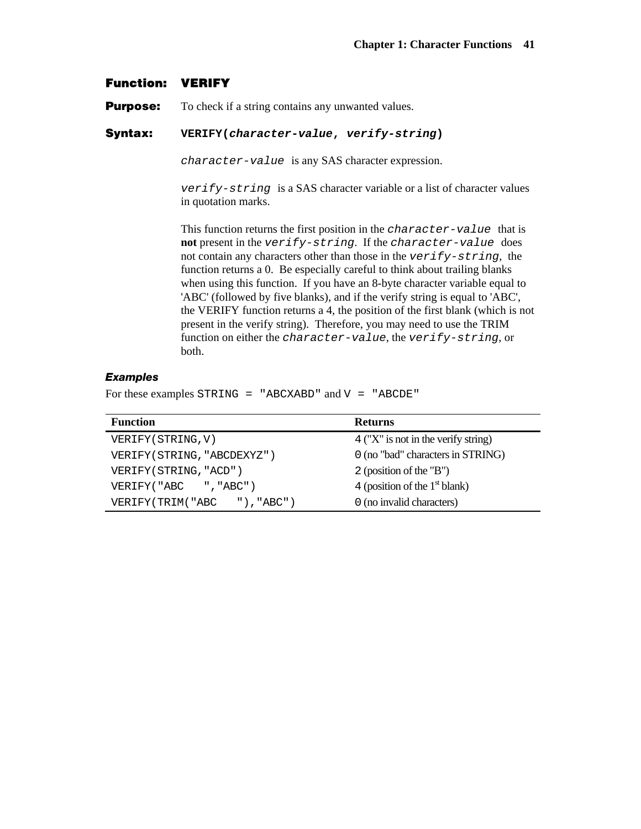## **Function: VERIFY**

**Purpose:** To check if a string contains any unwanted values.

# **Syntax: VERIFY(***character-value***,** *verify-string***)**

*character-value* is any SAS character expression.

*verify-string* is a SAS character variable or a list of character values in quotation marks.

This function returns the first position in the *character-value* that is **not** present in the *verify-string*. If the *character-value* does not contain any characters other than those in the *verify-string*, the function returns a 0. Be especially careful to think about trailing blanks when using this function. If you have an 8-byte character variable equal to 'ABC' (followed by five blanks), and if the verify string is equal to 'ABC', the VERIFY function returns a 4, the position of the first blank (which is not present in the verify string). Therefore, you may need to use the TRIM function on either the *character-value*, the *verify-string*, or both.

## *Examples*

For these examples  $STRING = "ABCXABD"$  and  $V = "ABCDE"$ 

| <b>Function</b>             | <b>Returns</b>                      |
|-----------------------------|-------------------------------------|
| VERIFY (STRING, V)          | 4 ("X" is not in the verify string) |
| VERIFY (STRING, "ABCDEXYZ") | 0 (no "bad" characters in STRING)   |
| VERIFY (STRING, "ACD")      | 2 (position of the "B")             |
| VERIFY("ABC ","ABC")        | 4 (position of the $1st$ blank)     |
| VERIFY(TRIM("ABC "), "ABC") | 0 (no invalid characters)           |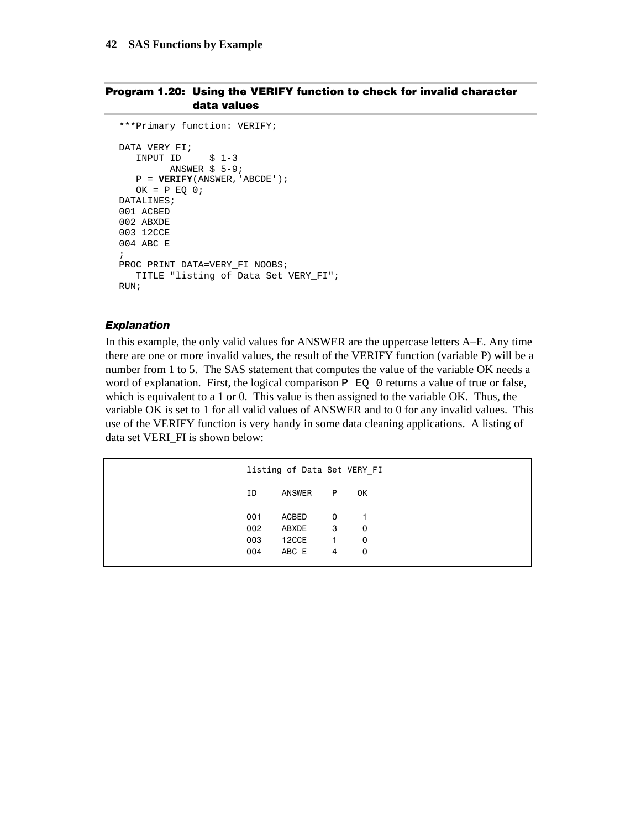### **Program 1.20: Using the VERIFY function to check for invalid character data values**

```
***Primary function: VERIFY; 
DATA VERY_FI; 
   INPUT ID $ 1-3 
         ANSWER $ 5-9; 
    P = VERIFY(ANSWER,'ABCDE'); 
   OK = P EQ O;DATALINES; 
001 ACBED 
002 ABXDE 
003 12CCE 
004 ABC E 
; 
PROC PRINT DATA=VERY_FI NOOBS; 
    TITLE "listing of Data Set VERY_FI"; 
RUN;
```
## *Explanation*

In this example, the only valid values for ANSWER are the uppercase letters A–E. Any time there are one or more invalid values, the result of the VERIFY function (variable P) will be a number from 1 to 5. The SAS statement that computes the value of the variable OK needs a word of explanation. First, the logical comparison  $P \to Q$  0 returns a value of true or false, which is equivalent to a 1 or 0. This value is then assigned to the variable OK. Thus, the variable OK is set to 1 for all valid values of ANSWER and to 0 for any invalid values. This use of the VERIFY function is very handy in some data cleaning applications. A listing of data set VERI\_FI is shown below:

| listing of Data Set VERY FI |         |                          |                |  |
|-----------------------------|---------|--------------------------|----------------|--|
| ΙD                          | ANSWER  | P                        | 0K             |  |
| 001                         | ACBED   | $\overline{\phantom{0}}$ | $\overline{1}$ |  |
| 002                         | ABXDE 3 |                          | 0              |  |
| 003                         | 12CCE   | $\mathbf{1}$             | 0              |  |
| 004                         | ABC E 4 |                          | 0              |  |
|                             |         |                          |                |  |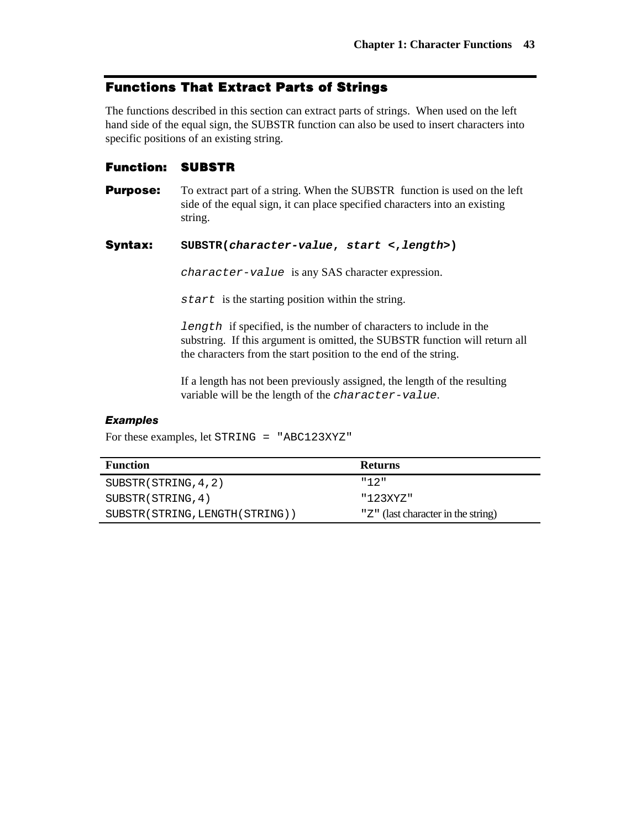# **Functions That Extract Parts of Strings**

The functions described in this section can extract parts of strings. When used on the left hand side of the equal sign, the SUBSTR function can also be used to insert characters into specific positions of an existing string.

# **Function: SUBSTR**

**Purpose:** To extract part of a string. When the SUBSTR function is used on the left side of the equal sign, it can place specified characters into an existing string.

## **Syntax: SUBSTR(***character-value***,** *start* **<,***length***>)**

*character-value* is any SAS character expression.

*start* is the starting position within the string.

*length* if specified, is the number of characters to include in the substring. If this argument is omitted, the SUBSTR function will return all the characters from the start position to the end of the string.

If a length has not been previously assigned, the length of the resulting variable will be the length of the *character-value*.

## *Examples*

For these examples, let STRING = "ABC123XYZ"

| <b>Function</b>                  | <b>Returns</b>                     |
|----------------------------------|------------------------------------|
| SUBSTR (STRING, 4, 2)            | "12"                               |
| SUBSTR (STRING, 4)               | "123XYZ"                           |
| SUBSTR (STRING, LENGTH (STRING)) | "Z" (last character in the string) |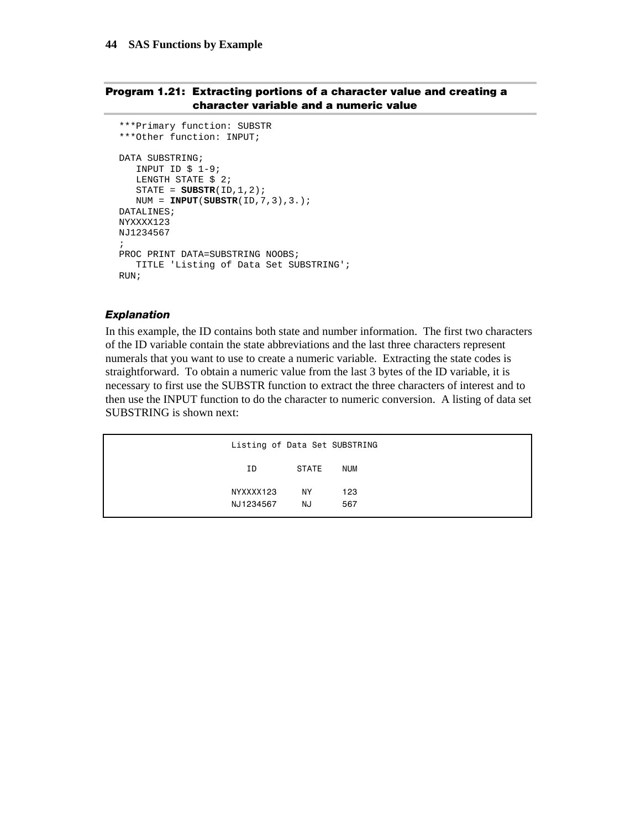## **Program 1.21: Extracting portions of a character value and creating a character variable and a numeric value**

```
***Primary function: SUBSTR 
***Other function: INPUT; 
DATA SUBSTRING; 
   INPUT ID $ 1-9; 
  LENGTH STATE $ 2;
    STATE = SUBSTR(ID,1,2); 
   NUM = INPUT(SUBSTR(ID,7,3),3.); 
DATALINES; 
NYXXXX123 
NJ1234567 
; 
PROC PRINT DATA=SUBSTRING NOOBS;
    TITLE 'Listing of Data Set SUBSTRING'; 
RUN;
```
#### *Explanation*

In this example, the ID contains both state and number information. The first two characters of the ID variable contain the state abbreviations and the last three characters represent numerals that you want to use to create a numeric variable. Extracting the state codes is straightforward. To obtain a numeric value from the last 3 bytes of the ID variable, it is necessary to first use the SUBSTR function to extract the three characters of interest and to then use the INPUT function to do the character to numeric conversion. A listing of data set SUBSTRING is shown next:

| Listing of Data Set SUBSTRING |       |            |  |
|-------------------------------|-------|------------|--|
| ΙD                            | STATE | <b>NUM</b> |  |
| NYXXXX123                     | NY.   | 123        |  |
| NJ1234567                     | NJ    | 567        |  |
|                               |       |            |  |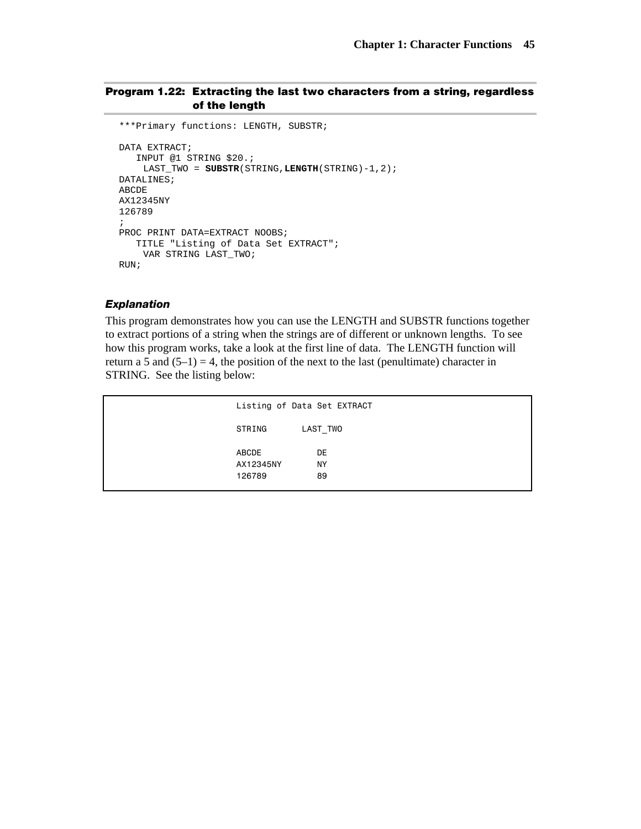## **Program 1.22: Extracting the last two characters from a string, regardless of the length**

```
***Primary functions: LENGTH, SUBSTR; 
DATA EXTRACT; 
    INPUT @1 STRING $20.; 
     LAST_TWO = SUBSTR(STRING,LENGTH(STRING)-1,2); 
DATALINES; 
ABCDE 
AX12345NY 
126789 
; 
PROC PRINT DATA=EXTRACT NOOBS;
    TITLE "Listing of Data Set EXTRACT"; 
     VAR STRING LAST_TWO; 
RUN;
```
#### *Explanation*

This program demonstrates how you can use the LENGTH and SUBSTR functions together to extract portions of a string when the strings are of different or unknown lengths. To see how this program works, take a look at the first line of data. The LENGTH function will return a 5 and  $(5-1) = 4$ , the position of the next to the last (penultimate) character in STRING. See the listing below:

| Listing of Data Set EXTRACT |          |
|-----------------------------|----------|
| STRING                      | LAST TWO |
| <b>ABCDE</b><br>AX12345NY   | DE<br>ΝY |
| 126789                      | 89       |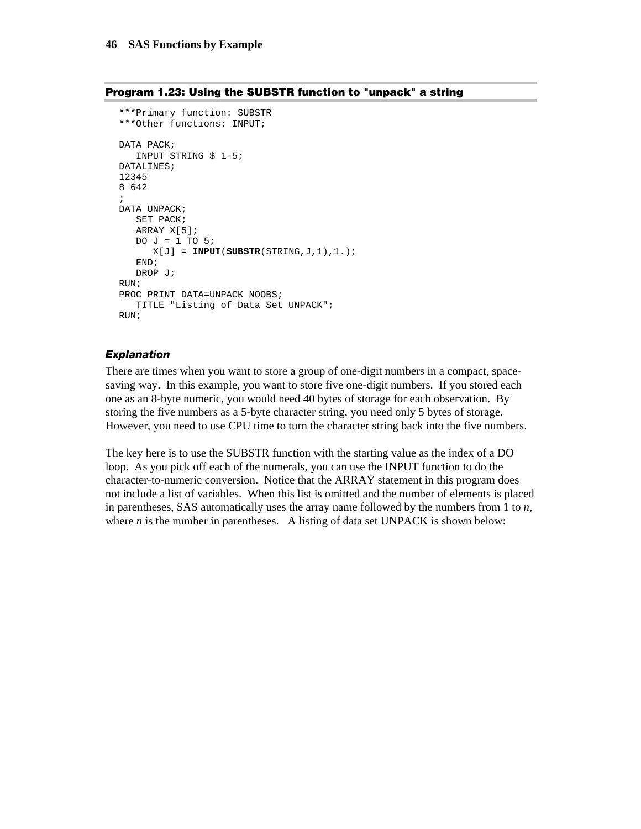```
***Primary function: SUBSTR 
***Other functions: INPUT; 
DATA PACK; 
   INPUT STRING $ 1-5; 
DATALINES; 
12345 
8 642 
; 
DATA UNPACK; 
   SET PACK; 
    ARRAY X[5]; 
   DO J = 1 TO 5;
     X[J] = \text{INPUT}(SUBSTR(STRING, J, 1), 1.); END; 
    DROP J; 
RUN; 
PROC PRINT DATA=UNPACK NOOBS;
    TITLE "Listing of Data Set UNPACK"; 
RIIN;
```
#### **Program 1.23: Using the SUBSTR function to "unpack" a string**

#### *Explanation*

There are times when you want to store a group of one-digit numbers in a compact, spacesaving way. In this example, you want to store five one-digit numbers. If you stored each one as an 8-byte numeric, you would need 40 bytes of storage for each observation. By storing the five numbers as a 5-byte character string, you need only 5 bytes of storage. However, you need to use CPU time to turn the character string back into the five numbers.

The key here is to use the SUBSTR function with the starting value as the index of a DO loop. As you pick off each of the numerals, you can use the INPUT function to do the character-to-numeric conversion. Notice that the ARRAY statement in this program does not include a list of variables. When this list is omitted and the number of elements is placed in parentheses, SAS automatically uses the array name followed by the numbers from 1 to *n*, where  $n$  is the number in parentheses. A listing of data set UNPACK is shown below: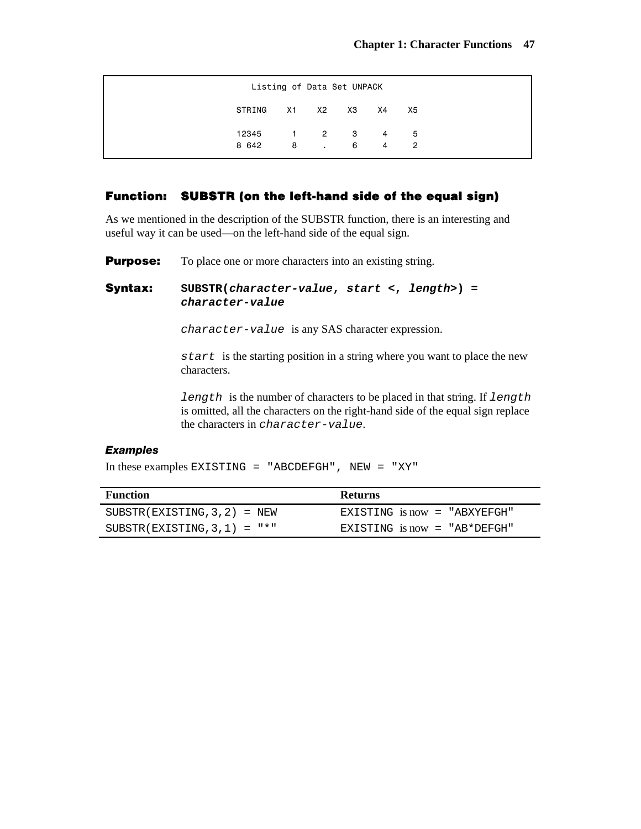| Listing of Data Set UNPACK |  |     |  |                |               |  |  |
|----------------------------|--|-----|--|----------------|---------------|--|--|
| STRING X1 X2 X3 X4         |  |     |  |                | X5            |  |  |
| 12345 1 2 3 4 5            |  |     |  |                |               |  |  |
| 8 642                      |  | 8.6 |  | $\overline{4}$ | $\mathcal{P}$ |  |  |

# **Function: SUBSTR (on the left-hand side of the equal sign)**

As we mentioned in the description of the SUBSTR function, there is an interesting and useful way it can be used—on the left-hand side of the equal sign.

**Purpose:** To place one or more characters into an existing string.

# **Syntax: SUBSTR(***character-value***,** *start* **<,** *length>***) =**  *character-value*

*character-value* is any SAS character expression.

*start* is the starting position in a string where you want to place the new characters.

*length* is the number of characters to be placed in that string. If *length* is omitted, all the characters on the right-hand side of the equal sign replace the characters in *character-value*.

## *Examples*

In these examples EXISTING = "ABCDEFGH", NEW = "XY"

| Function                       | <b>Returns</b>                  |
|--------------------------------|---------------------------------|
| $SUBSTR(EXISTING, 3, 2) = NEW$ | EXISTING is now = "ABXYEFGH"    |
| $SUBSTR(EXISTING, 3, 1) = "*"$ | EXISTING $i$ s now = "AB*DEFGH" |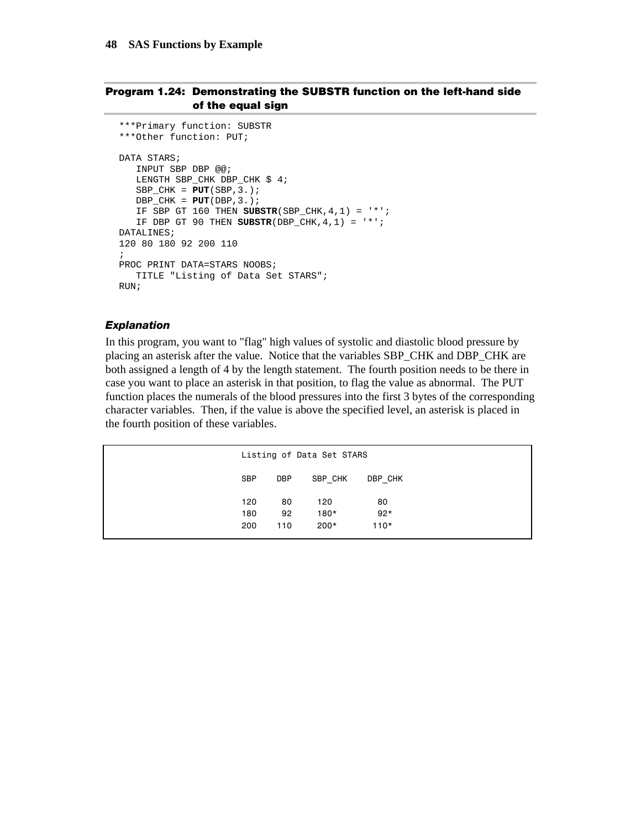## **Program 1.24: Demonstrating the SUBSTR function on the left-hand side of the equal sign**

```
***Primary function: SUBSTR 
***Other function: PUT; 
DATA STARS; 
   INPUT SBP DBP @@; 
    LENGTH SBP_CHK DBP_CHK $ 4; 
    SBP_CHK = PUT(SBP,3.); 
   DBP_CHK = PUT(DBP, 3.); IF SBP GT 160 THEN SUBSTR(SBP_CHK,4,1) = '*'; 
    IF DBP GT 90 THEN SUBSTR(DBP_CHK,4,1) = '*'; 
DATALINES; 
120 80 180 92 200 110 
; 
PROC PRINT DATA=STARS NOOBS; 
    TITLE "Listing of Data Set STARS"; 
RIN;
```
## *Explanation*

In this program, you want to "flag" high values of systolic and diastolic blood pressure by placing an asterisk after the value. Notice that the variables SBP\_CHK and DBP\_CHK are both assigned a length of 4 by the length statement. The fourth position needs to be there in case you want to place an asterisk in that position, to flag the value as abnormal. The PUT function places the numerals of the blood pressures into the first 3 bytes of the corresponding character variables. Then, if the value is above the specified level, an asterisk is placed in the fourth position of these variables.

|            |            | Listing of Data Set STARS |         |
|------------|------------|---------------------------|---------|
| <b>SBP</b> | <b>DBP</b> | SBP CHK                   | DBP CHK |
| 120        | 80         | 120                       | 80      |
| 180        | 92         | $180*$                    | $92*$   |
| 200        | 110        | $200*$                    | $110*$  |
|            |            |                           |         |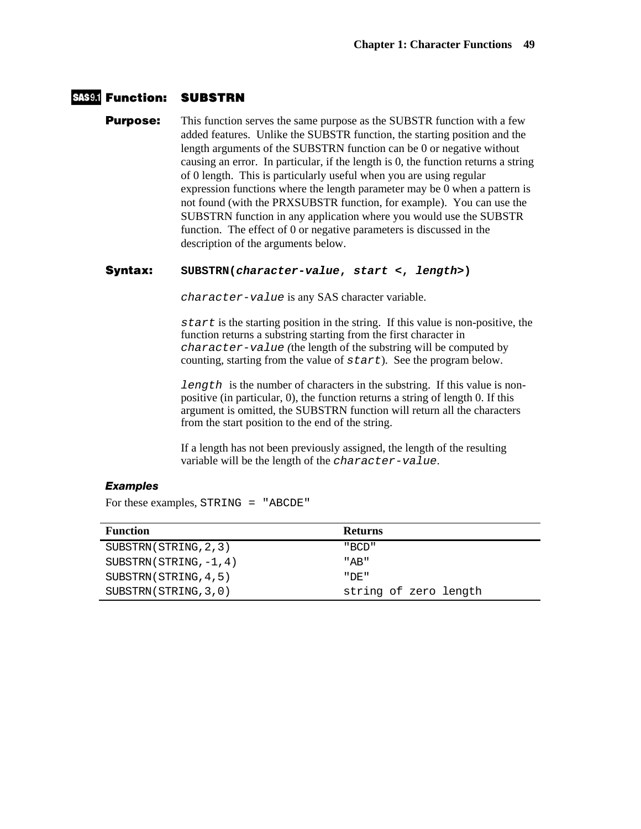## **Function: SUBSTRN**

**Purpose:** This function serves the same purpose as the SUBSTR function with a few added features. Unlike the SUBSTR function, the starting position and the length arguments of the SUBSTRN function can be 0 or negative without causing an error. In particular, if the length is 0, the function returns a string of 0 length. This is particularly useful when you are using regular expression functions where the length parameter may be 0 when a pattern is not found (with the PRXSUBSTR function, for example). You can use the SUBSTRN function in any application where you would use the SUBSTR function. The effect of 0 or negative parameters is discussed in the description of the arguments below.

### **Syntax: SUBSTRN(***character-value***,** *start* **<,** *length>***)**

*character-value* is any SAS character variable.

*start* is the starting position in the string. If this value is non-positive, the function returns a substring starting from the first character in *character-value (*the length of the substring will be computed by counting, starting from the value of *start*). See the program below.

*length* is the number of characters in the substring. If this value is nonpositive (in particular, 0), the function returns a string of length 0. If this argument is omitted, the SUBSTRN function will return all the characters from the start position to the end of the string.

If a length has not been previously assigned, the length of the resulting variable will be the length of the *character-value*.

## *Examples*

For these examples, STRING = "ABCDE"

| <b>Function</b>          | <b>Returns</b>        |
|--------------------------|-----------------------|
| SUBSTRN(STRING, 2, 3)    | "BCD"                 |
| $SUBSTRN(STRING, -1, 4)$ | "AB"                  |
| SUBSTRN(STRING, 4, 5)    | " DE "                |
| SUBSTRN(STRING, 3, 0)    | string of zero length |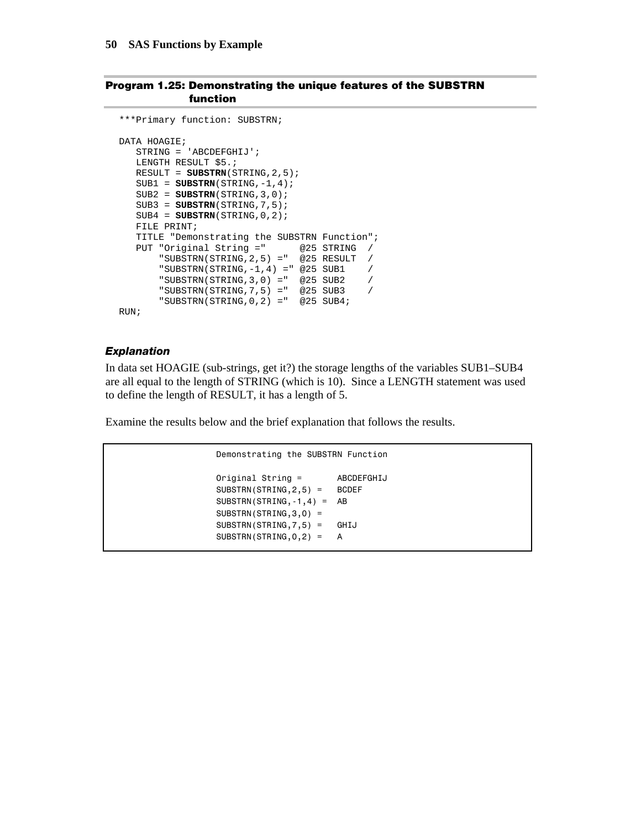#### **Program 1.25: Demonstrating the unique features of the SUBSTRN function**

```
***Primary function: SUBSTRN; 
DATA HOAGIE; 
    STRING = 'ABCDEFGHIJ'; 
   LENGTH RESULT $5.;
    RESULT = SUBSTRN(STRING,2,5); 
    SUB1 = SUBSTRN(STRING,-1,4); 
   SUB2 = SUBSTRN(STRING, 3, 0); SUB3 = SUBSTRN(STRING,7,5); 
    SUB4 = SUBSTRN(STRING,0,2); 
    FILE PRINT; 
    TITLE "Demonstrating the SUBSTRN Function"; 
    PUT "Original String =" @25 STRING / 
       "SUBSTRN(STRING, 2, 5) = " @25 RESULT /
        "SUBSTRN(STRING,-1,4) =" @25 SUB1 / 
        "SUBSTRN(STRING,3,0) =" @25 SUB2 / 
        "SUBSTRN(STRING,7,5) =" @25 SUB3 / 
        "SUBSTRN(STRING,0,2) =" @25 SUB4; 
RUN;
```
#### *Explanation*

In data set HOAGIE (sub-strings, get it?) the storage lengths of the variables SUB1–SUB4 are all equal to the length of STRING (which is 10). Since a LENGTH statement was used to define the length of RESULT, it has a length of 5.

Examine the results below and the brief explanation that follows the results.

```
 Demonstrating the SUBSTRN Function 
 Original String = ABCDEFGHIJ 
 SUBSTRN(STRING,2,5) = BCDEF 
 SUBSTRN(STRING,-1,4) = AB 
 SUBSTRN(STRING,3,0) = 
 SUBSTRN(STRING,7,5) = GHIJ 
SUBSTRN(STRING, 0, 2) = A
```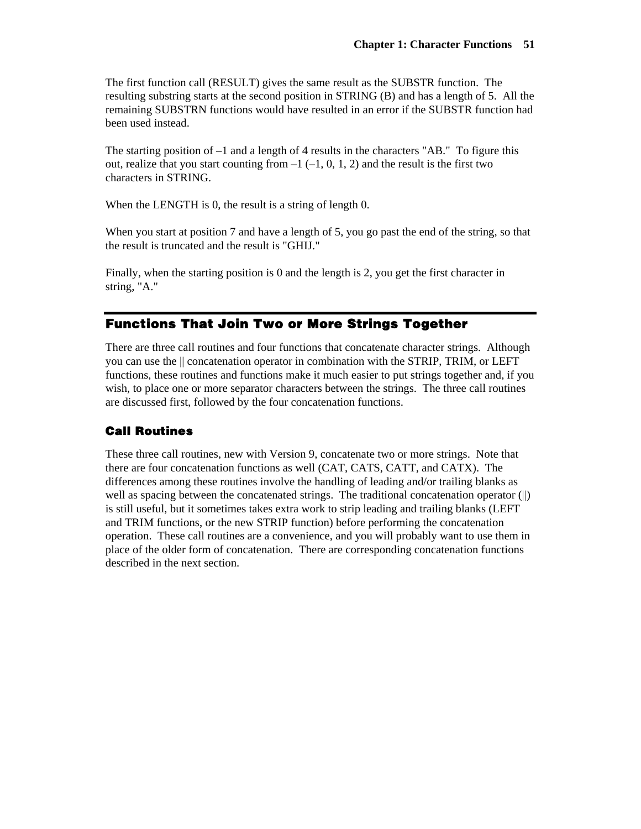The first function call (RESULT) gives the same result as the SUBSTR function. The resulting substring starts at the second position in STRING (B) and has a length of 5. All the remaining SUBSTRN functions would have resulted in an error if the SUBSTR function had been used instead.

The starting position of –1 and a length of 4 results in the characters "AB." To figure this out, realize that you start counting from  $-1$  ( $-1$ , 0, 1, 2) and the result is the first two characters in STRING.

When the LENGTH is 0, the result is a string of length 0.

When you start at position 7 and have a length of 5, you go past the end of the string, so that the result is truncated and the result is "GHIJ."

Finally, when the starting position is 0 and the length is 2, you get the first character in string, "A."

# **Functions That Join Two or More Strings Together**

There are three call routines and four functions that concatenate character strings. Although you can use the || concatenation operator in combination with the STRIP, TRIM, or LEFT functions, these routines and functions make it much easier to put strings together and, if you wish, to place one or more separator characters between the strings. The three call routines are discussed first, followed by the four concatenation functions.

# **Call Routines**

These three call routines, new with Version 9, concatenate two or more strings. Note that there are four concatenation functions as well (CAT, CATS, CATT, and CATX). The differences among these routines involve the handling of leading and/or trailing blanks as well as spacing between the concatenated strings. The traditional concatenation operator (||) is still useful, but it sometimes takes extra work to strip leading and trailing blanks (LEFT and TRIM functions, or the new STRIP function) before performing the concatenation operation. These call routines are a convenience, and you will probably want to use them in place of the older form of concatenation. There are corresponding concatenation functions described in the next section.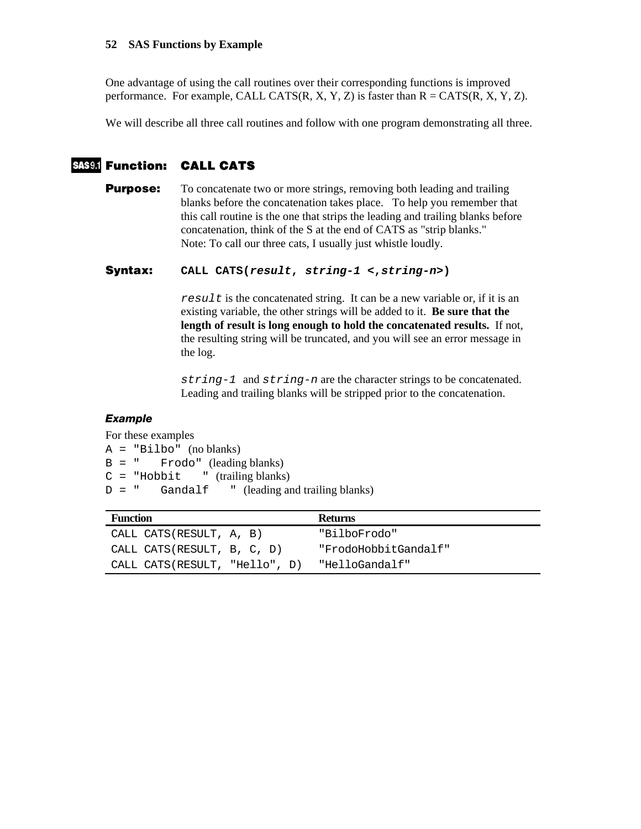### **52 SAS Functions by Example**

One advantage of using the call routines over their corresponding functions is improved performance. For example, CALL CATS(R, X, Y, Z) is faster than  $R = CATS(R, X, Y, Z)$ .

We will describe all three call routines and follow with one program demonstrating all three.

# **Function: CALL CATS**

**Purpose:** To concatenate two or more strings, removing both leading and trailing blanks before the concatenation takes place. To help you remember that this call routine is the one that strips the leading and trailing blanks before concatenation, think of the S at the end of CATS as "strip blanks." Note: To call our three cats, I usually just whistle loudly.

## **Syntax: CALL CATS(***result***,** *string-1* **<,***string-n***>)**

*result* is the concatenated string. It can be a new variable or, if it is an existing variable, the other strings will be added to it. **Be sure that the length of result is long enough to hold the concatenated results.** If not, the resulting string will be truncated, and you will see an error message in the log.

*string-1* and *string-n* are the character strings to be concatenated. Leading and trailing blanks will be stripped prior to the concatenation.

# *Example*

For these examples A = "Bilbo" (no blanks)  $B = "$  Frodo" (leading blanks)  $C = "Hobbit" (training blanks)$  $D = "$  Gandalf " (leading and trailing blanks)

| <b>Function</b>               | <b>Returns</b>       |
|-------------------------------|----------------------|
| CALL CATS(RESULT, A, B)       | "BilboFrodo"         |
| CALL CATS(RESULT, B, C, D)    | "FrodoHobbitGandalf" |
| CALL CATS(RESULT, "Hello", D) | "HelloGandalf"       |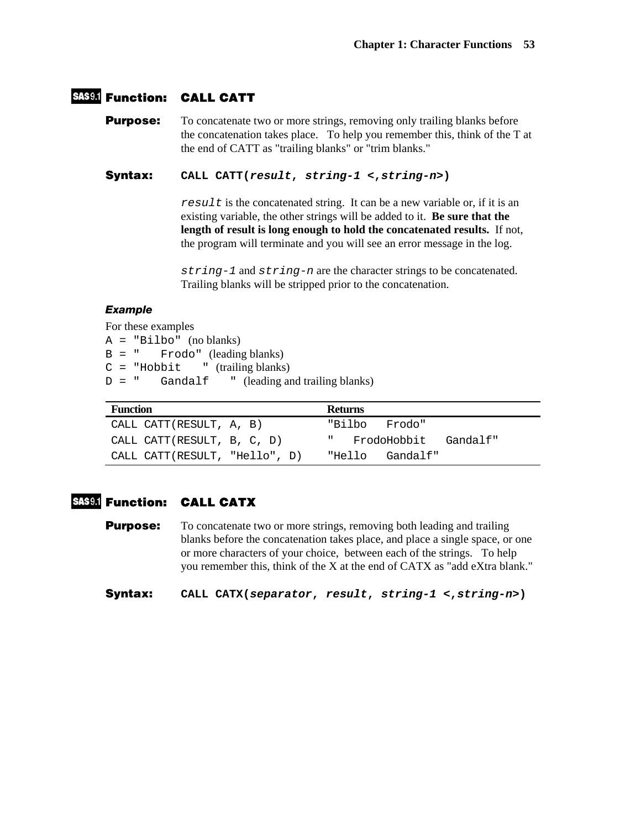# **Function: CALL CATT**

**Purpose:** To concatenate two or more strings, removing only trailing blanks before the concatenation takes place. To help you remember this, think of the T at the end of CATT as "trailing blanks" or "trim blanks."

**Syntax: CALL CATT(***result***,** *string-1* **<,***string-n***>)** 

*result* is the concatenated string. It can be a new variable or, if it is an existing variable, the other strings will be added to it. **Be sure that the length of result is long enough to hold the concatenated results.** If not, the program will terminate and you will see an error message in the log.

*string-1* and *string-n* are the character strings to be concatenated. Trailing blanks will be stripped prior to the concatenation.

# *Example*

For these examples A = "Bilbo" (no blanks) B = " Frodo" (leading blanks)  $C = "Hobbit" (training blanks)$  $D =$  " Gandalf " (leading and trailing blanks)

| <b>Function</b>               | <b>Returns</b>                          |
|-------------------------------|-----------------------------------------|
| CALL CATT(RESULT, A, B)       | "Bilbo<br>Frodo"                        |
| CALL CATT(RESULT, B, C, D)    | FrodoHobbit<br><b>H</b> and<br>Gandalf" |
| CALL CATT(RESULT, "Hello", D) | "Hello<br>Gandalf"                      |

# **Function: CALL CATX**

**Purpose:** To concatenate two or more strings, removing both leading and trailing blanks before the concatenation takes place, and place a single space, or one or more characters of your choice, between each of the strings. To help you remember this, think of the X at the end of CATX as "add eXtra blank."

**Syntax: CALL CATX(***separator***,** *result***,** *string-1* **<,***string-n***>)**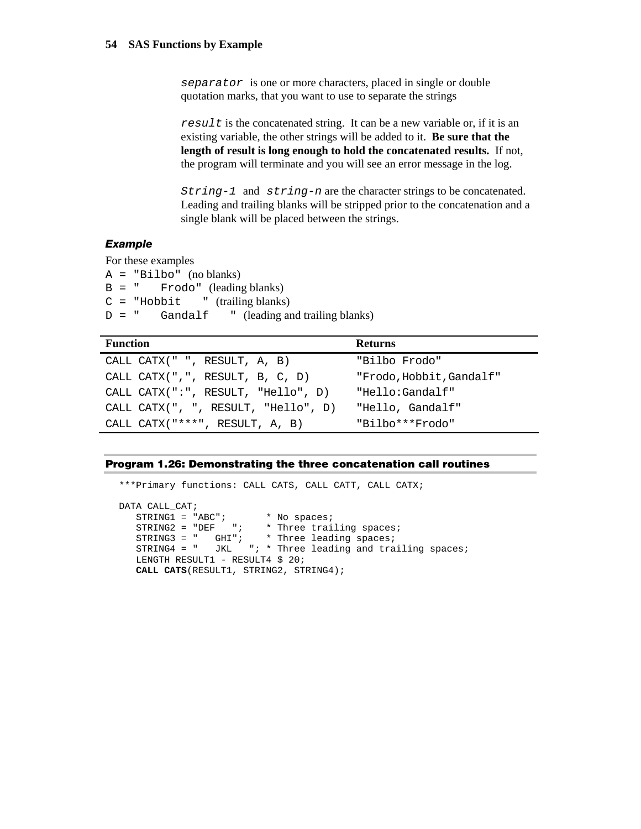*separator* is one or more characters, placed in single or double quotation marks, that you want to use to separate the strings

*result* is the concatenated string. It can be a new variable or, if it is an existing variable, the other strings will be added to it. **Be sure that the length of result is long enough to hold the concatenated results.** If not, the program will terminate and you will see an error message in the log.

*String-1* and *string-n* are the character strings to be concatenated. Leading and trailing blanks will be stripped prior to the concatenation and a single blank will be placed between the strings.

# *Example*

For these examples A = "Bilbo" (no blanks) B = " Frodo" (leading blanks)  $C = "Hobbit" (training blanks)$  $D = "$  Gandalf " (leading and trailing blanks)

| <b>Function</b>                      | <b>Returns</b>           |
|--------------------------------------|--------------------------|
| CALL CATX(" ", RESULT, A, B)         | "Bilbo Frodo"            |
| CALL CATX $($ ", ", RESULT, B, C, D) | "Frodo, Hobbit, Gandalf" |
| CALL CATX(":", RESULT, "Hello", D)   | "Hello:Gandalf"          |
| CALL CATX(", ", RESULT, "Hello", D)  | "Hello, Gandalf"         |
| CALL CATX("***", RESULT, A, B)       | "Bilbo***Frodo"          |

#### **Program 1.26: Demonstrating the three concatenation call routines**

```
***Primary functions: CALL CATS, CALL CATT, CALL CATX; 
DATA CALL_CAT; 
  STRING1 = "ABC"; * No spaces;
STRING2 = "DEF "; * Three trailing spaces;
 STRING3 = " GHI"; * Three leading spaces; 
 STRING4 = " JKL "; * Three leading and trailing spaces; 
  LENGTH RESULT1 - RESULT4 $ 20;
   CALL CATS(RESULT1, STRING2, STRING4);
```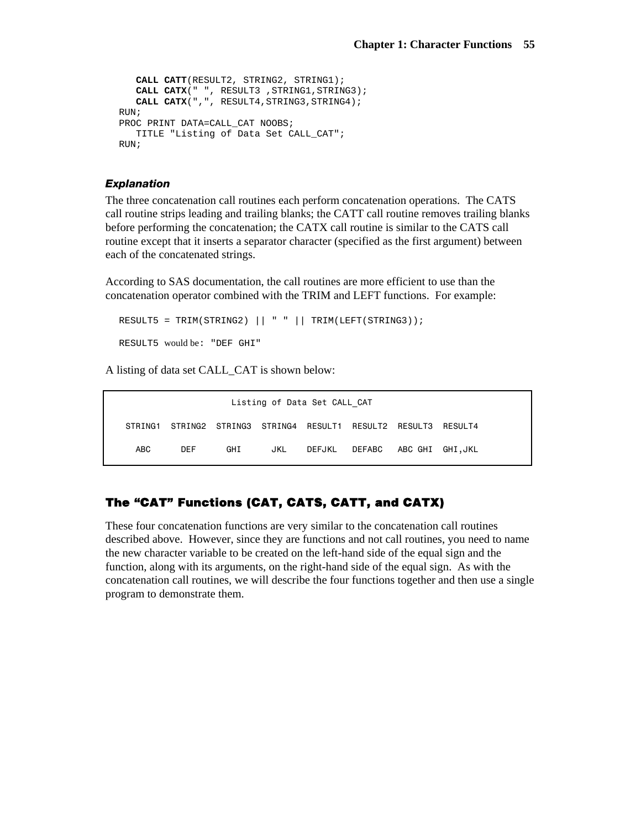```
 CALL CATT(RESULT2, STRING2, STRING1); 
   CALL CATX(" ", RESULT3 , STRING1, STRING3);
    CALL CATX(",", RESULT4,STRING3,STRING4); 
RUN; 
PROC PRINT DATA=CALL_CAT NOOBS;
   TITLE "Listing of Data Set CALL_CAT"; 
RIJN;
```
#### *Explanation*

The three concatenation call routines each perform concatenation operations. The CATS call routine strips leading and trailing blanks; the CATT call routine removes trailing blanks before performing the concatenation; the CATX call routine is similar to the CATS call routine except that it inserts a separator character (specified as the first argument) between each of the concatenated strings.

According to SAS documentation, the call routines are more efficient to use than the concatenation operator combined with the TRIM and LEFT functions. For example:

```
RESULT5 = TRIM(STRING2) || " " || TRIM(LEFT(STRING3));
RESULT5 would be: "DEF GHI"
```
A listing of data set CALL\_CAT is shown below:

| Listing of Data Set CALL CAT |            |     |     |  |                                                                 |  |  |
|------------------------------|------------|-----|-----|--|-----------------------------------------------------------------|--|--|
|                              |            |     |     |  | STRING1 STRING2 STRING3 STRING4 RESULT1 RESULT2 RESULT3 RESULT4 |  |  |
| ABC                          | <b>DFF</b> | GHI | JKL |  | DEFJKL DEFABC ABC GHI GHI,JKL                                   |  |  |

# **The "CAT" Functions (CAT, CATS, CATT, and CATX)**

These four concatenation functions are very similar to the concatenation call routines described above. However, since they are functions and not call routines, you need to name the new character variable to be created on the left-hand side of the equal sign and the function, along with its arguments, on the right-hand side of the equal sign. As with the concatenation call routines, we will describe the four functions together and then use a single program to demonstrate them.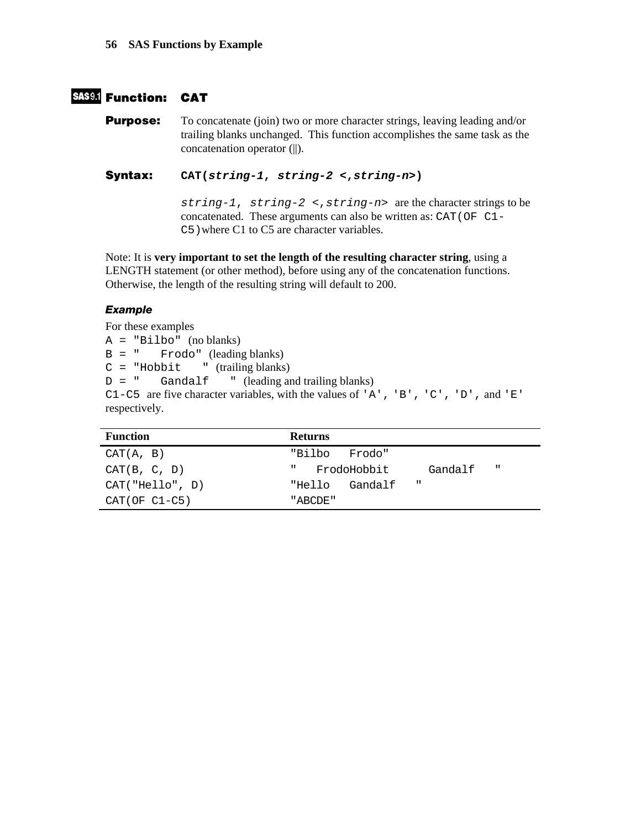# **Function: CAT**

**Purpose:** To concatenate (join) two or more character strings, leaving leading and/or trailing blanks unchanged. This function accomplishes the same task as the concatenation operator (||).

**Syntax: CAT(***string-1***,** *string-2* **<,***string-n***>)** 

*string-1*, *string-2* <,*string-n*> are the character strings to be concatenated. These arguments can also be written as: CAT(OF C1- C5)where C1 to C5 are character variables.

Note: It is **very important to set the length of the resulting character string**, using a LENGTH statement (or other method), before using any of the concatenation functions. Otherwise, the length of the resulting string will default to 200.

# *Example*

For these examples A = "Bilbo" (no blanks) B = " Frodo" (leading blanks)  $C = "Hobbit" (training blanks)$  $D = "$  Gandalf " (leading and trailing blanks) C1-C5 are five character variables, with the values of 'A', 'B', 'C', 'D', and 'E' respectively.

| <b>Function</b>  | <b>Returns</b>                               |
|------------------|----------------------------------------------|
| CAT(A, B)        | "Bilbo<br>Frodo"                             |
| CAT(B, C, D)     | $\mathbf{H}$<br>FrodoHobbit<br>Gandalf<br>п. |
| CAT('Hello'', D) | $\mathbf{H}$<br>Gandalf<br>"Hello            |
| $CAT(OF C1-C5)$  | "ABCDE"                                      |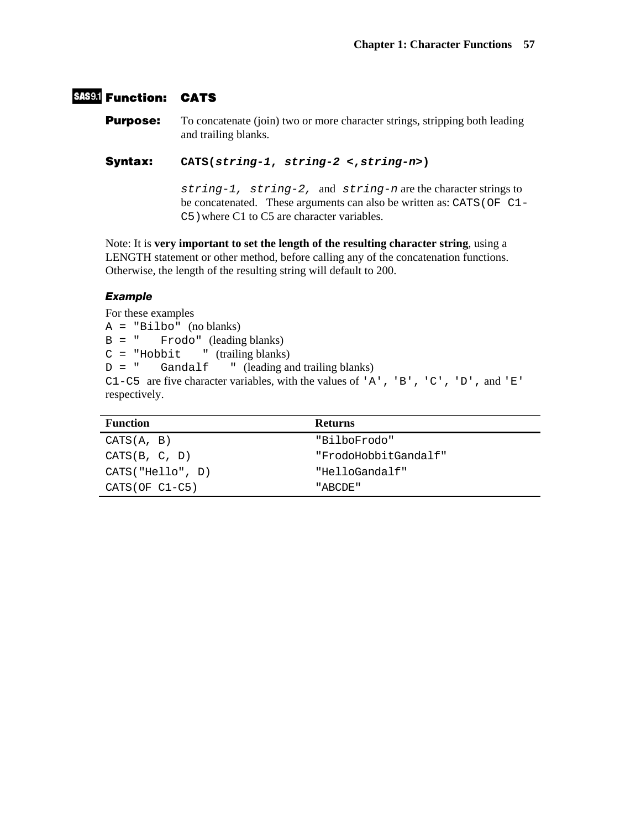# **SAS9.1 Function: CATS**

**Purpose:** To concatenate (join) two or more character strings, stripping both leading and trailing blanks.

**Syntax: CATS(***string-1***,** *string-2* **<,***string-n***>)** 

*string-1, string-2,* and *string-n* are the character strings to be concatenated. These arguments can also be written as: CATS (OF C1-C5)where C1 to C5 are character variables.

Note: It is **very important to set the length of the resulting character string**, using a LENGTH statement or other method, before calling any of the concatenation functions. Otherwise, the length of the resulting string will default to 200.

# *Example*

For these examples

A = "Bilbo" (no blanks)  $B = "$  Frodo" (leading blanks)  $C = "Hobbit" (training blanks)$  $D = "$  Gandalf " (leading and trailing blanks) C1-C5 are five character variables, with the values of 'A', 'B', 'C', 'D', and 'E' respectively.

| <b>Function</b>  | <b>Returns</b>       |
|------------------|----------------------|
| CATS(A, B)       | "BilboFrodo"         |
| CATS(B, C, D)    | "FrodoHobbitGandalf" |
| CATS("Hello", D) | "HelloGandalf"       |
| $CATS(OF C1-C5)$ | "ABCDE"              |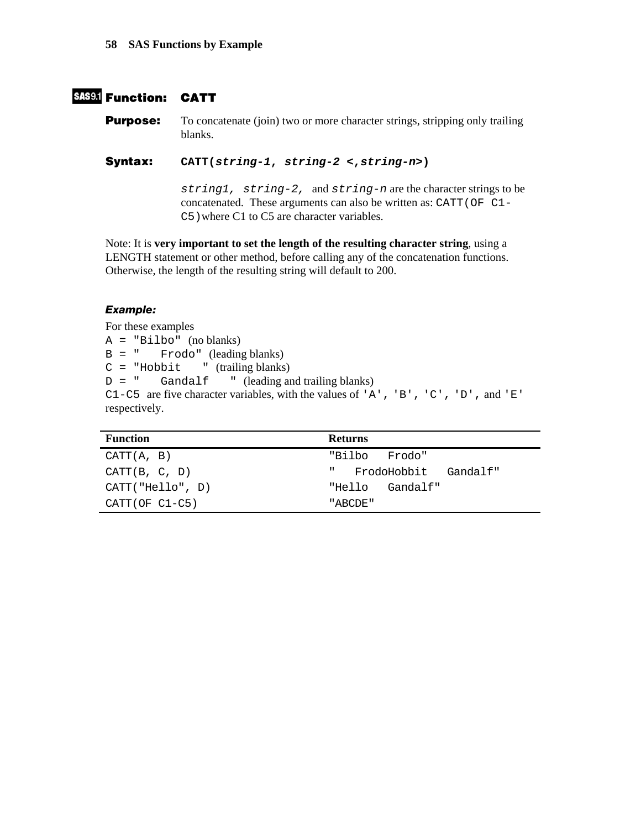# **Function: CATT**

**Purpose:** To concatenate (join) two or more character strings, stripping only trailing blanks.

**Syntax: CATT(***string-1***,** *string-2* **<,***string-n***>)** 

*string1, string-2,* and *string-n* are the character strings to be concatenated. These arguments can also be written as: CATT(OF C1- C5)where C1 to C5 are character variables.

Note: It is **very important to set the length of the resulting character string**, using a LENGTH statement or other method, before calling any of the concatenation functions. Otherwise, the length of the resulting string will default to 200.

# *Example:*

For these examples A = "Bilbo" (no blanks) B = " Frodo" (leading blanks)  $C = "Hobbit" (training blanks)$  $D = "$  Gandalf " (leading and trailing blanks) C1-C5 are five character variables, with the values of 'A', 'B', 'C', 'D', and 'E' respectively.

| <b>Function</b>  | <b>Returns</b>                                      |
|------------------|-----------------------------------------------------|
| CATT(A, B)       | "Bilbo<br>Frodo"                                    |
| CATT(B, C, D)    | <b>Contract Contract</b><br>FrodoHobbit<br>Gandalf" |
| CATT("Hello", D) | Gandalf"<br>"Hello                                  |
| $CATT(OF C1-C5)$ | "ABCDE"                                             |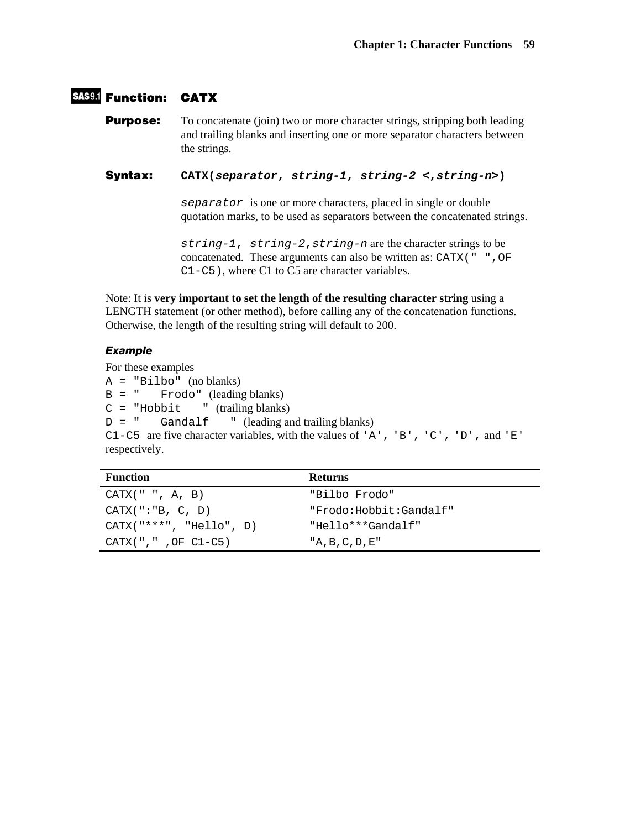# **Function: CATX**

**Purpose:** To concatenate (join) two or more character strings, stripping both leading and trailing blanks and inserting one or more separator characters between the strings.

**Syntax: CATX(***separator***,** *string-1***,** *string-2* **<,***string-n***>)** 

*separator* is one or more characters, placed in single or double quotation marks, to be used as separators between the concatenated strings.

*string-1*, *string-2*,*string-n* are the character strings to be concatenated. These arguments can also be written as:  $CATX$ ( $" "$ C1-C5), where C1 to C5 are character variables.

Note: It is **very important to set the length of the resulting character string** using a LENGTH statement (or other method), before calling any of the concatenation functions. Otherwise, the length of the resulting string will default to 200.

# *Example*

For these examples A = "Bilbo" (no blanks) B = " Frodo" (leading blanks)  $C = "Hobbit" (training blanks)$  $D =$  " Gandalf " (leading and trailing blanks) C1-C5 are five character variables, with the values of 'A', 'B', 'C', 'D', and 'E' respectively.

| <b>Function</b>           | <b>Returns</b>         |
|---------------------------|------------------------|
| CATX(' " " , A, B)        | "Bilbo Frodo"          |
| CATX("::B, C, D)          | "Frodo:Hobbit:Gandalf" |
| $CATX("***", "Hello", D)$ | "Hello***Gandalf"      |
| $CATX('', "', OF C1-C5)$  | $'A$ , B, C, D, E"     |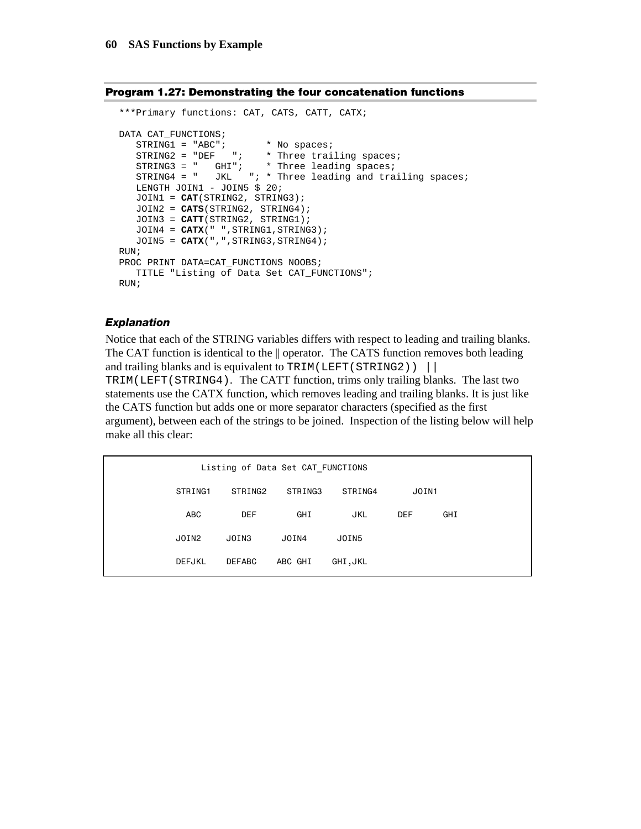#### **Program 1.27: Demonstrating the four concatenation functions**

```
***Primary functions: CAT, CATS, CATT, CATX; 
DATA CAT_FUNCTIONS; 
STRING1 = "ABC"; * No spaces;
STRING2 = "DEF "; * Three trailing spaces;
 STRING3 = " GHI"; * Three leading spaces; 
 STRING4 = " JKL "; * Three leading and trailing spaces; 
    LENGTH JOIN1 - JOIN5 $ 20; 
    JOIN1 = CAT(STRING2, STRING3); 
    JOIN2 = CATS(STRING2, STRING4); 
    JOIN3 = CATT(STRING2, STRING1); 
   JOIN4 = CATX(" ", STRING1, STRING3);
  JOIN5 = CATX(",",STRING3,STRING4);
RUN; 
PROC PRINT DATA=CAT_FUNCTIONS NOOBS;
    TITLE "Listing of Data Set CAT_FUNCTIONS"; 
RUN;
```
#### *Explanation*

Notice that each of the STRING variables differs with respect to leading and trailing blanks. The CAT function is identical to the  $\parallel$  operator. The CATS function removes both leading and trailing blanks and is equivalent to TRIM(LEFT( $STRING2$ )) | TRIM(LEFT(STRING4). The CATT function, trims only trailing blanks. The last two

statements use the CATX function, which removes leading and trailing blanks. It is just like the CATS function but adds one or more separator characters (specified as the first argument), between each of the strings to be joined. Inspection of the listing below will help make all this clear:

| Listing of Data Set CAT FUNCTIONS |               |         |            |            |     |  |
|-----------------------------------|---------------|---------|------------|------------|-----|--|
| STRING1                           | STRING2       | STRING3 | STRING4    | JOIN1      |     |  |
| <b>ABC</b>                        | <b>DEF</b>    | GHI     | <b>JKL</b> | <b>DEF</b> | GHI |  |
| JOIN2                             | JOIN3         | JOIN4   | JOIN5      |            |     |  |
| <b>DEFJKL</b>                     | <b>DEFABC</b> | ABC GHI | GHI, JKL   |            |     |  |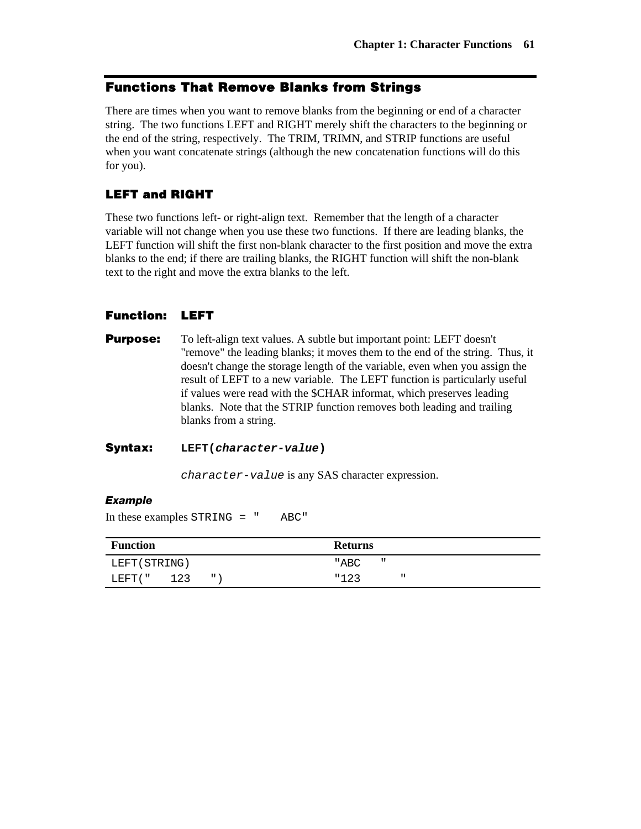# **Functions That Remove Blanks from Strings**

There are times when you want to remove blanks from the beginning or end of a character string. The two functions LEFT and RIGHT merely shift the characters to the beginning or the end of the string, respectively. The TRIM, TRIMN, and STRIP functions are useful when you want concatenate strings (although the new concatenation functions will do this for you).

# **LEFT and RIGHT**

These two functions left- or right-align text. Remember that the length of a character variable will not change when you use these two functions. If there are leading blanks, the LEFT function will shift the first non-blank character to the first position and move the extra blanks to the end; if there are trailing blanks, the RIGHT function will shift the non-blank text to the right and move the extra blanks to the left.

# **Function: LEFT**

**Purpose:** To left-align text values. A subtle but important point: LEFT doesn't "remove" the leading blanks; it moves them to the end of the string. Thus, it doesn't change the storage length of the variable, even when you assign the result of LEFT to a new variable. The LEFT function is particularly useful if values were read with the \$CHAR informat, which preserves leading blanks. Note that the STRIP function removes both leading and trailing blanks from a string.

### **Syntax: LEFT(***character-value***)**

*character-value* is any SAS character expression.

#### *Example*

In these examples STRING = " ABC"

| <b>Function</b> |     |              | <b>Returns</b>       |
|-----------------|-----|--------------|----------------------|
| LEFT (STRING)   |     |              | $\mathbf{u}$<br>"ABC |
| LEFT ( "        | 123 | $\mathbf{H}$ | "123<br>ш            |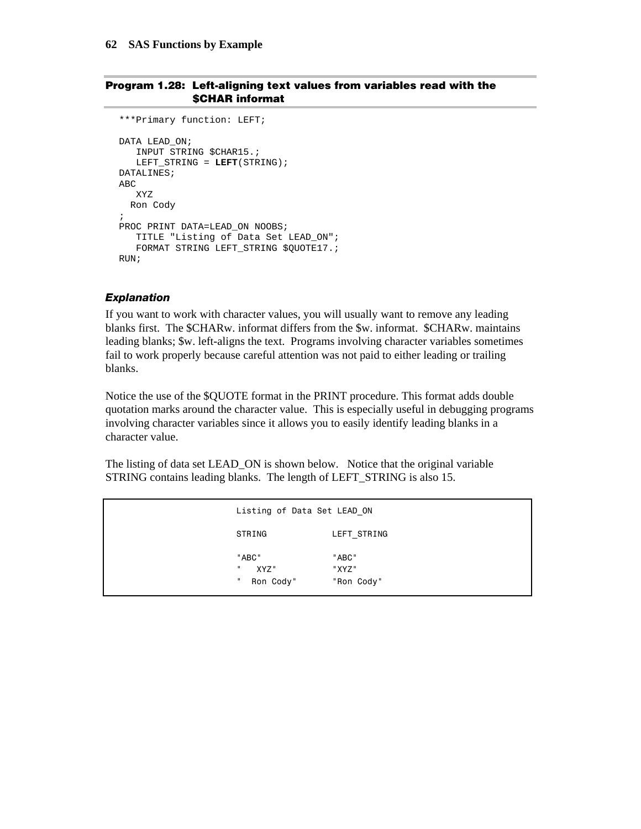#### **Program 1.28: Left-aligning text values from variables read with the \$CHAR informat**

```
***Primary function: LEFT; 
DATA LEAD_ON; 
   INPUT STRING $CHAR15.; 
    LEFT_STRING = LEFT(STRING); 
DATALINES; 
ABC 
    XYZ 
  Ron Cody 
; 
PROC PRINT DATA=LEAD ON NOOBS;
    TITLE "Listing of Data Set LEAD_ON"; 
    FORMAT STRING LEFT_STRING $QUOTE17.; 
RUN;
```
#### *Explanation*

If you want to work with character values, you will usually want to remove any leading blanks first. The \$CHARw. informat differs from the \$w. informat. \$CHARw. maintains leading blanks; \$w. left-aligns the text. Programs involving character variables sometimes fail to work properly because careful attention was not paid to either leading or trailing blanks.

Notice the use of the \$QUOTE format in the PRINT procedure. This format adds double quotation marks around the character value. This is especially useful in debugging programs involving character variables since it allows you to easily identify leading blanks in a character value.

The listing of data set LEAD\_ON is shown below. Notice that the original variable STRING contains leading blanks. The length of LEFT\_STRING is also 15.

| Listing of Data Set LEAD ON                      |                              |  |
|--------------------------------------------------|------------------------------|--|
| STRING                                           | LEFT STRING                  |  |
| "ABC"<br>$\mathbf{u}$<br>XYZ"<br>ш.<br>Ron Cody" | "ABC"<br>"XYZ"<br>"Ron Cody" |  |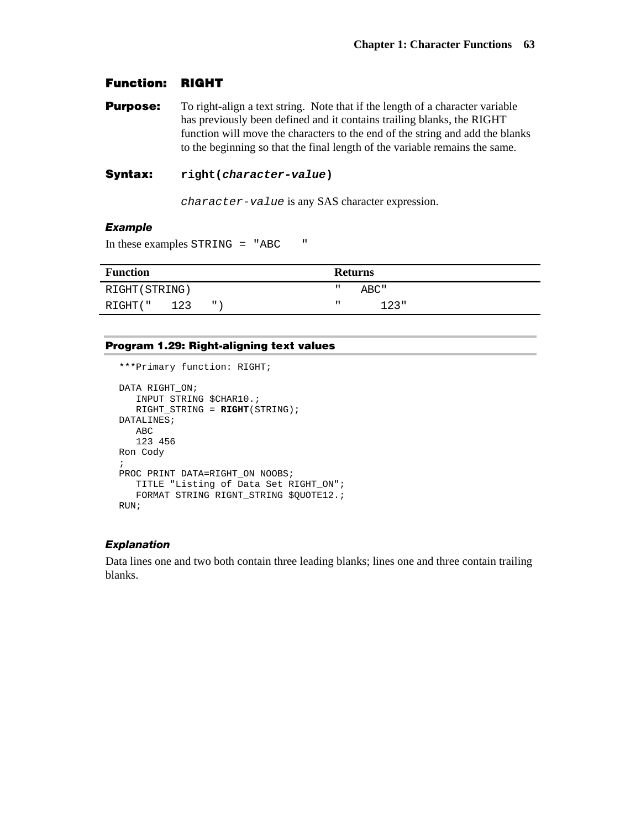# **Function: RIGHT**

**Purpose:** To right-align a text string. Note that if the length of a character variable has previously been defined and it contains trailing blanks, the RIGHT function will move the characters to the end of the string and add the blanks to the beginning so that the final length of the variable remains the same.

### **Syntax: right(***character-value***)**

*character-value* is any SAS character expression.

#### *Example*

In these examples STRING = "ABC "

| <b>Function</b> |     |              | <b>Returns</b> |      |  |
|-----------------|-----|--------------|----------------|------|--|
| RIGHT(STRING)   |     |              | "              | ABC" |  |
| RIGHT("         | 123 | $\mathbf{H}$ | п.             | 123" |  |

#### **Program 1.29: Right-aligning text values**

```
***Primary function: RIGHT;
```

```
DATA RIGHT_ON; 
    INPUT STRING $CHAR10.; 
    RIGHT_STRING = RIGHT(STRING); 
DATALINES; 
    ABC 
    123 456 
Ron Cody 
; 
PROC PRINT DATA=RIGHT_ON NOOBS; 
    TITLE "Listing of Data Set RIGHT_ON"; 
    FORMAT STRING RIGNT_STRING $QUOTE12.; 
RUN;
```
#### *Explanation*

Data lines one and two both contain three leading blanks; lines one and three contain trailing blanks.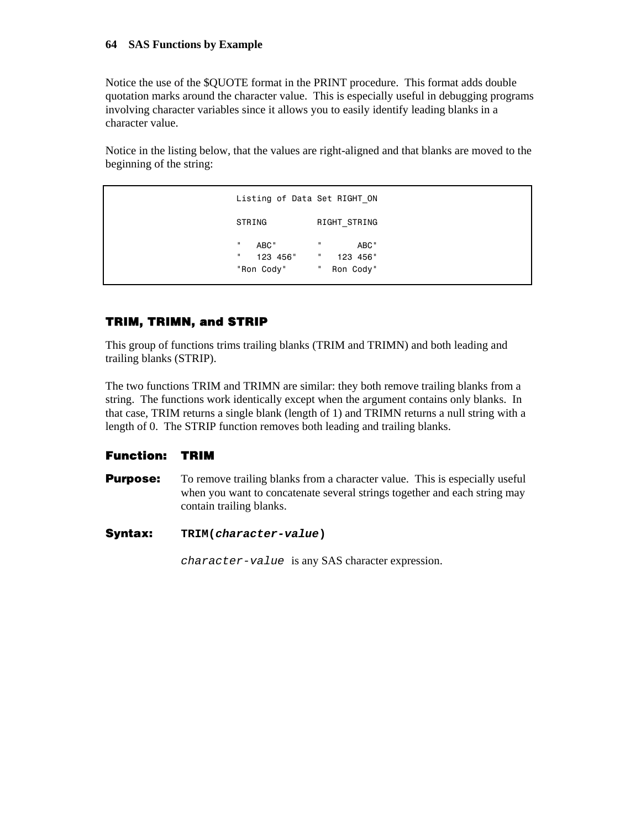## **64 SAS Functions by Example**

Notice the use of the \$QUOTE format in the PRINT procedure. This format adds double quotation marks around the character value. This is especially useful in debugging programs involving character variables since it allows you to easily identify leading blanks in a character value.

Notice in the listing below, that the values are right-aligned and that blanks are moved to the beginning of the string:

 Listing of Data Set RIGHT\_ON STRING RIGHT\_STRING " ABC" " ABC" " 123 456" " 123 456" "Ron Cody" " Ron Cody"

# **TRIM, TRIMN, and STRIP**

This group of functions trims trailing blanks (TRIM and TRIMN) and both leading and trailing blanks (STRIP).

The two functions TRIM and TRIMN are similar: they both remove trailing blanks from a string. The functions work identically except when the argument contains only blanks. In that case, TRIM returns a single blank (length of 1) and TRIMN returns a null string with a length of 0. The STRIP function removes both leading and trailing blanks.

# **Function: TRIM**

- **Purpose:** To remove trailing blanks from a character value. This is especially useful when you want to concatenate several strings together and each string may contain trailing blanks.
- **Syntax: TRIM(***character-value***)**

*character-value* is any SAS character expression.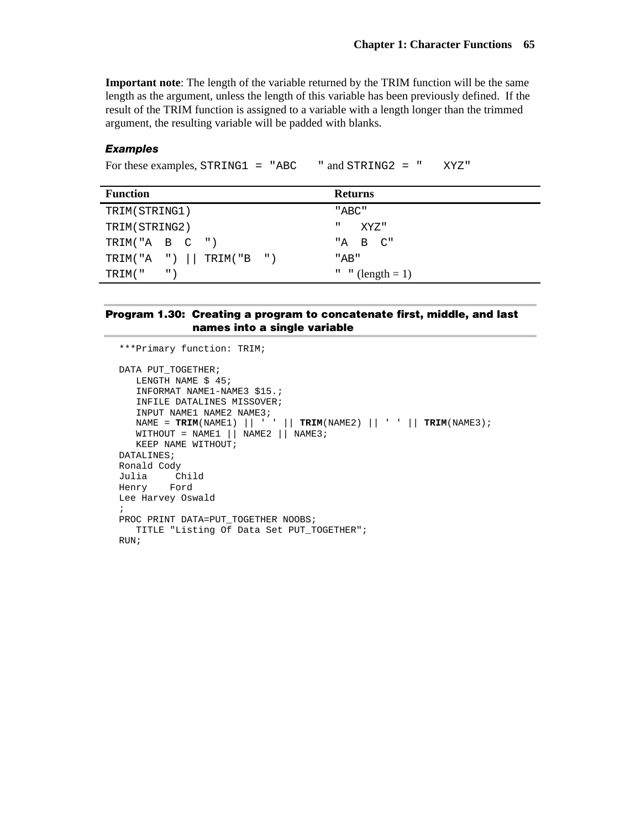**Important note**: The length of the variable returned by the TRIM function will be the same length as the argument, unless the length of this variable has been previously defined. If the result of the TRIM function is assigned to a variable with a length longer than the trimmed argument, the resulting variable will be padded with blanks.

### *Examples*

For these examples, STRING1 = "ABC " and STRING2 = " XYZ"

| <b>Function</b>               | <b>Returns</b>            |  |  |
|-------------------------------|---------------------------|--|--|
| TRIM(STRING1)                 | "ABC"                     |  |  |
| TRIM(STRING2)                 | Ш<br>XYZ"                 |  |  |
| TRIM("A B C ")                | "A B C"                   |  |  |
| TRIM("A ") $\vert$ TRIM("B ") | "AB"                      |  |  |
| $\cdots$<br>TRIM( "           | " $\sqrt{2}$ (length = 1) |  |  |

## **Program 1.30: Creating a program to concatenate first, middle, and last names into a single variable**

```
***Primary function: TRIM; 
DATA PUT_TOGETHER; 
    LENGTH NAME $ 45; 
    INFORMAT NAME1-NAME3 $15.; 
    INFILE DATALINES MISSOVER; 
   INPUT NAME1 NAME2 NAME3; 
   NAME = TRIM(NAME1) || ' ' || TRIM(NAME2) || ' ' || TRIM(NAME3); 
   WITHOUT = NAME1 || NAME2 || NAME3; KEEP NAME WITHOUT; 
DATALINES; 
Ronald Cody 
Julia Child 
Henry Ford 
Lee Harvey Oswald 
; 
PROC PRINT DATA=PUT_TOGETHER NOOBS;
    TITLE "Listing Of Data Set PUT_TOGETHER"; 
RUN;
```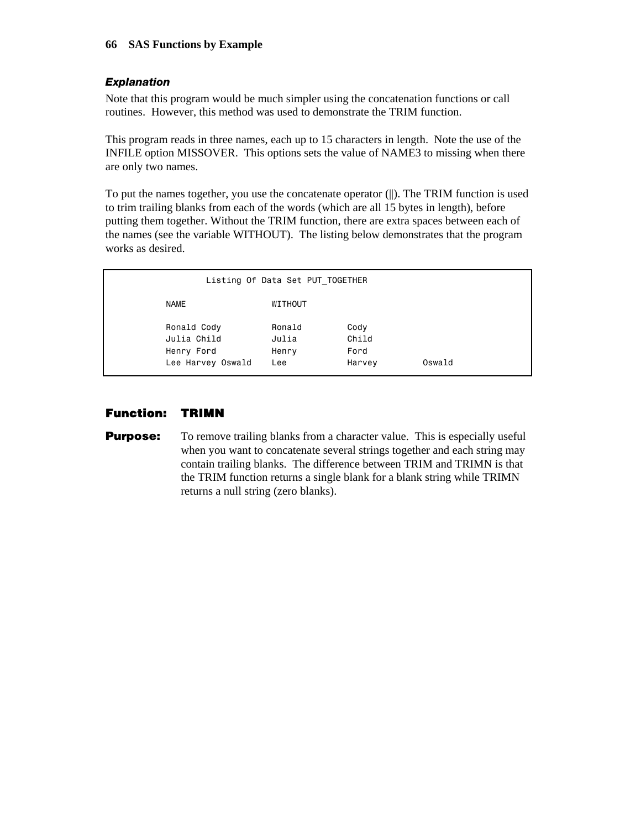# *Explanation*

Note that this program would be much simpler using the concatenation functions or call routines. However, this method was used to demonstrate the TRIM function.

This program reads in three names, each up to 15 characters in length. Note the use of the INFILE option MISSOVER. This options sets the value of NAME3 to missing when there are only two names.

To put the names together, you use the concatenate operator (||). The TRIM function is used to trim trailing blanks from each of the words (which are all 15 bytes in length), before putting them together. Without the TRIM function, there are extra spaces between each of the names (see the variable WITHOUT). The listing below demonstrates that the program works as desired.

| Listing Of Data Set PUT TOGETHER                              |                                 |                                 |        |  |  |  |  |
|---------------------------------------------------------------|---------------------------------|---------------------------------|--------|--|--|--|--|
| NAME                                                          | WITHOUT                         |                                 |        |  |  |  |  |
| Ronald Cody<br>Julia Child<br>Henry Ford<br>Lee Harvey Oswald | Ronald<br>Julia<br>Henry<br>Lee | Cody<br>Child<br>Ford<br>Harvey | Oswald |  |  |  |  |

# **Function: TRIMN**

**Purpose:** To remove trailing blanks from a character value. This is especially useful when you want to concatenate several strings together and each string may contain trailing blanks. The difference between TRIM and TRIMN is that the TRIM function returns a single blank for a blank string while TRIMN returns a null string (zero blanks).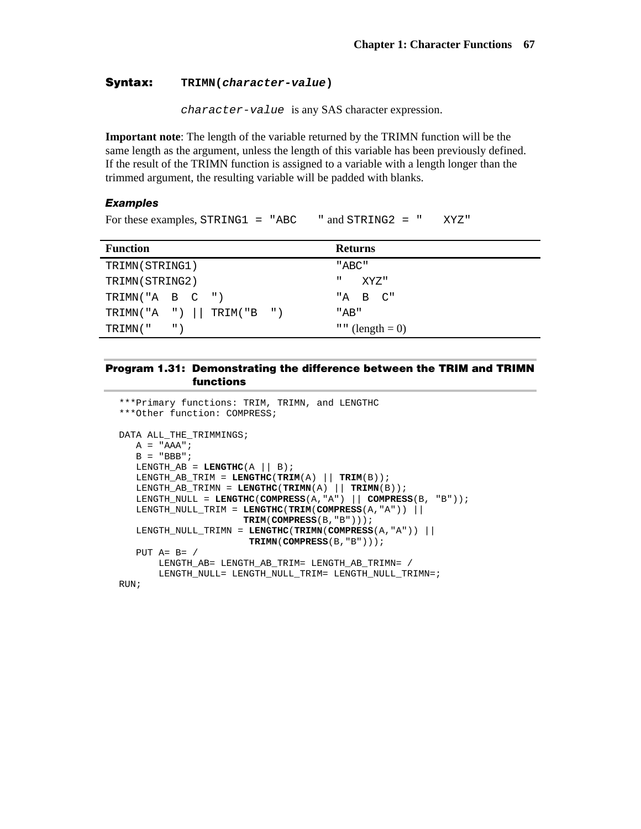## **Syntax: TRIMN(***character-value***)**

*character-value* is any SAS character expression.

**Important note**: The length of the variable returned by the TRIMN function will be the same length as the argument, unless the length of this variable has been previously defined. If the result of the TRIMN function is assigned to a variable with a length longer than the trimmed argument, the resulting variable will be padded with blanks.

#### *Examples*

```
For these examples, STRING1 = "ABC " and STRING2 = " XYZ"
```

| <b>Function</b>                | <b>Returns</b>   |  |  |
|--------------------------------|------------------|--|--|
| TRIMN(STRING1)                 | "ABC"            |  |  |
| TRIMN(STRING2)                 | п<br>XYZ"        |  |  |
| TRIMN("A B $C$ ")              | "A B C"          |  |  |
| TRIMN("A ") $  $ TRIM("B ")    | "AB"             |  |  |
| $^{\prime\prime}$ )<br>TRIMN(" | " " (length = 0) |  |  |

### **Program 1.31: Demonstrating the difference between the TRIM and TRIMN functions**

```
***Primary functions: TRIM, TRIMN, and LENGTHC 
***Other function: COMPRESS; 
DATA ALL_THE_TRIMMINGS; 
  A = "AAA";
   B = "BBB";LENGTH_AB = LETHC(A || B);LENGTH\_AB_TRIM = LENGTHC(TRIM(A) || TRIM(B));LENGTH_AB_TRIMN = 
    LENGTH_NULL = LENGTHC(COMPRESS(A,"A") || COMPRESS(B, "B")); 
    LENGTH_NULL_TRIM = LENGTHC(TRIM(COMPRESS(A,"A")) || 
                      TRIM(COMPRESS(B,"B"))); 
   LENGTH_NULL_TRIMN = LENGTHC(TRIMN(COMPRESS(A,"A")) || 
                       TRIMN(COMPRESS(B,"B"))); 
    PUT A= B= / 
       LENGTH_AB= LENGTH_AB_TRIM= LENGTH_AB_TRIMN= / 
       LENGTH_NULL= LENGTH_NULL_TRIM= LENGTH_NULL_TRIMN=; 
RUN;
```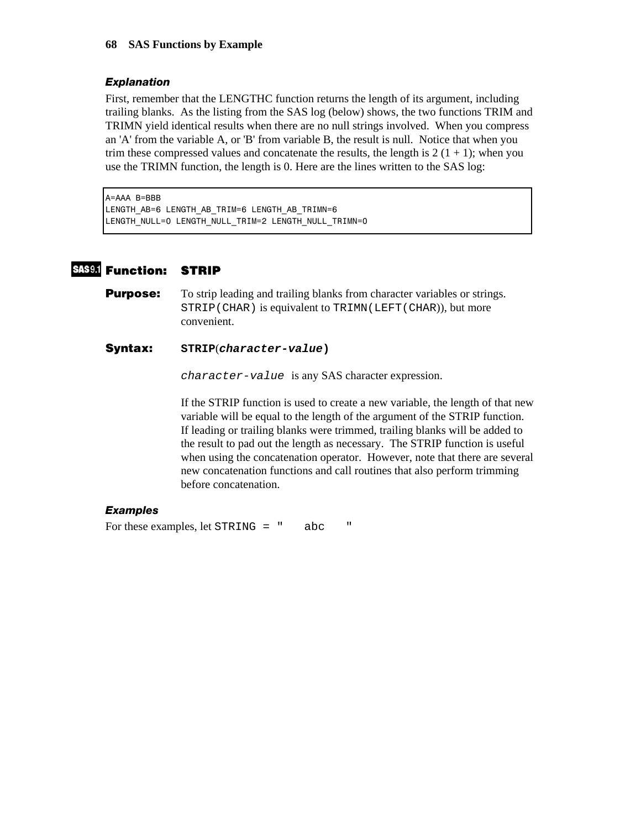## *Explanation*

First, remember that the LENGTHC function returns the length of its argument, including trailing blanks. As the listing from the SAS log (below) shows, the two functions TRIM and TRIMN yield identical results when there are no null strings involved. When you compress an 'A' from the variable A, or 'B' from variable B, the result is null. Notice that when you trim these compressed values and concatenate the results, the length is  $2(1 + 1)$ ; when you use the TRIMN function, the length is 0. Here are the lines written to the SAS log:

A=AAA B=BBB LENGTH AB=6 LENGTH AB TRIM=6 LENGTH AB TRIMN=6 LENGTH\_NULL=0 LENGTH\_NULL\_TRIM=2 LENGTH\_NULL\_TRIMN=0

# **Function: STRIP**

**Purpose:** To strip leading and trailing blanks from character variables or strings. STRIP(CHAR) is equivalent to TRIMN(LEFT(CHAR)), but more convenient.

## **Syntax: STRIP**(*character-value***)**

*character-value* is any SAS character expression.

If the STRIP function is used to create a new variable, the length of that new variable will be equal to the length of the argument of the STRIP function. If leading or trailing blanks were trimmed, trailing blanks will be added to the result to pad out the length as necessary. The STRIP function is useful when using the concatenation operator. However, note that there are several new concatenation functions and call routines that also perform trimming before concatenation.

# *Examples*

For these examples, let STRING = " abc "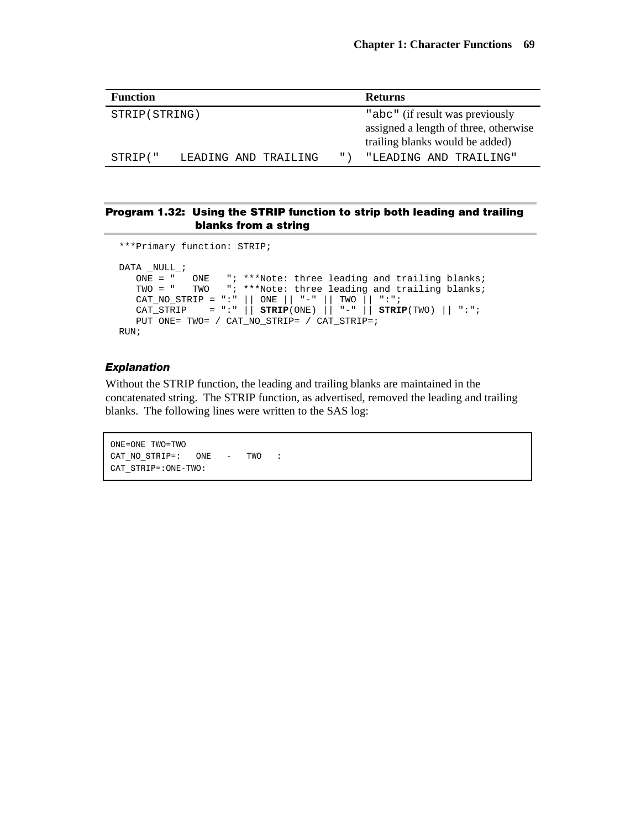| <b>Function</b> |                      | <b>Returns</b> |                     |                                                                                                             |
|-----------------|----------------------|----------------|---------------------|-------------------------------------------------------------------------------------------------------------|
| STRIP (STRING)  |                      |                |                     | "abc" (if result was previously<br>assigned a length of three, otherwise<br>trailing blanks would be added) |
| STRIP("         | LEADING AND TRAILING |                | $^{\prime\prime}$ ) | "LEADING AND TRAILING"                                                                                      |

## **Program 1.32: Using the STRIP function to strip both leading and trailing blanks from a string**

```
***Primary function: STRIP; 
DATA _NULL_; 
   ONE = " ONE "; ***Note: three leading and trailing blanks; 
   TWO = " TWO "; ***Note: three leading and trailing blanks; 
 CAT_NO_STRIP = ":" || ONE || "-" || TWO || ":"; 
 CAT_STRIP = ":" || STRIP(ONE) || "-" || STRIP(TWO) || ":"; 
    PUT ONE= TWO= / CAT_NO_STRIP= / CAT_STRIP=; 
RUN;
```
### *Explanation*

Without the STRIP function, the leading and trailing blanks are maintained in the concatenated string. The STRIP function, as advertised, removed the leading and trailing blanks. The following lines were written to the SAS log:

```
 ONE=ONE TWO=TWO 
CAT_NO_STRIP=: ONE - TWO :
 CAT_STRIP=:ONE-TWO:
```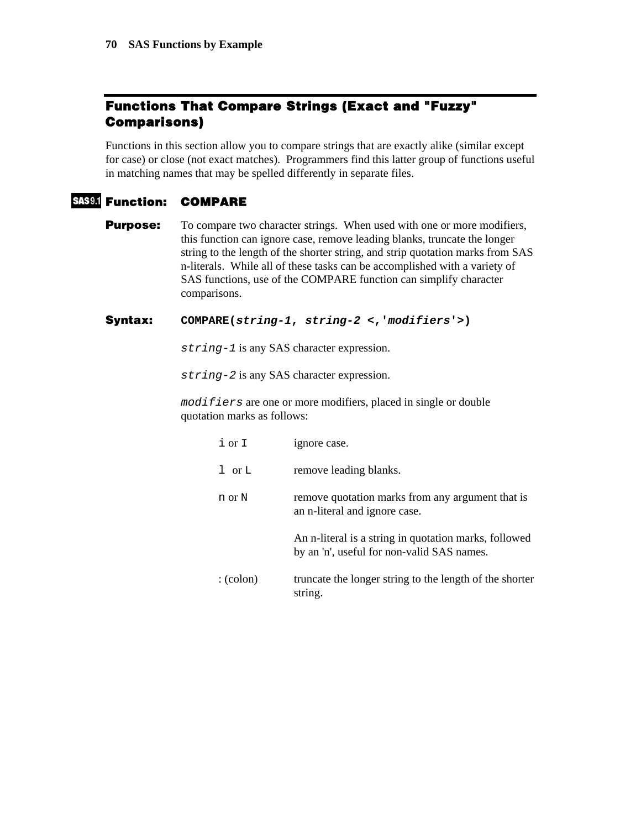# **Functions That Compare Strings (Exact and "Fuzzy" Comparisons)**

Functions in this section allow you to compare strings that are exactly alike (similar except for case) or close (not exact matches). Programmers find this latter group of functions useful in matching names that may be spelled differently in separate files.

# **Function: COMPARE**

**Purpose:** To compare two character strings. When used with one or more modifiers, this function can ignore case, remove leading blanks, truncate the longer string to the length of the shorter string, and strip quotation marks from SAS n-literals. While all of these tasks can be accomplished with a variety of SAS functions, use of the COMPARE function can simplify character comparisons.

## **Syntax: COMPARE(***string-1***,** *string-2* **<,'***modifiers***'>)**

*string-1* is any SAS character expression.

*string-2* is any SAS character expression.

*modifiers* are one or more modifiers, placed in single or double quotation marks as follows:

| iorI              | ignore case.                                                                                        |
|-------------------|-----------------------------------------------------------------------------------------------------|
| $1$ or $L$        | remove leading blanks.                                                                              |
| n or N            | remove quotation marks from any argument that is<br>an n-literal and ignore case.                   |
|                   | An n-literal is a string in quotation marks, followed<br>by an 'n', useful for non-valid SAS names. |
| $:(\text{colon})$ | truncate the longer string to the length of the shorter<br>string.                                  |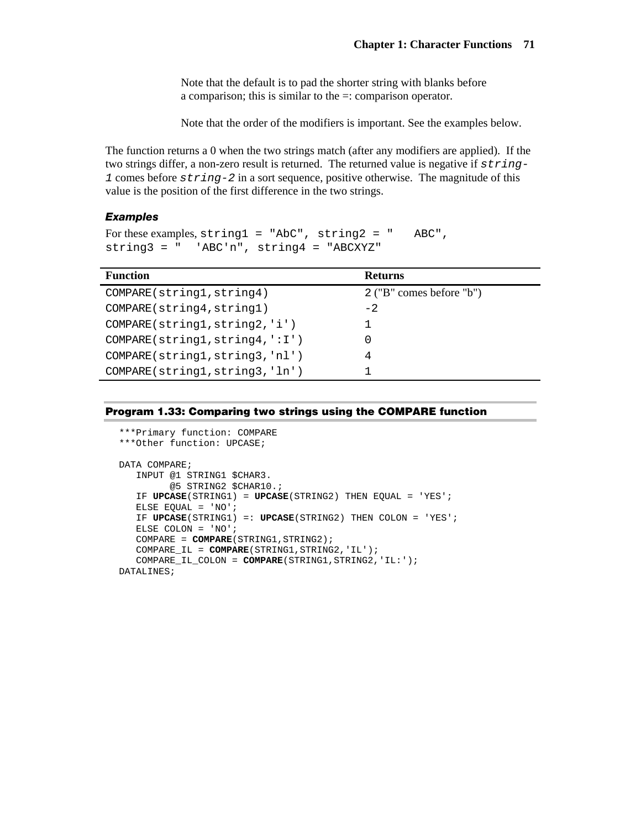Note that the default is to pad the shorter string with blanks before a comparison; this is similar to the =: comparison operator.

Note that the order of the modifiers is important. See the examples below.

The function returns a 0 when the two strings match (after any modifiers are applied). If the two strings differ, a non-zero result is returned. The returned value is negative if *string-1* comes before *string-2* in a sort sequence, positive otherwise. The magnitude of this value is the position of the first difference in the two strings.

## *Examples*

```
For these examples, string1 = "AbC", string2 = " ABC",string3 = " 'ABC'n", string4 = "ABCXYZ"
```

| <b>Function</b>                 | <b>Returns</b>             |
|---------------------------------|----------------------------|
| COMPARE(string1, string4)       | $2$ ("B" comes before "b") |
| COMPARE(string4, string1)       | $-2.$                      |
| COMPARE(string1, string2, 'i')  |                            |
| COMPARE(string1, string4, ':I') |                            |
| COMPARE(string1, string3, 'nl') |                            |
| COMPARE(string1, string3, 'ln') |                            |

|  |  |  |  | Program 1.33: Comparing two strings using the COMPARE function |
|--|--|--|--|----------------------------------------------------------------|
|--|--|--|--|----------------------------------------------------------------|

```
***Primary function: COMPARE 
***Other function: UPCASE; 
DATA COMPARE; 
    INPUT @1 STRING1 $CHAR3. 
          @5 STRING2 $CHAR10.; 
    IF UPCASE(STRING1) = UPCASE(STRING2) THEN EQUAL = 'YES'; 
    ELSE EQUAL = 'NO'; 
    IF UPCASE(STRING1) =: UPCASE(STRING2) THEN COLON = 'YES'; 
    ELSE COLON = 'NO'; 
    COMPARE = COMPARE(STRING1,STRING2); 
    COMPARE_IL = COMPARE(STRING1,STRING2,'IL'); 
    COMPARE_IL_COLON = COMPARE(STRING1,STRING2,'IL:'); 
DATALINES;
```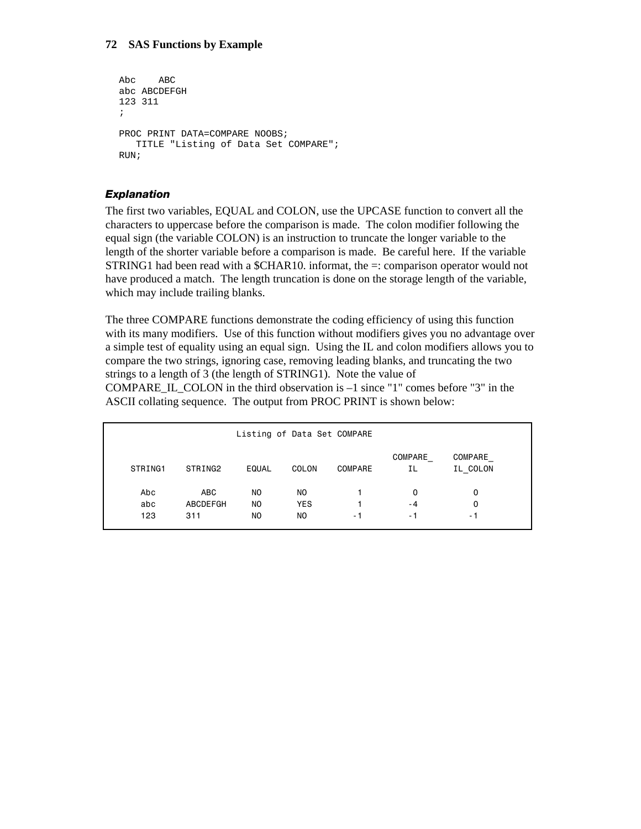## **72 SAS Functions by Example**

```
Abc ABC 
abc ABCDEFGH 
123 311 
; 
PROC PRINT DATA=COMPARE NOOBS;
    TITLE "Listing of Data Set COMPARE"; 
RUN;
```
## *Explanation*

The first two variables, EQUAL and COLON, use the UPCASE function to convert all the characters to uppercase before the comparison is made. The colon modifier following the equal sign (the variable COLON) is an instruction to truncate the longer variable to the length of the shorter variable before a comparison is made. Be careful here. If the variable STRING1 had been read with a  $\mathcal{S}CHAR10$ . informat, the  $=$ : comparison operator would not have produced a match. The length truncation is done on the storage length of the variable, which may include trailing blanks.

The three COMPARE functions demonstrate the coding efficiency of using this function with its many modifiers. Use of this function without modifiers gives you no advantage over a simple test of equality using an equal sign. Using the IL and colon modifiers allows you to compare the two strings, ignoring case, removing leading blanks, and truncating the two strings to a length of 3 (the length of STRING1). Note the value of

COMPARE IL COLON in the third observation is  $-1$  since "1" comes before "3" in the ASCII collating sequence. The output from PROC PRINT is shown below:

| STRING1 | STRING2  | <b>EQUAL</b> | COLON          | <b>COMPARE</b> | <b>COMPARE</b><br>ΙL | COMPARE<br>IL COLON |  |
|---------|----------|--------------|----------------|----------------|----------------------|---------------------|--|
| Abc     | ABC      | NO.          | NO.            |                | 0                    | 0                   |  |
| abc     | ABCDEFGH | NO.          | <b>YES</b>     |                | - 4                  | 0                   |  |
| 123     | 311      | NO.          | N <sub>O</sub> | - 1            | - 1                  | - 1                 |  |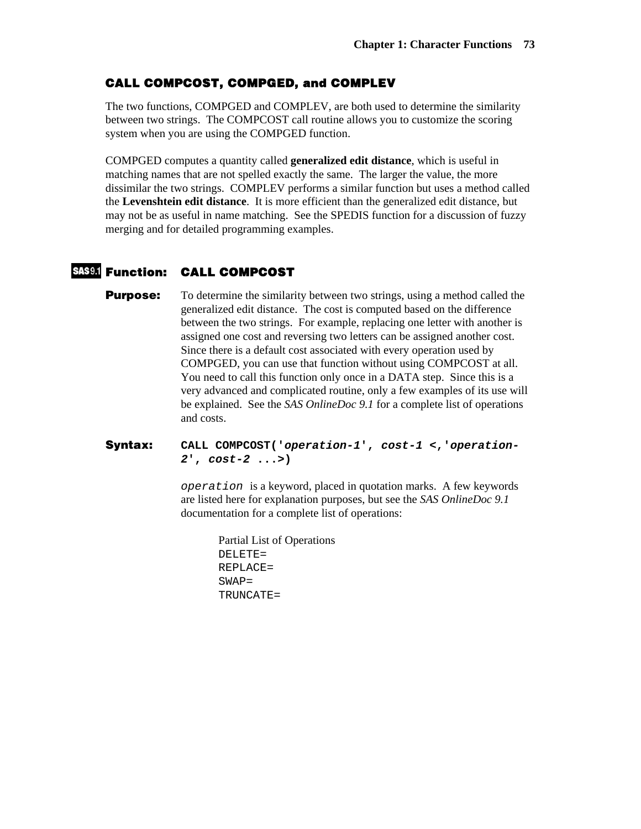# **CALL COMPCOST, COMPGED, and COMPLEV**

The two functions, COMPGED and COMPLEV, are both used to determine the similarity between two strings. The COMPCOST call routine allows you to customize the scoring system when you are using the COMPGED function.

COMPGED computes a quantity called **generalized edit distance**, which is useful in matching names that are not spelled exactly the same. The larger the value, the more dissimilar the two strings. COMPLEV performs a similar function but uses a method called the **Levenshtein edit distance**. It is more efficient than the generalized edit distance, but may not be as useful in name matching. See the SPEDIS function for a discussion of fuzzy merging and for detailed programming examples.

# **Function: CALL COMPCOST**

**Purpose:** To determine the similarity between two strings, using a method called the generalized edit distance. The cost is computed based on the difference between the two strings. For example, replacing one letter with another is assigned one cost and reversing two letters can be assigned another cost. Since there is a default cost associated with every operation used by COMPGED, you can use that function without using COMPCOST at all. You need to call this function only once in a DATA step. Since this is a very advanced and complicated routine, only a few examples of its use will be explained. See the *SAS OnlineDoc 9.1* for a complete list of operations and costs.

#### **Syntax: CALL COMPCOST('***operation-1***',** *cost-1* **<,'***operation-2***',** *cost-2* **...>)**

*operation* is a keyword, placed in quotation marks. A few keywords are listed here for explanation purposes, but see the *SAS OnlineDoc 9.1* documentation for a complete list of operations:

> Partial List of Operations DELETE= REPLACE=  $SWAP=$ TRUNCATE=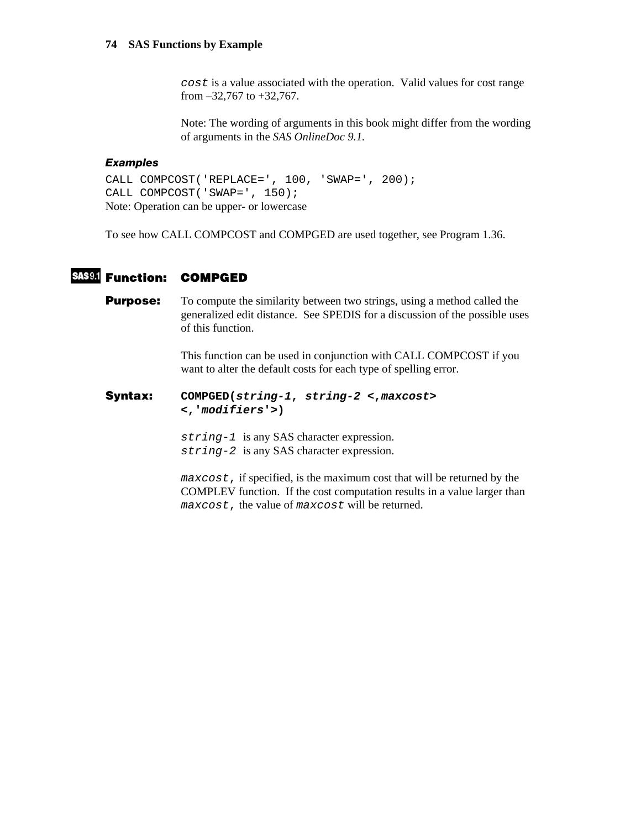*cost* is a value associated with the operation. Valid values for cost range from –32,767 to +32,767.

Note: The wording of arguments in this book might differ from the wording of arguments in the *SAS OnlineDoc 9.1.*

#### *Examples*

CALL COMPCOST('REPLACE=', 100, 'SWAP=', 200); CALL COMPCOST('SWAP=', 150); Note: Operation can be upper- or lowercase

To see how CALL COMPCOST and COMPGED are used together, see Program 1.36.

# **Function: COMPGED**

**Purpose:** To compute the similarity between two strings, using a method called the generalized edit distance. See SPEDIS for a discussion of the possible uses of this function.

> This function can be used in conjunction with CALL COMPCOST if you want to alter the default costs for each type of spelling error.

### **Syntax: COMPGED(***string-1***,** *string-2* **<,***maxcost***> <,'***modifiers***'>)**

*string-1* is any SAS character expression. *string-2* is any SAS character expression.

*maxcost*, if specified, is the maximum cost that will be returned by the COMPLEV function. If the cost computation results in a value larger than *maxcost*, the value of *maxcost* will be returned.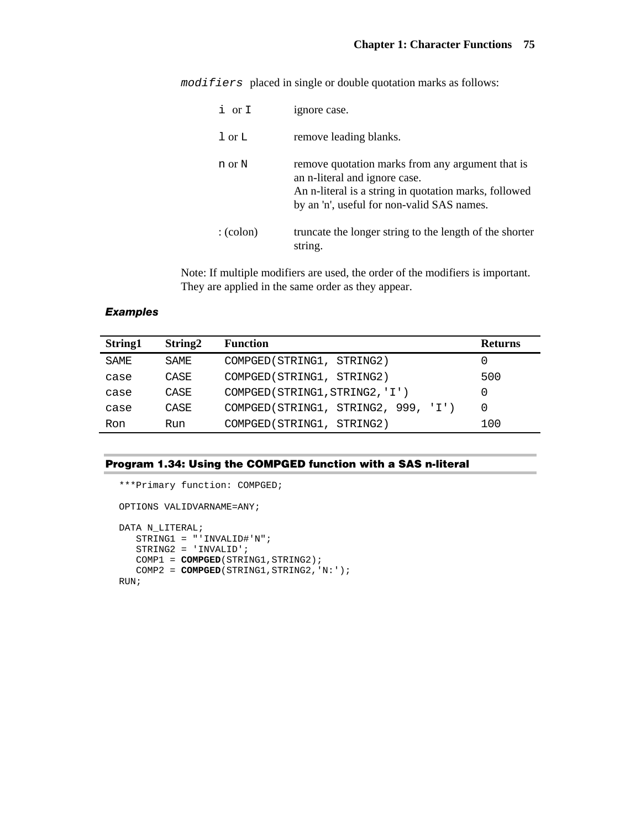*modifiers* placed in single or double quotation marks as follows:

| i or I                             | ignore case.                                                                                                                                                                             |
|------------------------------------|------------------------------------------------------------------------------------------------------------------------------------------------------------------------------------------|
| $\overline{1}$ or $\overline{1}$ . | remove leading blanks.                                                                                                                                                                   |
| n or N                             | remove quotation marks from any argument that is<br>an n-literal and ignore case.<br>An n-literal is a string in quotation marks, followed<br>by an 'n', useful for non-valid SAS names. |
| $:(\text{colon})$                  | truncate the longer string to the length of the shorter<br>string.                                                                                                                       |

Note: If multiple modifiers are used, the order of the modifiers is important. They are applied in the same order as they appear.

#### *Examples*

| String1 | String <sub>2</sub> | <b>Function</b>                     | <b>Returns</b> |
|---------|---------------------|-------------------------------------|----------------|
| SAME    | SAME.               | COMPGED (STRING1, STRING2)          |                |
| case    | CASE                | COMPGED (STRING1, STRING2)          | 500            |
| case    | CASE                | COMPGED (STRING1, STRING2, 'I')     |                |
| case    | CASE                | COMPGED(STRING1, STRING2, 999, 'I') |                |
| Ron     | Run                 | COMPGED (STRING1, STRING2)          | 100            |

#### **Program 1.34: Using the COMPGED function with a SAS n-literal**

```
***Primary function: COMPGED; 
OPTIONS VALIDVARNAME=ANY; 
DATA N_LITERAL; 
    STRING1 = "'INVALID#'N"; 
    STRING2 = 'INVALID'; 
   COMP1 = COMPGED(STRING1, STRING2);
   COMP2 = COMPGED(STRING1, STRING2, 'N:');
RUN;
```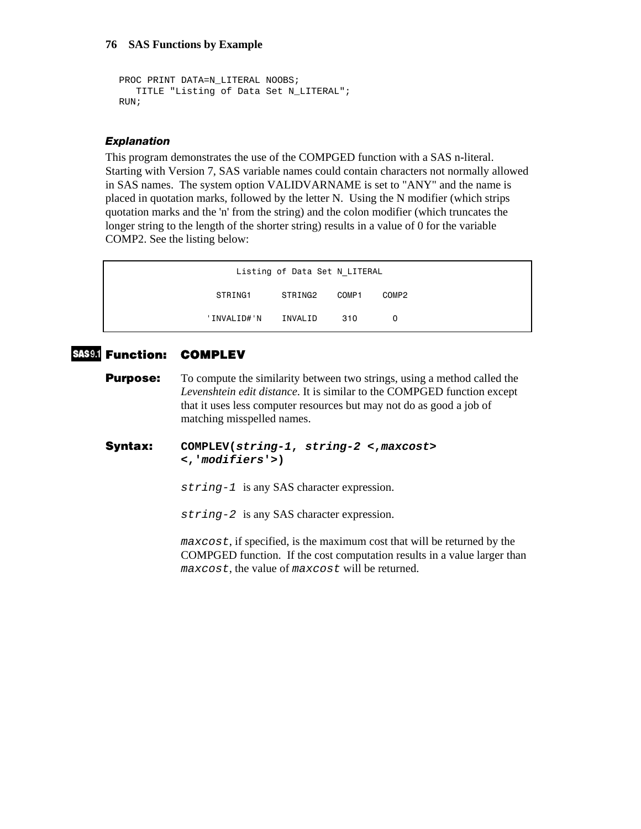```
PROC PRINT DATA=N_LITERAL NOOBS;
    TITLE "Listing of Data Set N_LITERAL"; 
RUN;
```
#### *Explanation*

This program demonstrates the use of the COMPGED function with a SAS n-literal. Starting with Version 7, SAS variable names could contain characters not normally allowed in SAS names. The system option VALIDVARNAME is set to "ANY" and the name is placed in quotation marks, followed by the letter N. Using the N modifier (which strips quotation marks and the 'n' from the string) and the colon modifier (which truncates the longer string to the length of the shorter string) results in a value of 0 for the variable COMP2. See the listing below:

| Listing of Data Set N LITERAL |         |       |       |  |  |
|-------------------------------|---------|-------|-------|--|--|
| STRING1                       | STRING2 | COMP1 | COMP2 |  |  |
| 'INVALID#'N                   | INVALID | 310   | 0     |  |  |

# **Function: COMPLEV**

**Purpose:** To compute the similarity between two strings, using a method called the *Levenshtein edit distance*. It is similar to the COMPGED function except that it uses less computer resources but may not do as good a job of matching misspelled names.

#### **Syntax: COMPLEV(***string-1***,** *string-2* **<,***maxcost***> <,'***modifiers***'>)**

*string-1* is any SAS character expression.

*string-2* is any SAS character expression.

*maxcost*, if specified, is the maximum cost that will be returned by the COMPGED function. If the cost computation results in a value larger than *maxcost*, the value of *maxcost* will be returned.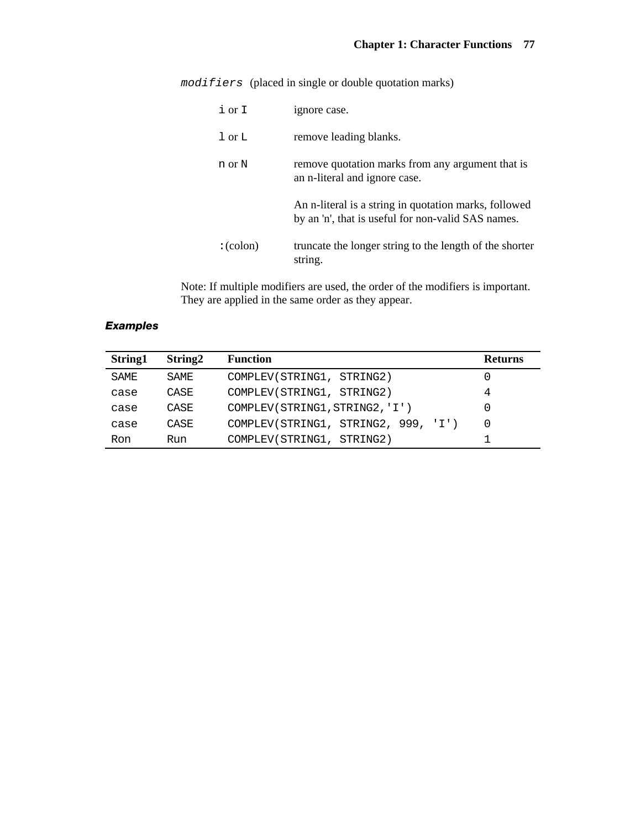*modifiers* (placed in single or double quotation marks)

| $i$ or $I$                         | ignore case.                                                                                                |
|------------------------------------|-------------------------------------------------------------------------------------------------------------|
| $\overline{1}$ or $\overline{1}$ . | remove leading blanks.                                                                                      |
| n or N                             | remove quotation marks from any argument that is<br>an n-literal and ignore case.                           |
|                                    | An n-literal is a string in quotation marks, followed<br>by an 'n', that is useful for non-valid SAS names. |
| $:(\text{colon})$                  | truncate the longer string to the length of the shorter<br>string.                                          |

Note: If multiple modifiers are used, the order of the modifiers is important. They are applied in the same order as they appear.

# *Examples*

| String1 | String <sub>2</sub> | <b>Function</b>                     | <b>Returns</b> |
|---------|---------------------|-------------------------------------|----------------|
| SAME    | SAME                | COMPLEV(STRING1, STRING2)           |                |
| case    | CASE                | COMPLEV(STRING1, STRING2)           | 4              |
| case    | CASE                | COMPLEV(STRING1, STRING2, 'I')      |                |
| case    | CASE                | COMPLEV(STRING1, STRING2, 999, 'I') |                |
| Ron     | Run                 | COMPLEV(STRING1, STRING2)           |                |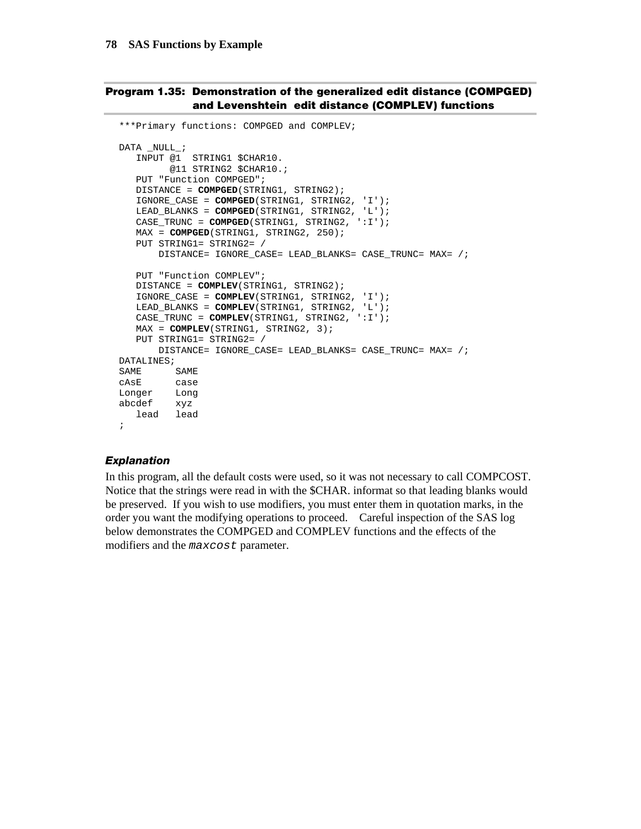#### **Program 1.35: Demonstration of the generalized edit distance (COMPGED) and Levenshtein edit distance (COMPLEV) functions**

```
***Primary functions: COMPGED and COMPLEV; 
DATA _NULL_; 
   INPUT @1 STRING1 $CHAR10. 
         @11 STRING2 $CHAR10.; 
    PUT "Function COMPGED"; 
    DISTANCE = COMPGED(STRING1, STRING2); 
    IGNORE_CASE = COMPGED(STRING1, STRING2, 'I'); 
    LEAD_BLANKS = COMPGED(STRING1, STRING2, 'L'); 
    CASE_TRUNC = COMPGED(STRING1, STRING2, ':I'); 
    MAX = COMPGED(STRING1, STRING2, 250); 
    PUT STRING1= STRING2= / 
        DISTANCE= IGNORE_CASE= LEAD_BLANKS= CASE_TRUNC= MAX= /; 
    PUT "Function COMPLEV"; 
    DISTANCE = COMPLEV(STRING1, STRING2); 
    IGNORE_CASE = COMPLEV(STRING1, STRING2, 'I'); 
    LEAD_BLANKS = COMPLEV(STRING1, STRING2, 'L'); 
   CASE_TRUNC = COMPLEV(STRING1, STRING2, ':I'); 
    MAX = COMPLEV(STRING1, STRING2, 3); 
    PUT STRING1= STRING2= / 
        DISTANCE= IGNORE_CASE= LEAD_BLANKS= CASE_TRUNC= MAX= /; 
DATALINES; 
SAME SAME
cAsE case<br>Longer Long
Longer<br>abcdef
abcdef xyz 
 lead lead 
;
```
#### *Explanation*

In this program, all the default costs were used, so it was not necessary to call COMPCOST. Notice that the strings were read in with the \$CHAR. informat so that leading blanks would be preserved. If you wish to use modifiers, you must enter them in quotation marks, in the order you want the modifying operations to proceed. Careful inspection of the SAS log below demonstrates the COMPGED and COMPLEV functions and the effects of the modifiers and the *maxcost* parameter.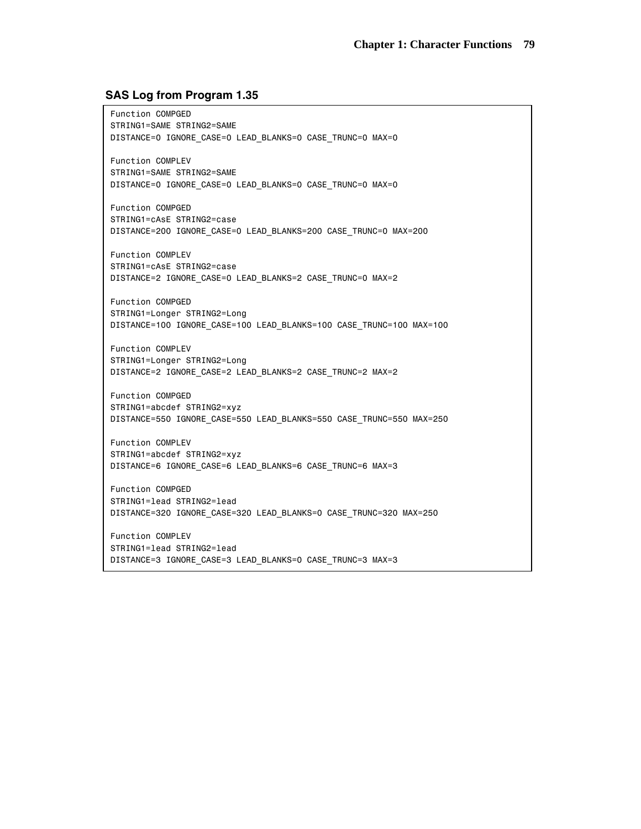#### **SAS Log from Program 1.35**

 Function COMPGED STRING1=SAME STRING2=SAME DISTANCE=0 IGNORE\_CASE=0 LEAD\_BLANKS=0 CASE\_TRUNC=0 MAX=0 Function COMPLEV STRING1=SAME STRING2=SAME DISTANCE=0 IGNORE\_CASE=0 LEAD\_BLANKS=0 CASE\_TRUNC=0 MAX=0 Function COMPGED STRING1=cAsE STRING2=case DISTANCE=200 IGNORE\_CASE=0 LEAD\_BLANKS=200 CASE\_TRUNC=0 MAX=200 Function COMPLEV STRING1=cAsE STRING2=case DISTANCE=2 IGNORE\_CASE=0 LEAD\_BLANKS=2 CASE\_TRUNC=0 MAX=2 Function COMPGED STRING1=Longer STRING2=Long DISTANCE=100 IGNORE\_CASE=100 LEAD\_BLANKS=100 CASE\_TRUNC=100 MAX=100 Function COMPLEV STRING1=Longer STRING2=Long DISTANCE=2 IGNORE\_CASE=2 LEAD\_BLANKS=2 CASE\_TRUNC=2 MAX=2 Function COMPGED STRING1=abcdef STRING2=xyz DISTANCE=550 IGNORE\_CASE=550 LEAD\_BLANKS=550 CASE\_TRUNC=550 MAX=250 Function COMPLEV STRING1=abcdef STRING2=xyz DISTANCE=6 IGNORE\_CASE=6 LEAD\_BLANKS=6 CASE\_TRUNC=6 MAX=3 Function COMPGED STRING1=lead STRING2=lead DISTANCE=320 IGNORE\_CASE=320 LEAD\_BLANKS=0 CASE\_TRUNC=320 MAX=250 Function COMPLEV STRING1=lead STRING2=lead

DISTANCE=3 IGNORE\_CASE=3 LEAD\_BLANKS=0 CASE\_TRUNC=3 MAX=3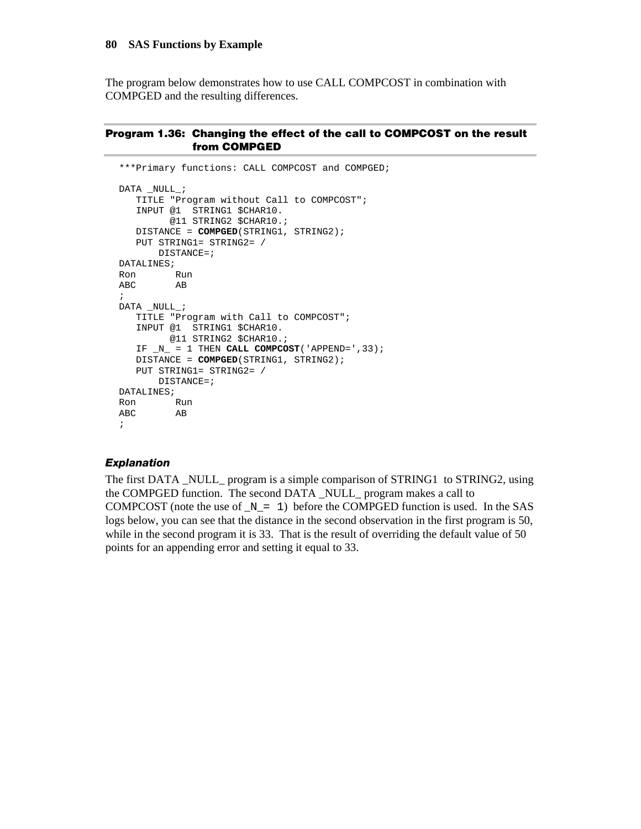The program below demonstrates how to use CALL COMPCOST in combination with COMPGED and the resulting differences.

#### **Program 1.36: Changing the effect of the call to COMPCOST on the result from COMPGED**

```
***Primary functions: CALL COMPCOST and COMPGED; 
DATA _NULL_; 
    TITLE "Program without Call to COMPCOST"; 
    INPUT @1 STRING1 $CHAR10. 
         @11 STRING2 $CHAR10.; 
    DISTANCE = COMPGED(STRING1, STRING2); 
    PUT STRING1= STRING2= / 
       DISTANCE=; 
DATALINES; 
Ron Run 
ABC AB 
; 
DATA _NULL_; 
    TITLE "Program with Call to COMPCOST"; 
    INPUT @1 STRING1 $CHAR10. 
         @11 STRING2 $CHAR10.; 
   IF _N = 1 THEN CALL COMPCOST('APPEND=', 33);
    DISTANCE = COMPGED(STRING1, STRING2); 
    PUT STRING1= STRING2= / 
        DISTANCE=; 
DATALINES; 
Ron Run 
ABC AB 
;
```
#### *Explanation*

The first DATA \_NULL\_ program is a simple comparison of STRING1 to STRING2, using the COMPGED function. The second DATA \_NULL\_ program makes a call to COMPCOST (note the use of  $N = 1$ ) before the COMPGED function is used. In the SAS logs below, you can see that the distance in the second observation in the first program is 50, while in the second program it is 33. That is the result of overriding the default value of 50 points for an appending error and setting it equal to 33.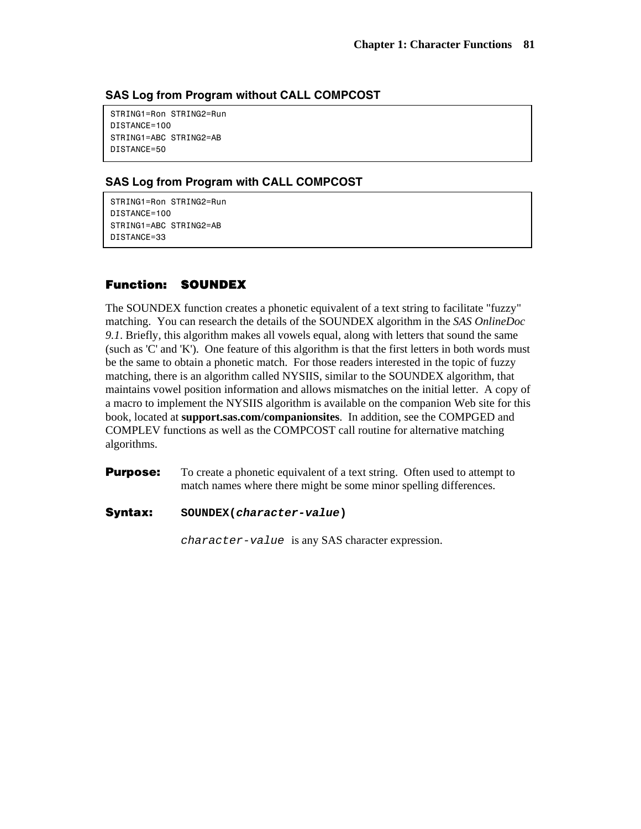# **SAS Log from Program without CALL COMPCOST**

 STRING1=Ron STRING2=Run DISTANCE=100 STRING1=ABC STRING2=AB DISTANCE=50

# **SAS Log from Program with CALL COMPCOST**

 STRING1=Ron STRING2=Run DISTANCE=100 STRING1=ABC STRING2=AB DISTANCE=33

# **Function: SOUNDEX**

The SOUNDEX function creates a phonetic equivalent of a text string to facilitate "fuzzy" matching. You can research the details of the SOUNDEX algorithm in the *SAS OnlineDoc 9.1*. Briefly, this algorithm makes all vowels equal, along with letters that sound the same (such as 'C' and 'K'). One feature of this algorithm is that the first letters in both words must be the same to obtain a phonetic match. For those readers interested in the topic of fuzzy matching, there is an algorithm called NYSIIS, similar to the SOUNDEX algorithm, that maintains vowel position information and allows mismatches on the initial letter. A copy of a macro to implement the NYSIIS algorithm is available on the companion Web site for this book, located at **support.sas.com/companionsites**. In addition, see the COMPGED and COMPLEV functions as well as the COMPCOST call routine for alternative matching algorithms.

**Purpose:** To create a phonetic equivalent of a text string. Often used to attempt to match names where there might be some minor spelling differences.

#### **Syntax: SOUNDEX(***character-value***)**

*character-value* is any SAS character expression.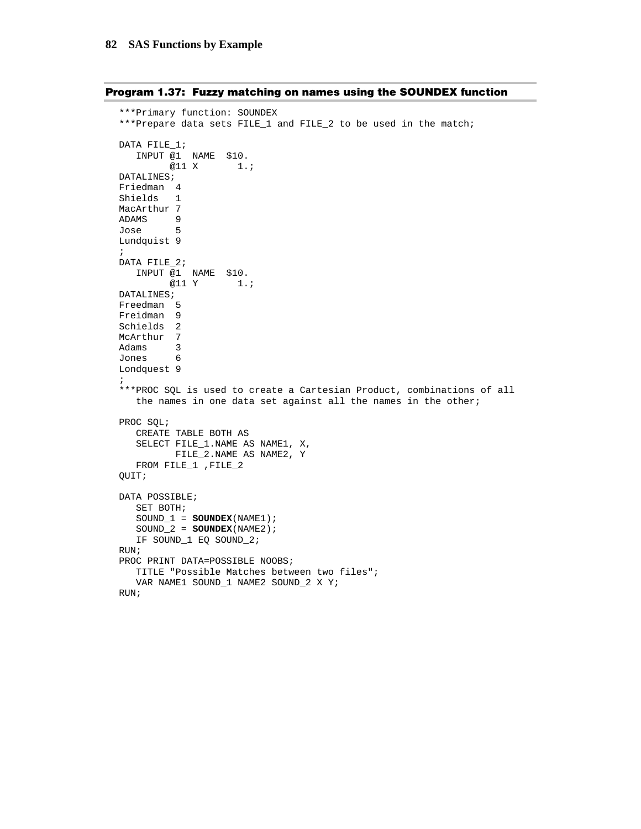```
Program 1.37: Fuzzy matching on names using the SOUNDEX function
```

```
***Primary function: SOUNDEX 
***Prepare data sets FILE_1 and FILE_2 to be used in the match; 
DATA FILE_1; 
   INPUT @1 NAME $10. 
      @11 X 1.;
DATALINES; 
Friedman 4 
Shields 1 
MacArthur 7
ADAMS 9<br>Jose 5
Jose 5 
Lundquist 9 
; 
DATA FILE_2; 
  INPUT @1 NAME $10. 
        @11 Y 1.; 
DATALINES; 
Freedman 5 
Freidman 9 
Schields 2 
McArthur 7 
Adams 3 
Jones 6 
Londquest 9 
; 
***PROC SQL is used to create a Cartesian Product, combinations of all 
    the names in one data set against all the names in the other; 
PROC SQL; 
    CREATE TABLE BOTH AS 
    SELECT FILE_1.NAME AS NAME1, X, 
         FILE_2.NAME AS NAME2, Y 
    FROM FILE_1 ,FILE_2 
QUIT; 
DATA POSSIBLE; 
    SET BOTH; 
    SOUND_1 = SOUNDEX(NAME1); 
    SOUND_2 = SOUNDEX(NAME2); 
    IF SOUND_1 EQ SOUND_2; 
RUN; 
PROC PRINT DATA=POSSIBLE NOOBS;
    TITLE "Possible Matches between two files"; 
    VAR NAME1 SOUND_1 NAME2 SOUND_2 X Y; 
RUN;
```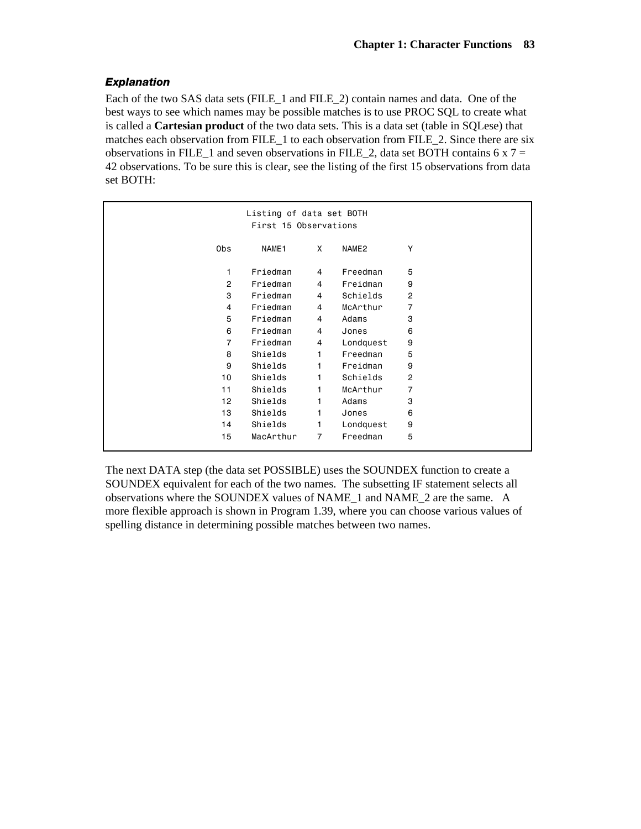# *Explanation*

Each of the two SAS data sets (FILE\_1 and FILE\_2) contain names and data. One of the best ways to see which names may be possible matches is to use PROC SQL to create what is called a **Cartesian product** of the two data sets. This is a data set (table in SQLese) that matches each observation from FILE\_1 to each observation from FILE\_2. Since there are six observations in FILE\_1 and seven observations in FILE\_2, data set BOTH contains 6 x  $7 =$ 42 observations. To be sure this is clear, see the listing of the first 15 observations from data set BOTH:

| Listing of data set BOTH<br>First 15 Observations |                   |                |                   |                |  |
|---------------------------------------------------|-------------------|----------------|-------------------|----------------|--|
| Obs                                               | NAME <sub>1</sub> | X              | NAME <sub>2</sub> | Υ              |  |
| 1                                                 | Friedman          | 4              | Freedman          | 5              |  |
| $\overline{2}$                                    | Friedman          | 4              | Freidman          | 9              |  |
| 3                                                 | Friedman          | 4              | Schields          | $\overline{c}$ |  |
| 4                                                 | Friedman          | 4              | McArthur          | 7              |  |
| 5                                                 | Friedman          | 4              | Adams             | 3              |  |
| 6                                                 | Friedman          | 4              | Jones             | 6              |  |
| $\overline{7}$                                    | Friedman          | 4              | Londquest         | 9              |  |
| 8                                                 | Shields           | 1              | Freedman          | 5              |  |
| 9                                                 | Shields           | 1              | Freidman          | 9              |  |
| 10                                                | Shields           | 1              | Schields          | $\overline{c}$ |  |
| 11                                                | Shields           | 1              | McArthur          | 7              |  |
| 12                                                | Shields           | 1              | Adams             | 3              |  |
| 13                                                | Shields           | 1              | Jones             | 6              |  |
| 14                                                | Shields           | 1              | Londquest         | 9              |  |
| 15                                                | MacArthur         | $\overline{7}$ | Freedman          | 5              |  |

The next DATA step (the data set POSSIBLE) uses the SOUNDEX function to create a SOUNDEX equivalent for each of the two names. The subsetting IF statement selects all observations where the SOUNDEX values of NAME\_1 and NAME\_2 are the same. A more flexible approach is shown in Program 1.39, where you can choose various values of spelling distance in determining possible matches between two names.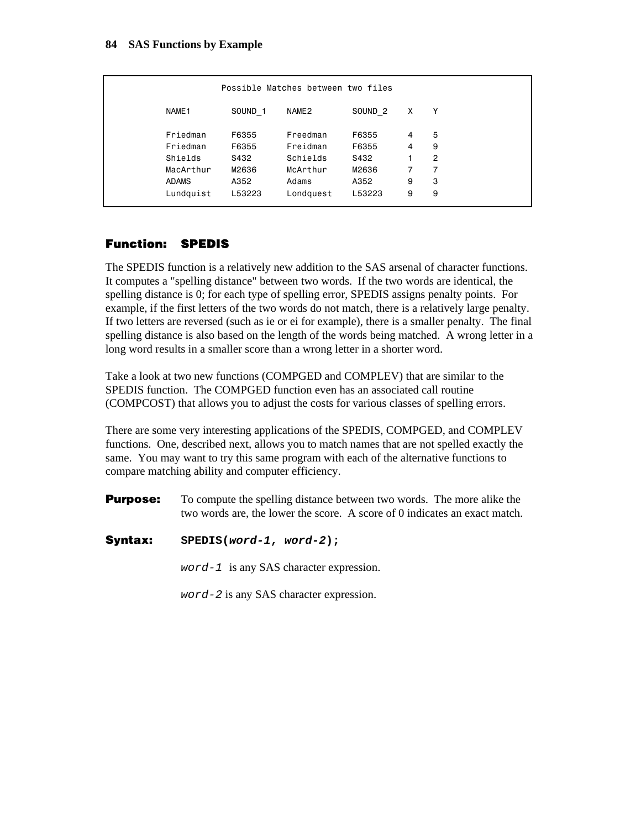|                   |                    | Possible Matches between two files |                    |   |                |
|-------------------|--------------------|------------------------------------|--------------------|---|----------------|
| NAME <sub>1</sub> | SOUND <sub>1</sub> | NAME2                              | SOUND <sub>2</sub> | X | Υ              |
| Friedman          | F6355              | Freedman                           | F6355              | 4 | 5              |
| Friedman          | F6355              | Freidman                           | F6355              | 4 | 9              |
| Shields           | S432               | Schields                           | S432               |   | $\overline{2}$ |
| MacArthur         | M2636              | McArthur                           | M2636              | 7 | 7              |
| <b>ADAMS</b>      | A352               | Adams                              | A352               | 9 | 3              |
| Lundquist         | L53223             | Londquest                          | L53223             | 9 | 9              |
|                   |                    |                                    |                    |   |                |

# **Function: SPEDIS**

The SPEDIS function is a relatively new addition to the SAS arsenal of character functions. It computes a "spelling distance" between two words. If the two words are identical, the spelling distance is 0; for each type of spelling error, SPEDIS assigns penalty points. For example, if the first letters of the two words do not match, there is a relatively large penalty. If two letters are reversed (such as ie or ei for example), there is a smaller penalty. The final spelling distance is also based on the length of the words being matched. A wrong letter in a long word results in a smaller score than a wrong letter in a shorter word.

Take a look at two new functions (COMPGED and COMPLEV) that are similar to the SPEDIS function. The COMPGED function even has an associated call routine (COMPCOST) that allows you to adjust the costs for various classes of spelling errors.

There are some very interesting applications of the SPEDIS, COMPGED, and COMPLEV functions. One, described next, allows you to match names that are not spelled exactly the same. You may want to try this same program with each of the alternative functions to compare matching ability and computer efficiency.

- **Purpose:** To compute the spelling distance between two words. The more alike the two words are, the lower the score. A score of 0 indicates an exact match.
- **Syntax: SPEDIS(***word-1***,** *word-2***);**

*word-1* is any SAS character expression.

*word-2* is any SAS character expression.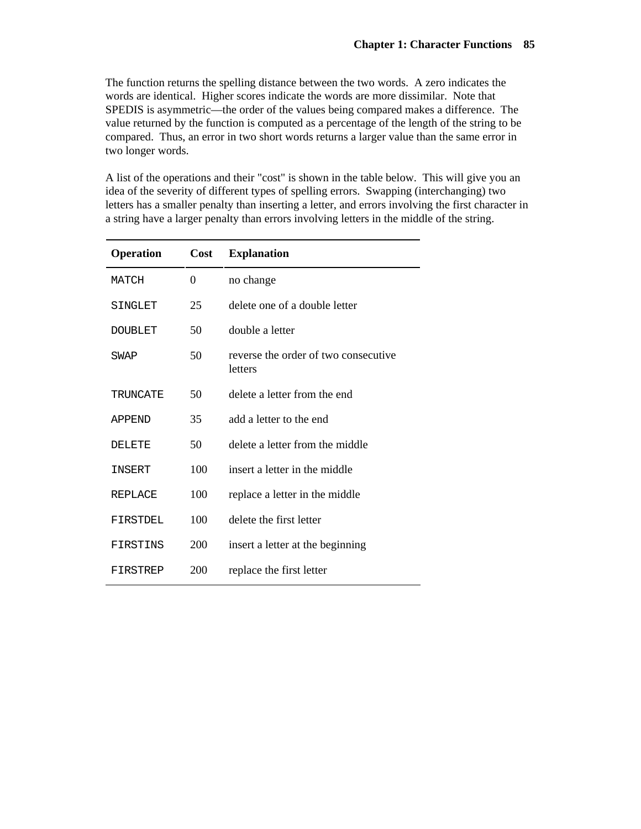The function returns the spelling distance between the two words. A zero indicates the words are identical. Higher scores indicate the words are more dissimilar. Note that SPEDIS is asymmetric—the order of the values being compared makes a difference. The value returned by the function is computed as a percentage of the length of the string to be compared. Thus, an error in two short words returns a larger value than the same error in two longer words.

A list of the operations and their "cost" is shown in the table below. This will give you an idea of the severity of different types of spelling errors. Swapping (interchanging) two letters has a smaller penalty than inserting a letter, and errors involving the first character in a string have a larger penalty than errors involving letters in the middle of the string.

| <b>Operation</b> | Cost     | <b>Explanation</b>                              |
|------------------|----------|-------------------------------------------------|
| <b>MATCH</b>     | $\theta$ | no change                                       |
| SINGLET          | 25       | delete one of a double letter                   |
| <b>DOUBLET</b>   | 50       | double a letter                                 |
| SWAP             | 50       | reverse the order of two consecutive<br>letters |
| TRUNCATE         | 50       | delete a letter from the end                    |
| <b>APPEND</b>    | 35       | add a letter to the end                         |
| <b>DELETE</b>    | 50       | delete a letter from the middle                 |
| INSERT           | 100      | insert a letter in the middle                   |
| REPLACE          | 100      | replace a letter in the middle                  |
| FIRSTDEL         | 100      | delete the first letter                         |
| FIRSTINS         | 200      | insert a letter at the beginning                |
| FIRSTREP         | 200      | replace the first letter                        |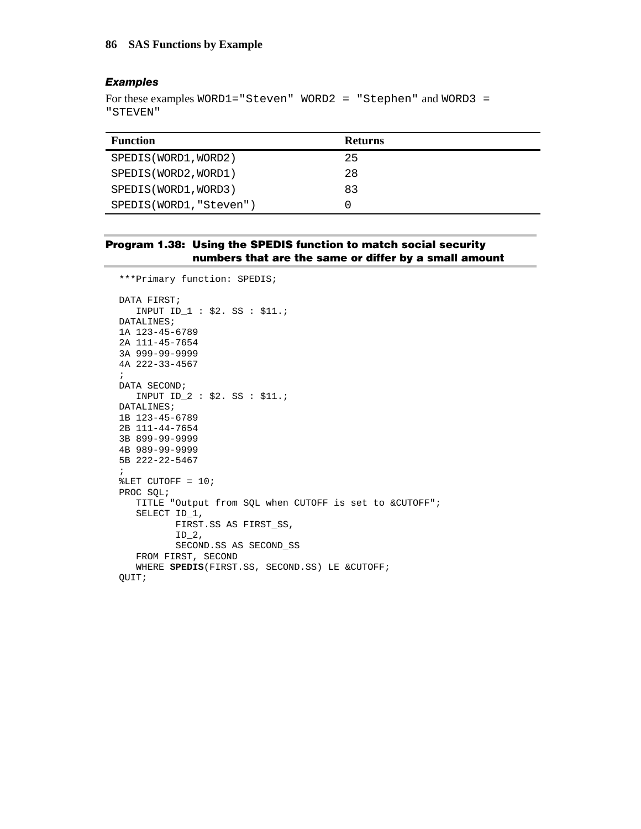#### *Examples*

```
For these examples WORD1="Steven" WORD2 = "Stephen" and WORD3 = 
"STEVEN"
```

| <b>Function</b>         | <b>Returns</b> |
|-------------------------|----------------|
| SPEDIS (WORD1, WORD2)   | 25             |
| SPEDIS (WORD2, WORD1)   | 28             |
| SPEDIS (WORD1, WORD3)   | 83             |
| SPEDIS(WORD1, "Steven") |                |

## **Program 1.38: Using the SPEDIS function to match social security numbers that are the same or differ by a small amount**

```
***Primary function: SPEDIS; 
DATA FIRST; 
   INPUT ID_1 : $2. SS : $11.; 
DATALINES; 
1A 123-45-6789 
2A 111-45-7654 
3A 999-99-9999 
4A 222-33-4567 
; 
DATA SECOND; 
   INPUT ID_2 : $2. SS : $11.; 
DATALINES; 
1B 123-45-6789 
2B 111-44-7654 
3B 899-99-9999 
4B 989-99-9999 
5B 222-22-5467 
; 
%LET CUTOFF = 10; 
PROC SQL; 
    TITLE "Output from SQL when CUTOFF is set to &CUTOFF"; 
    SELECT ID_1, 
            FIRST.SS AS FIRST_SS, 
           ID_2,
           SECOND.SS AS SECOND_SS 
    FROM FIRST, SECOND 
    WHERE SPEDIS(FIRST.SS, SECOND.SS) LE &CUTOFF; 
QUIT;
```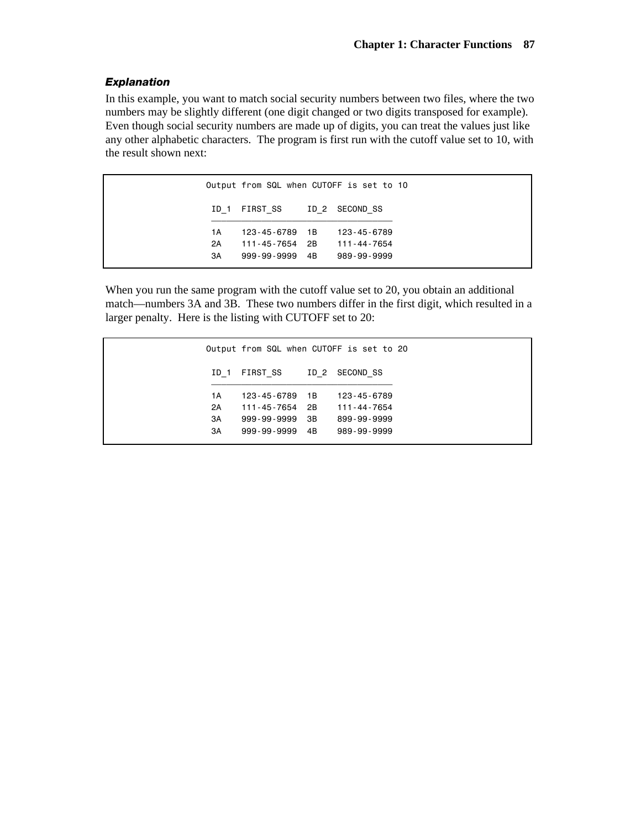# *Explanation*

In this example, you want to match social security numbers between two files, where the two numbers may be slightly different (one digit changed or two digits transposed for example). Even though social security numbers are made up of digits, you can treat the values just like any other alphabetic characters. The program is first run with the cutoff value set to 10, with the result shown next:

| Output from SQL when CUTOFF is set to 10 |                         |  |             |  |
|------------------------------------------|-------------------------|--|-------------|--|
| ID 1                                     | FIRST SS ID 2 SECOND SS |  |             |  |
| 1 A                                      | 123-45-6789 1B          |  | 123-45-6789 |  |
| 2A                                       | 111-45-7654 2B          |  | 111-44-7654 |  |
| 3A                                       | 999-99-9999 4B          |  | 989-99-9999 |  |

When you run the same program with the cutoff value set to 20, you obtain an additional match—numbers 3A and 3B. These two numbers differ in the first digit, which resulted in a larger penalty. Here is the listing with CUTOFF set to 20:

| Output from SQL when CUTOFF is set to 20 |                |  |             |  |  |  |
|------------------------------------------|----------------|--|-------------|--|--|--|
| ID 1                                     | FIRST SS ID 2  |  | SECOND SS   |  |  |  |
| 1 A                                      | 123-45-6789 1B |  | 123-45-6789 |  |  |  |
| 2A                                       | 111-45-7654 2B |  | 111-44-7654 |  |  |  |
| 3A                                       | 999-99-9999 3B |  | 899-99-9999 |  |  |  |
| ЗA                                       | 999-99-9999 4B |  | 989-99-9999 |  |  |  |
|                                          |                |  |             |  |  |  |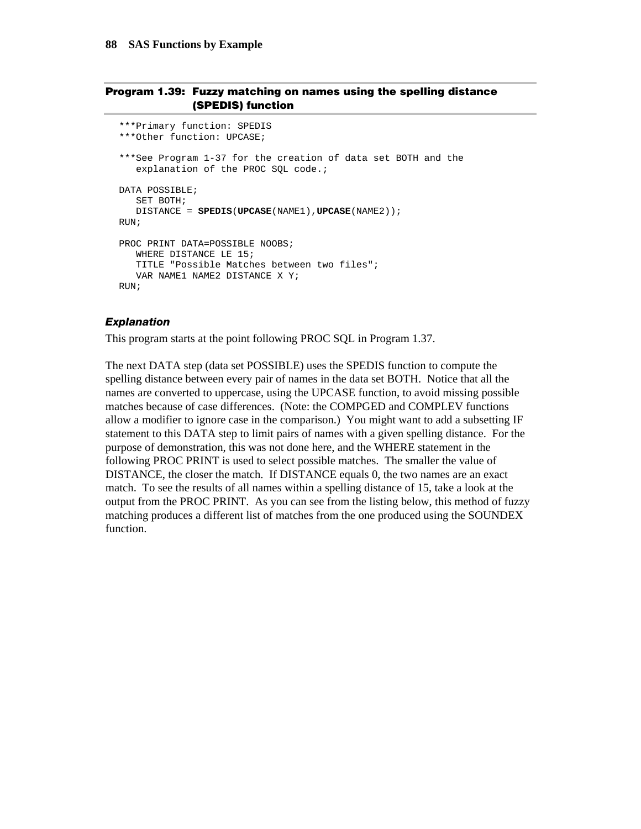#### **Program 1.39: Fuzzy matching on names using the spelling distance (SPEDIS) function**

```
***Primary function: SPEDIS 
***Other function: UPCASE; 
***See Program 1-37 for the creation of data set BOTH and the 
   explanation of the PROC SQL code.;
DATA POSSIBLE; 
    SET BOTH; 
    DISTANCE = SPEDIS(UPCASE(NAME1),UPCASE(NAME2)); 
RIIN;
PROC PRINT DATA=POSSIBLE NOOBS;
    WHERE DISTANCE LE 15; 
    TITLE "Possible Matches between two files"; 
    VAR NAME1 NAME2 DISTANCE X Y; 
RIN;
```
#### *Explanation*

This program starts at the point following PROC SQL in Program 1.37.

The next DATA step (data set POSSIBLE) uses the SPEDIS function to compute the spelling distance between every pair of names in the data set BOTH. Notice that all the names are converted to uppercase, using the UPCASE function, to avoid missing possible matches because of case differences. (Note: the COMPGED and COMPLEV functions allow a modifier to ignore case in the comparison.) You might want to add a subsetting IF statement to this DATA step to limit pairs of names with a given spelling distance. For the purpose of demonstration, this was not done here, and the WHERE statement in the following PROC PRINT is used to select possible matches. The smaller the value of DISTANCE, the closer the match. If DISTANCE equals 0, the two names are an exact match. To see the results of all names within a spelling distance of 15, take a look at the output from the PROC PRINT. As you can see from the listing below, this method of fuzzy matching produces a different list of matches from the one produced using the SOUNDEX function.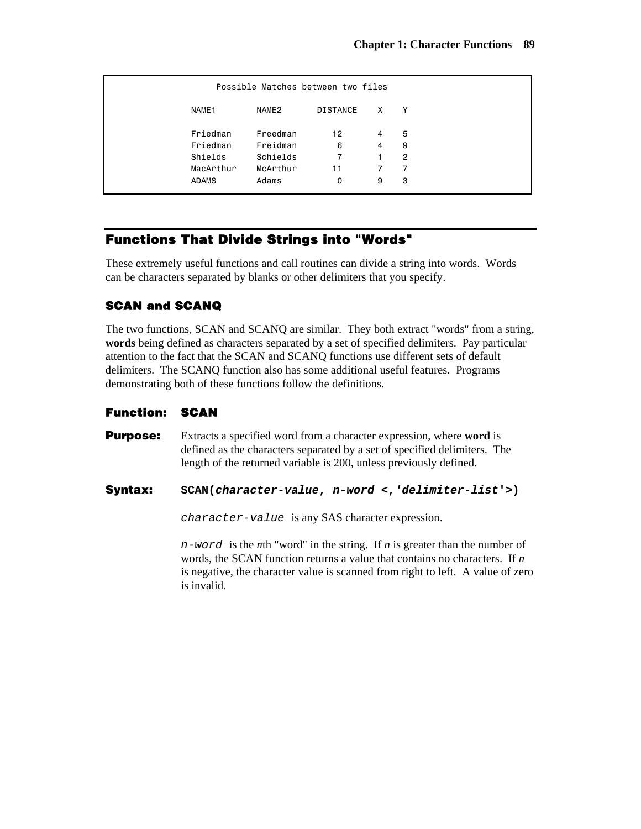|              | Possible Matches between two files |                 |   |   |  |  |  |  |  |
|--------------|------------------------------------|-----------------|---|---|--|--|--|--|--|
| NAME1        | NAME2                              | <b>DISTANCE</b> | X | Υ |  |  |  |  |  |
| Friedman     | Freedman                           | 12              | 4 | 5 |  |  |  |  |  |
| Friedman     | Freidman                           | 6               | 4 | 9 |  |  |  |  |  |
| Shields      | Schields                           | 7               | 1 | 2 |  |  |  |  |  |
| MacArthur    | McArthur                           | 11              | 7 | 7 |  |  |  |  |  |
| <b>ADAMS</b> | Adams                              | 0               | 9 | 3 |  |  |  |  |  |

# **Functions That Divide Strings into "Words"**

These extremely useful functions and call routines can divide a string into words. Words can be characters separated by blanks or other delimiters that you specify.

# **SCAN and SCANQ**

The two functions, SCAN and SCANQ are similar. They both extract "words" from a string, **words** being defined as characters separated by a set of specified delimiters. Pay particular attention to the fact that the SCAN and SCANQ functions use different sets of default delimiters. The SCANQ function also has some additional useful features. Programs demonstrating both of these functions follow the definitions.

## **Function: SCAN**

**Purpose:** Extracts a specified word from a character expression, where **word** is defined as the characters separated by a set of specified delimiters. The length of the returned variable is 200, unless previously defined.

### **Syntax: SCAN(***character-value***,** *n-word* **<,***'delimiter-list***'>)**

*character-value* is any SAS character expression.

*n-word* is the *n*th "word" in the string. If *n* is greater than the number of words, the SCAN function returns a value that contains no characters. If *n* is negative, the character value is scanned from right to left. A value of zero is invalid.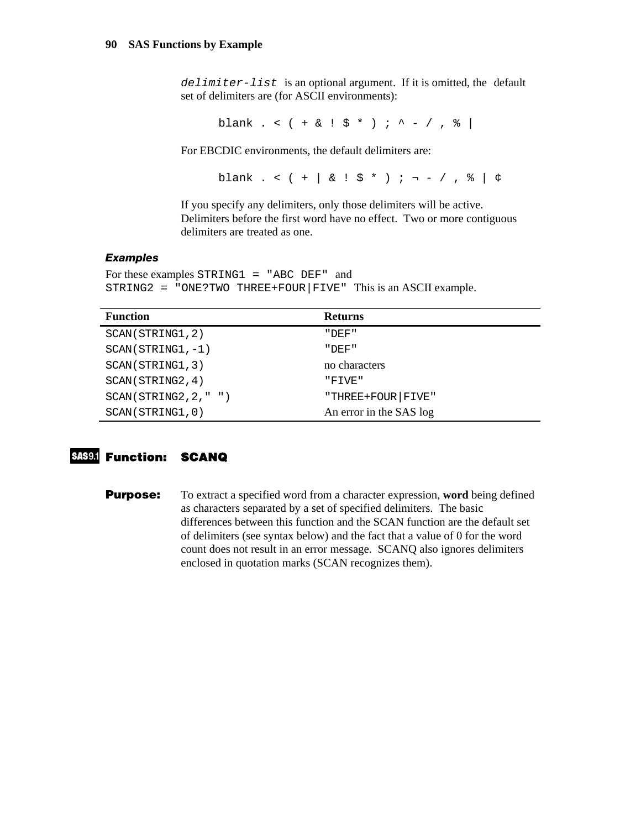*delimiter-list* is an optional argument. If it is omitted, the default set of delimiters are (for ASCII environments):

blank . < ( + & ! \$ \* ) ; ^ - / , % |

For EBCDIC environments, the default delimiters are:

blank . <  $( + | & | \xi | & | \xi * )$  ; ¬ - / ,  $\xi |$   $\phi$ 

If you specify any delimiters, only those delimiters will be active. Delimiters before the first word have no effect. Two or more contiguous delimiters are treated as one.

#### *Examples*

```
For these examples STRING1 = "ABC DEF" and
STRING2 = "ONE?TWO THREE+FOUR|FIVE" This is an ASCII example.
```

| <b>Function</b>        | <b>Returns</b>          |
|------------------------|-------------------------|
| SCAN(STRING1, 2)       | י החתר יי               |
| $SCAN(STRING1, -1)$    | "DEF"                   |
| SCAN(STRING1, 3)       | no characters           |
| SCAN(STRING2, 4)       | "FTVE"                  |
| SCAN(STRING2, 2, " " ) | "THREE+FOUR   FIVE"     |
| SCAN(STRING1,0)        | An error in the SAS log |

# **Function: SCANQ**

**Purpose:** To extract a specified word from a character expression, **word** being defined as characters separated by a set of specified delimiters. The basic differences between this function and the SCAN function are the default set of delimiters (see syntax below) and the fact that a value of 0 for the word count does not result in an error message. SCANQ also ignores delimiters enclosed in quotation marks (SCAN recognizes them).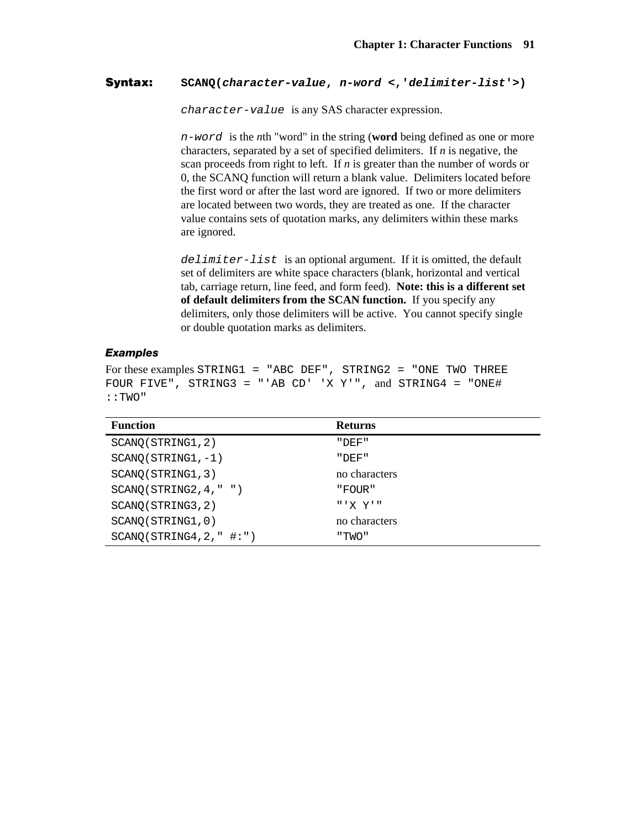### **Syntax: SCANQ(***character-value***,** *n-word* **<,'***delimiter-list***'>)**

*character-value* is any SAS character expression.

*n-word* is the *n*th "word" in the string (**word** being defined as one or more characters, separated by a set of specified delimiters. If *n* is negative, the scan proceeds from right to left. If *n* is greater than the number of words or 0, the SCANQ function will return a blank value. Delimiters located before the first word or after the last word are ignored. If two or more delimiters are located between two words, they are treated as one. If the character value contains sets of quotation marks, any delimiters within these marks are ignored.

*delimiter-list* is an optional argument. If it is omitted, the default set of delimiters are white space characters (blank, horizontal and vertical tab, carriage return, line feed, and form feed). **Note: this is a different set of default delimiters from the SCAN function.** If you specify any delimiters, only those delimiters will be active. You cannot specify single or double quotation marks as delimiters.

#### *Examples*

For these examples STRING1 = "ABC DEF", STRING2 = "ONE TWO THREE FOUR FIVE", STRING3 = "'AB  $CD'$  'X Y'", and STRING4 = "ONE# ::TWO"

| <b>Function</b>          | <b>Returns</b> |
|--------------------------|----------------|
| SCANQ(STRING1, 2)        | "DEF"          |
| $SCANQ (STRING1, -1)$    | "DEF"          |
| SCANQ(STRING1, 3)        | no characters  |
| SCANQ(STRING2, 4, " " )  | "FOUR"         |
| SCANQ(STRING3, 2)        | " 'X Y"        |
| SCANO (STRING1, 0)       | no characters  |
| SCANQ(STRING4, 2, " #:") | "TWO"          |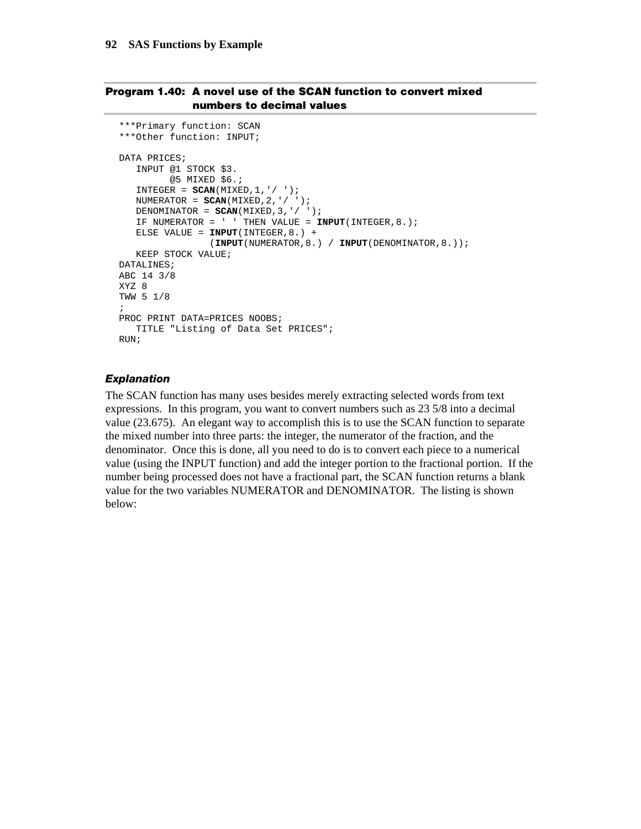### **Program 1.40: A novel use of the SCAN function to convert mixed numbers to decimal values**

```
***Primary function: SCAN 
***Other function: INPUT; 
DATA PRICES; 
    INPUT @1 STOCK $3. 
         @5 MIXED $6.; 
   INTEGR = SCAN(MIXED, 1, ' / '');
    NUMERATOR = SCAN(MIXED,2,'/ '); 
   DENOMINATOR = SCAN(MIXED, 3, ' / ' );
    IF NUMERATOR = ' ' THEN VALUE = INPUT(INTEGER,8.); 
    ELSE VALUE = INPUT(INTEGER,8.) + 
                 (INPUT(NUMERATOR,8.) / INPUT(DENOMINATOR,8.)); 
    KEEP STOCK VALUE; 
DATALINES; 
ABC 14 3/8 
XYZ 8 
TWW 5 1/8 
; 
PROC PRINT DATA=PRICES NOOBS;
    TITLE "Listing of Data Set PRICES"; 
RUN;
```
#### *Explanation*

The SCAN function has many uses besides merely extracting selected words from text expressions. In this program, you want to convert numbers such as 23 5/8 into a decimal value (23.675). An elegant way to accomplish this is to use the SCAN function to separate the mixed number into three parts: the integer, the numerator of the fraction, and the denominator. Once this is done, all you need to do is to convert each piece to a numerical value (using the INPUT function) and add the integer portion to the fractional portion. If the number being processed does not have a fractional part, the SCAN function returns a blank value for the two variables NUMERATOR and DENOMINATOR. The listing is shown below: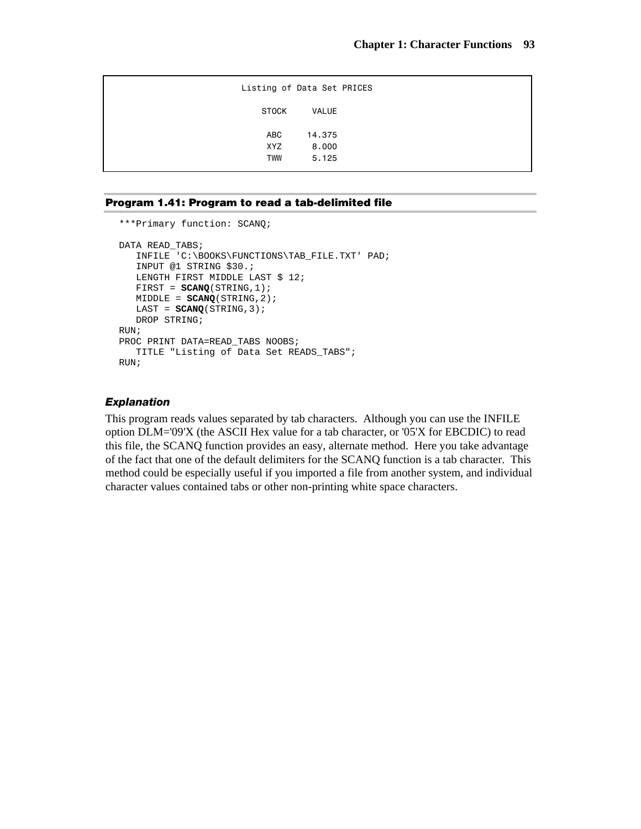| STOCK<br><b>VALUE</b><br>ABC<br>14.375<br>XYZ<br>8,000 |            | Listing of Data Set PRICES |  |
|--------------------------------------------------------|------------|----------------------------|--|
|                                                        |            |                            |  |
|                                                        |            |                            |  |
|                                                        | <b>TWW</b> | 5.125                      |  |

#### **Program 1.41: Program to read a tab-delimited file**

```
***Primary function: SCANQ; 
DATA READ_TABS; 
   INFILE 'C:\BOOKS\FUNCTIONS\TAB_FILE.TXT' PAD; 
    INPUT @1 STRING $30.; 
   LENGTH FIRST MIDDLE LAST $ 12;
    FIRST = SCANQ(STRING,1); 
    MIDDLE = SCANQ(STRING,2); 
    LAST = SCANQ(STRING,3); 
    DROP STRING; 
RUN; 
PROC PRINT DATA=READ_TABS NOOBS;
    TITLE "Listing of Data Set READS_TABS"; 
RUN;
```
#### *Explanation*

This program reads values separated by tab characters. Although you can use the INFILE option DLM='09'X (the ASCII Hex value for a tab character, or '05'X for EBCDIC) to read this file, the SCANQ function provides an easy, alternate method. Here you take advantage of the fact that one of the default delimiters for the SCANQ function is a tab character. This method could be especially useful if you imported a file from another system, and individual character values contained tabs or other non-printing white space characters.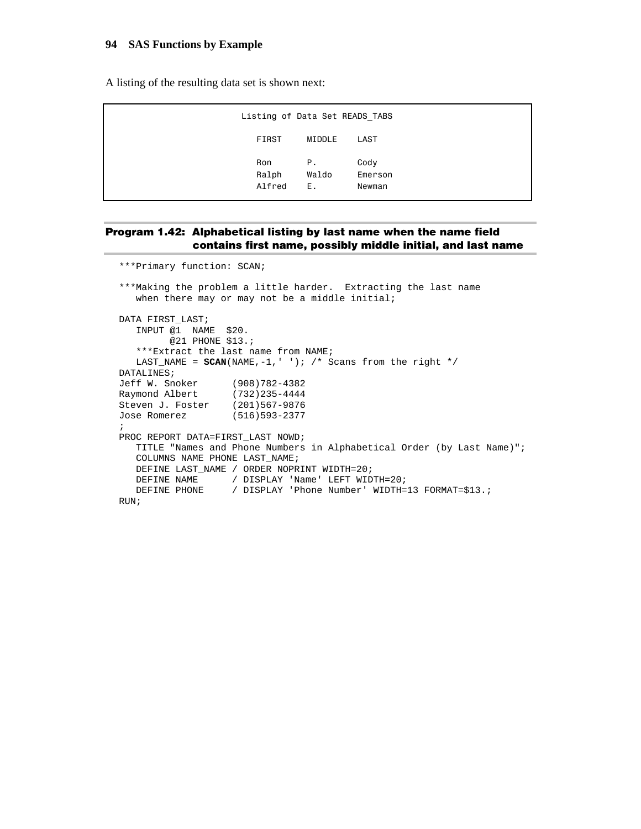A listing of the resulting data set is shown next:

| Listing of Data Set READS TABS |                    |                           |
|--------------------------------|--------------------|---------------------------|
| FIRST                          | MIDDLE             | LAST                      |
| Ron<br>Ralph<br>Alfred         | P.,<br>Waldo<br>Е. | Cody<br>Emerson<br>Newman |

#### **Program 1.42: Alphabetical listing by last name when the name field contains first name, possibly middle initial, and last name**

\*\*\*Primary function: SCAN; \*\*\*Making the problem a little harder. Extracting the last name when there may or may not be a middle initial; DATA FIRST\_LAST; INPUT @1 NAME \$20. @21 PHONE \$13.; \*\*\*Extract the last name from NAME; LAST\_NAME =  $SCAN(NAME, -1,' ' )$ ; /\* Scans from the right \*/ DATALINES; Jeff W. Snoker (908)782-4382 Raymond Albert (732)235-4444 Steven J. Foster (201)567-9876<br>Jose Romerez (516)593-2377 Jose Romerez ; PROC REPORT DATA=FIRST\_LAST NOWD; TITLE "Names and Phone Numbers in Alphabetical Order (by Last Name)"; COLUMNS NAME PHONE LAST\_NAME; DEFINE LAST\_NAME / ORDER NOPRINT WIDTH=20; DEFINE NAME / DISPLAY 'Name' LEFT WIDTH=20; DEFINE PHONE / DISPLAY 'Phone Number' WIDTH=13 FORMAT=\$13.; RUN;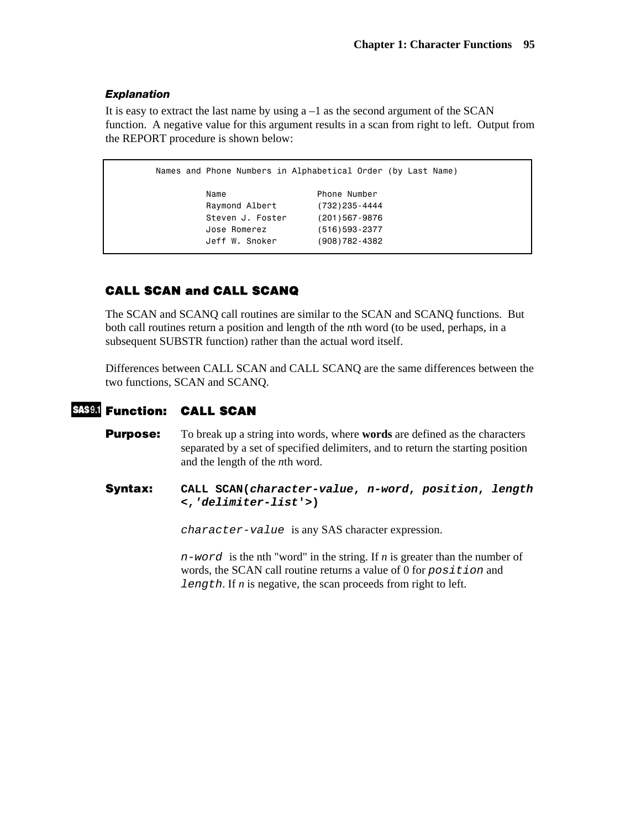#### *Explanation*

It is easy to extract the last name by using  $a - 1$  as the second argument of the SCAN function. A negative value for this argument results in a scan from right to left. Output from the REPORT procedure is shown below:

```
 Names and Phone Numbers in Alphabetical Order (by Last Name) 
        Name Number Phone Number
         Raymond Albert (732)235-4444 
         Steven J. Foster (201)567-9876 
         Jose Romerez (516)593-2377 
         Jeff W. Snoker (908)782-4382
```
# **CALL SCAN and CALL SCANQ**

The SCAN and SCANQ call routines are similar to the SCAN and SCANQ functions. But both call routines return a position and length of the *n*th word (to be used, perhaps, in a subsequent SUBSTR function) rather than the actual word itself.

Differences between CALL SCAN and CALL SCANQ are the same differences between the two functions, SCAN and SCANQ.

# **Function: CALL SCAN**

- **Purpose:** To break up a string into words, where **words** are defined as the characters separated by a set of specified delimiters, and to return the starting position and the length of the *n*th word.
- **Syntax: CALL SCAN(***character-value***,** *n-word***,** *position***,** *length* **<,***'delimiter-list***'>)**

*character-value* is any SAS character expression.

*n-word* is the nth "word" in the string. If *n* is greater than the number of words, the SCAN call routine returns a value of 0 for *position* and *length*. If *n* is negative, the scan proceeds from right to left.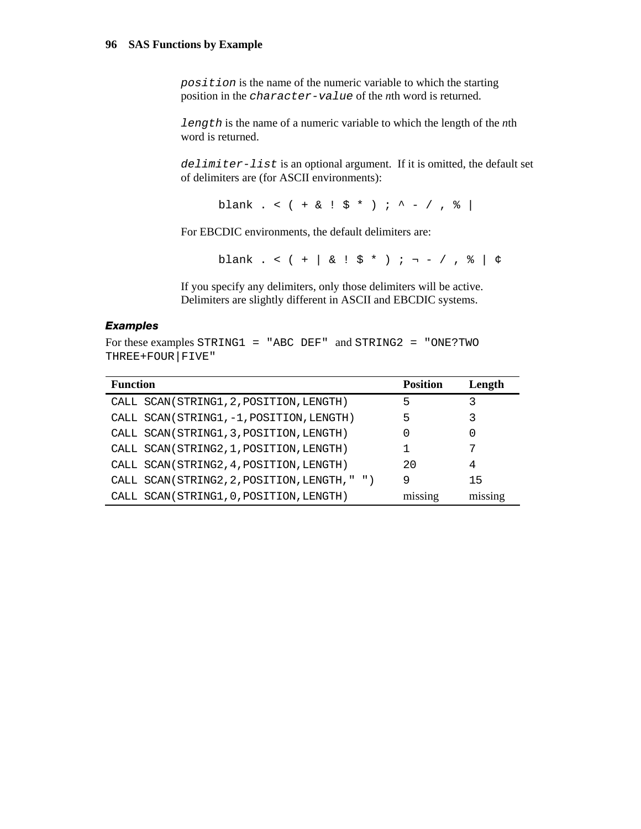*position* is the name of the numeric variable to which the starting position in the *character-value* of the *n*th word is returned.

*length* is the name of a numeric variable to which the length of the *n*th word is returned.

*delimiter-list* is an optional argument. If it is omitted, the default set of delimiters are (for ASCII environments):

blank . < ( + & ! \$ \* ) ; ^ - / , % |

For EBCDIC environments, the default delimiters are:

blank . <  $( + | & | \xi | & | \xi * )$  ;  $\neg - /$  ,  $\frac{1}{6} | & | \xi$ 

If you specify any delimiters, only those delimiters will be active. Delimiters are slightly different in ASCII and EBCDIC systems.

#### *Examples*

For these examples STRING1 = "ABC DEF" and STRING2 = "ONE?TWO THREE+FOUR|FIVE"

| <b>Function</b>                              | <b>Position</b> | Length  |
|----------------------------------------------|-----------------|---------|
| CALL SCAN(STRING1, 2, POSITION, LENGTH)      | 5               | 3       |
| CALL SCAN(STRING1, -1, POSITION, LENGTH)     | 5               |         |
| CALL SCAN(STRING1, 3, POSITION, LENGTH)      | O               | 0       |
| CALL SCAN(STRING2, 1, POSITION, LENGTH)      |                 |         |
| CALL SCAN(STRING2, 4, POSITION, LENGTH)      | 20              | 4       |
| CALL SCAN(STRING2, 2, POSITION, LENGTH, " ") | 9               | 15      |
| CALL SCAN(STRING1, 0, POSITION, LENGTH)      | missing         | missing |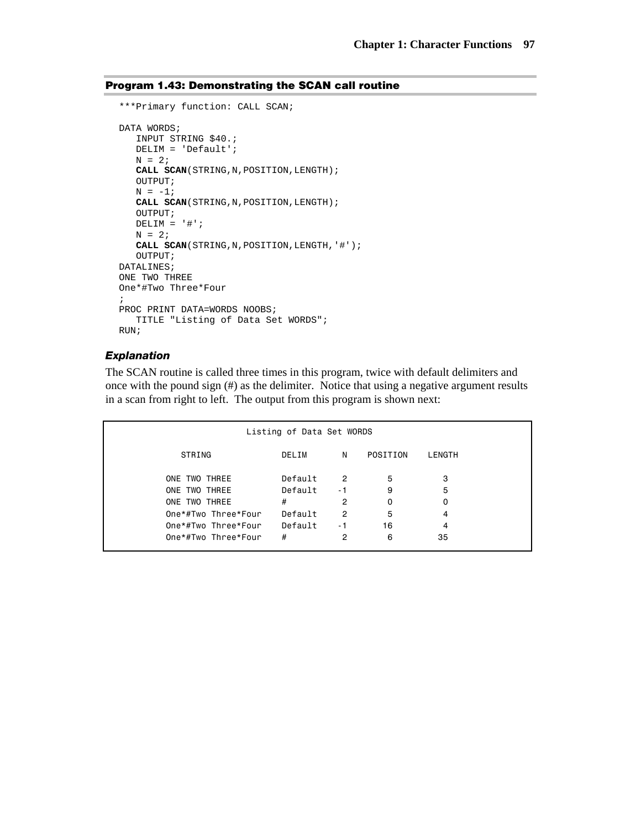# **Program 1.43: Demonstrating the SCAN call routine**

```
***Primary function: CALL SCAN; 
DATA WORDS;
    INPUT STRING $40.; 
    DELIM = 'Default'; 
   N = 2; CALL SCAN(STRING,N,POSITION,LENGTH); 
    OUTPUT; 
   N = -1; CALL SCAN(STRING,N,POSITION,LENGTH); 
    OUTPUT; 
   DELIM = '#';
  N = 2; CALL SCAN(STRING,N,POSITION,LENGTH,'#'); 
    OUTPUT; 
DATALINES; 
ONE TWO THREE 
One*#Two Three*Four 
; 
PROC PRINT DATA=WORDS NOOBS; 
    TITLE "Listing of Data Set WORDS"; 
RUN;
```
#### *Explanation*

The SCAN routine is called three times in this program, twice with default delimiters and once with the pound sign (#) as the delimiter. Notice that using a negative argument results in a scan from right to left. The output from this program is shown next:

| Listing of Data Set WORDS |         |                |          |        |
|---------------------------|---------|----------------|----------|--------|
| STRING                    | DELIM   | N              | POSITION | LENGTH |
| ONE TWO THREE             | Default | $\overline{2}$ | 5        | 3      |
| ONE TWO THREE             | Default | - 1            | 9        | 5      |
| ONE TWO THREE             | #       | 2              | 0        | 0      |
| One*#Two Three*Four       | Default | 2              | 5        | 4      |
| One*#Two Three*Four       | Default | - 1            | 16       | 4      |
| One*#Two Three*Four       | #       | 2              | 6        | 35     |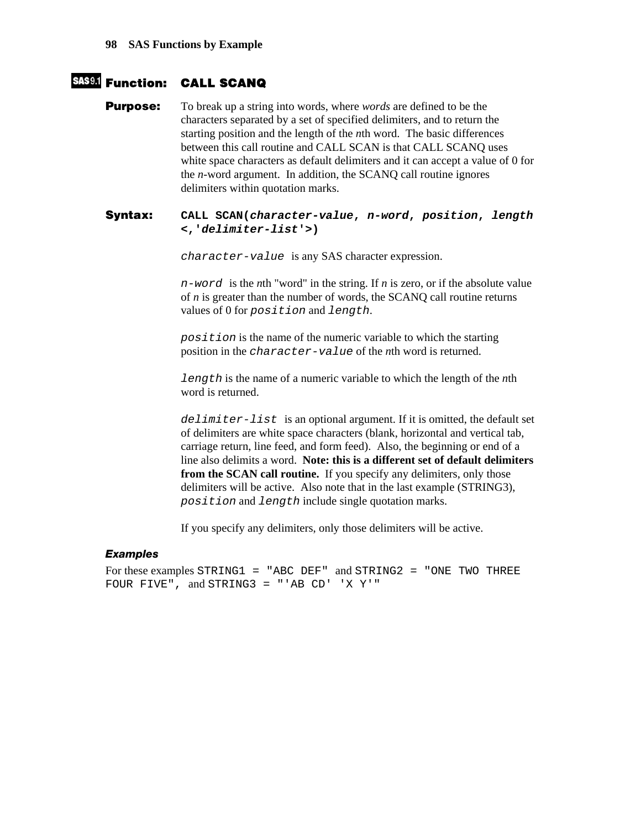# **Function: CALL SCANQ**

**Purpose:** To break up a string into words, where *words* are defined to be the characters separated by a set of specified delimiters, and to return the starting position and the length of the *n*th word. The basic differences between this call routine and CALL SCAN is that CALL SCANQ uses white space characters as default delimiters and it can accept a value of 0 for the *n*-word argument. In addition, the SCANQ call routine ignores delimiters within quotation marks.

#### **Syntax: CALL SCAN(***character-value***,** *n-word***,** *position***,** *length* **<,'***delimiter-list***'>)**

*character-value* is any SAS character expression.

*n-word* is the *n*th "word" in the string. If *n* is zero, or if the absolute value of *n* is greater than the number of words, the SCANQ call routine returns values of 0 for *position* and *length*.

*position* is the name of the numeric variable to which the starting position in the *character-value* of the *n*th word is returned.

*length* is the name of a numeric variable to which the length of the *n*th word is returned.

*delimiter-list* is an optional argument. If it is omitted, the default set of delimiters are white space characters (blank, horizontal and vertical tab, carriage return, line feed, and form feed). Also, the beginning or end of a line also delimits a word. **Note: this is a different set of default delimiters from the SCAN call routine.** If you specify any delimiters, only those delimiters will be active. Also note that in the last example (STRING3), *position* and *length* include single quotation marks.

If you specify any delimiters, only those delimiters will be active.

#### *Examples*

For these examples STRING1 = "ABC DEF" and STRING2 = "ONE TWO THREE FOUR FIVE", and STRING3 = "'AB CD' 'X Y'"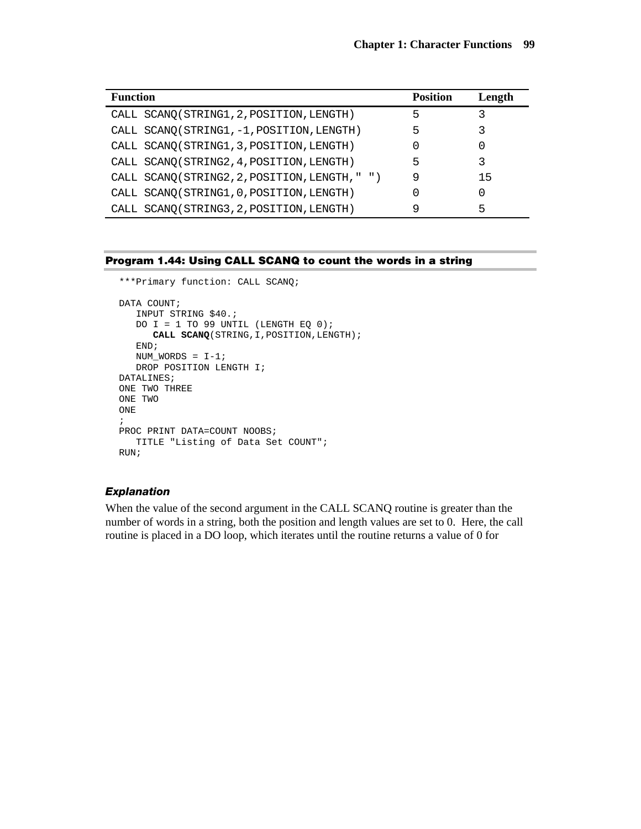| <b>Function</b>                               | <b>Position</b> | Length |
|-----------------------------------------------|-----------------|--------|
| CALL SCANQ(STRING1, 2, POSITION, LENGTH)      | 5               |        |
| CALL SCANQ(STRING1, -1, POSITION, LENGTH)     | 5               |        |
| CALL SCANQ(STRING1, 3, POSITION, LENGTH)      |                 |        |
| CALL SCANQ(STRING2, 4, POSITION, LENGTH)      | 5               |        |
| CALL SCANQ(STRING2, 2, POSITION, LENGTH, " ") | 9               | 15     |
| CALL SCANQ(STRING1, 0, POSITION, LENGTH)      |                 |        |
| CALL SCANQ(STRING3, 2, POSITION, LENGTH)      | 9               | 5      |

#### **Program 1.44: Using CALL SCANQ to count the words in a string**

```
***Primary function: CALL SCANQ; 
DATA COUNT;
   INPUT STRING $40.; 
   DO I = 1 TO 99 UNTIL (LENGTH EQ 0);
       CALL SCANQ(STRING,I,POSITION,LENGTH); 
    END; 
  NUM_WORDS = I-1;
   DROP POSITION LENGTH I; 
DATALINES; 
ONE TWO THREE 
ONE TWO 
ONE 
; 
PROC PRINT DATA=COUNT NOOBS; 
   TITLE "Listing of Data Set COUNT"; 
RUN;
```
#### *Explanation*

When the value of the second argument in the CALL SCANQ routine is greater than the number of words in a string, both the position and length values are set to 0. Here, the call routine is placed in a DO loop, which iterates until the routine returns a value of 0 for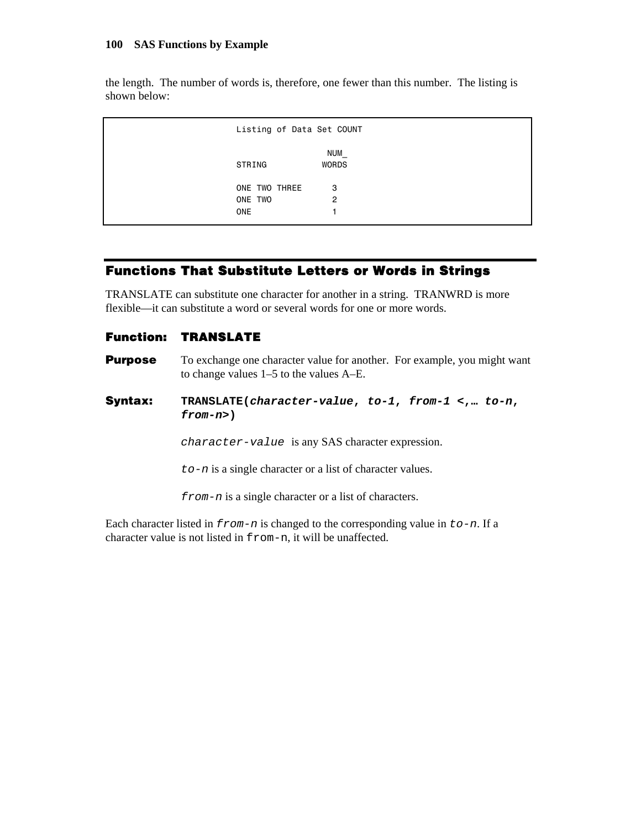the length. The number of words is, therefore, one fewer than this number. The listing is shown below:

```
 Listing of Data Set COUNT 
 NUM_ 
STRING WORDS
                                   ONE TWO THREE 3
                                   ONE TWO 2
one that the one of the state of the state of the state of the state of the state of the state of the state of the state of the state of the state of the state of the state of the state of the state of the state of the sta
```
# **Functions That Substitute Letters or Words in Strings**

TRANSLATE can substitute one character for another in a string. TRANWRD is more flexible—it can substitute a word or several words for one or more words.

# **Function: TRANSLATE**

- **Purpose** To exchange one character value for another. For example, you might want to change values 1–5 to the values A–E.
- **Syntax: TRANSLATE(***character-value***,** *to-1***,** *from-1* **<,…** *to-n***,**  *from-n***>)**

*character-value* is any SAS character expression.

*to-n* is a single character or a list of character values.

*from-n* is a single character or a list of characters.

Each character listed in *from-n* is changed to the corresponding value in *to-n*. If a character value is not listed in from-n, it will be unaffected.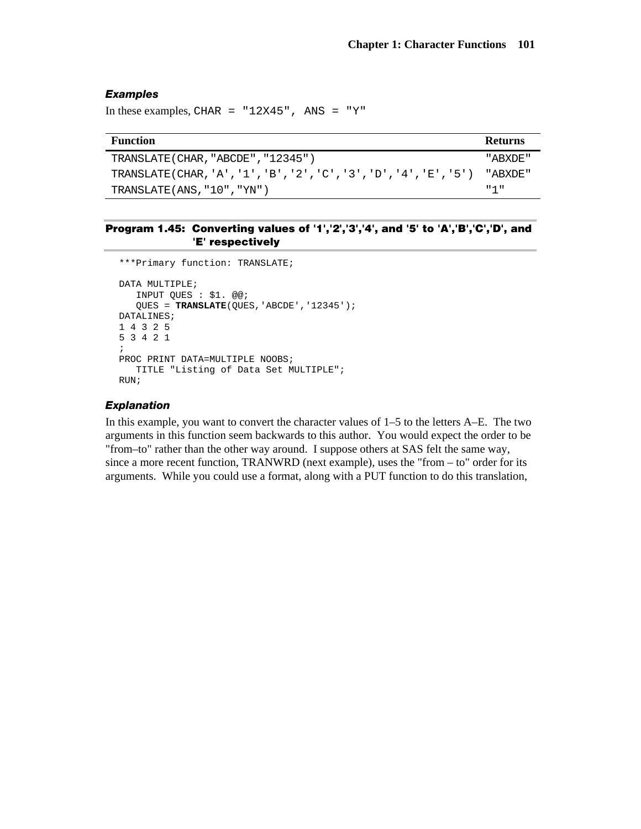#### *Examples*

In these examples, CHAR =  $"12X45"$ , ANS =  $"Y"$ 

| <b>Function</b>                                                   | <b>Returns</b> |
|-------------------------------------------------------------------|----------------|
| TRANSLATE (CHAR, "ABCDE", "12345")                                | " ABXDE"       |
| TRANSLATE(CHAR, 'A', '1', 'B', '2', 'C', '3', 'D', '4', 'E', '5') | " ABXDE"       |
| TRANSLATE $(ANS, "10", "YN")$                                     | 1111           |

#### **Program 1.45: Converting values of '1','2','3','4', and '5' to 'A','B','C','D', and 'E' respectively**

```
***Primary function: TRANSLATE; 
DATA MULTIPLE; 
   INPUT QUES : $1. @@; 
    QUES = TRANSLATE(QUES,'ABCDE','12345'); 
DATALINES; 
1 4 3 2 5 
5 3 4 2 1 
; 
PROC PRINT DATA=MULTIPLE NOOBS;
    TITLE "Listing of Data Set MULTIPLE"; 
RUN;
```
#### *Explanation*

In this example, you want to convert the character values of 1–5 to the letters A–E. The two arguments in this function seem backwards to this author. You would expect the order to be "from–to" rather than the other way around. I suppose others at SAS felt the same way, since a more recent function, TRANWRD (next example), uses the "from – to" order for its arguments. While you could use a format, along with a PUT function to do this translation,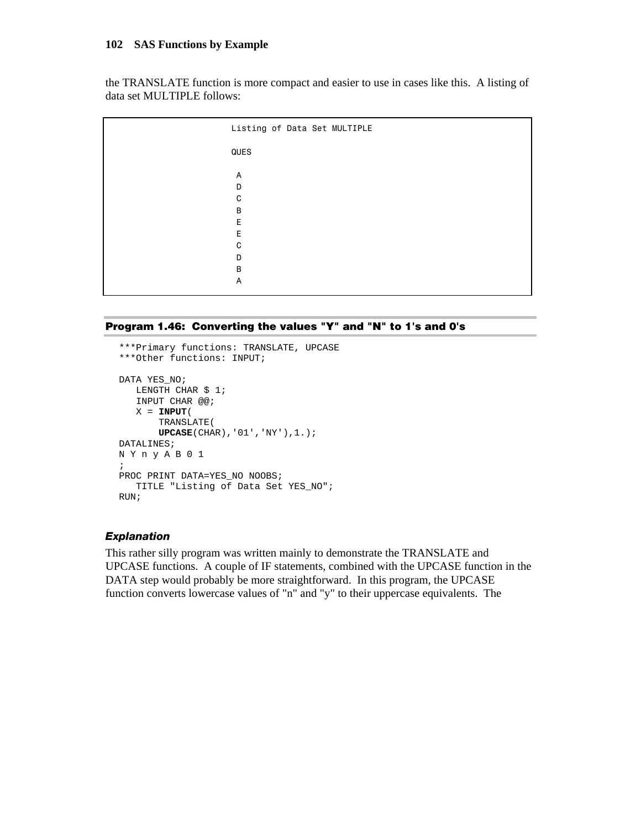the TRANSLATE function is more compact and easier to use in cases like this. A listing of data set MULTIPLE follows:

| Listing of Data Set MULTIPLE |
|------------------------------|
| QUES                         |
| Α<br>D<br>C<br>B             |
| E<br>E<br>C<br>D             |
| B<br>A                       |

```
Program 1.46: Converting the values "Y" and "N" to 1's and 0's
```

```
***Primary functions: TRANSLATE, UPCASE 
***Other functions: INPUT; 
DATA YES_NO; 
   LENGTH CHAR $ 1; 
   INPUT CHAR @@; 
   X = \text{INPUT}( TRANSLATE( 
        UPCASE(CHAR),'01','NY'),1.); 
DATALINES; 
N Y n y A B 0 1 
; 
PROC PRINT DATA=YES_NO NOOBS;
   TITLE "Listing of Data Set YES_NO"; 
RUN;
```
#### *Explanation*

This rather silly program was written mainly to demonstrate the TRANSLATE and UPCASE functions. A couple of IF statements, combined with the UPCASE function in the DATA step would probably be more straightforward. In this program, the UPCASE function converts lowercase values of "n" and "y" to their uppercase equivalents. The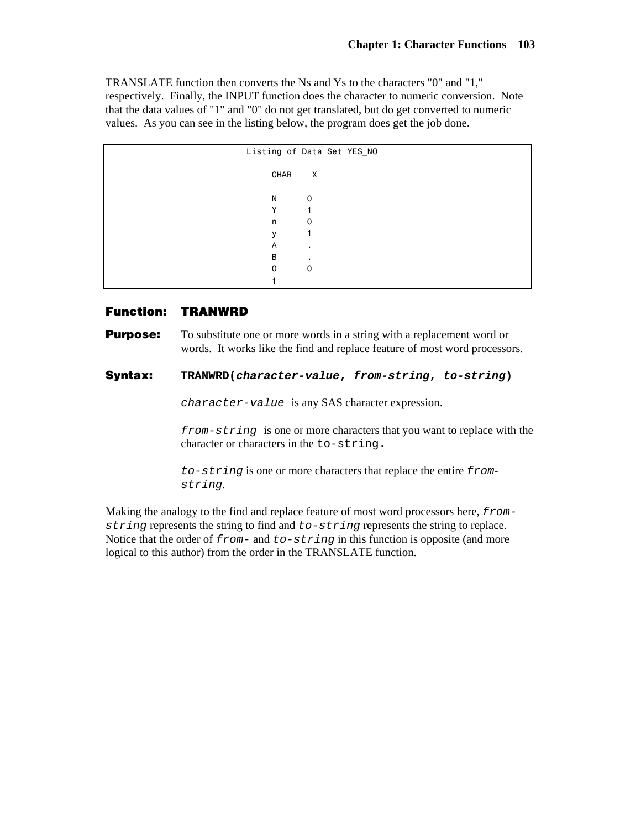TRANSLATE function then converts the Ns and Ys to the characters "0" and "1," respectively. Finally, the INPUT function does the character to numeric conversion. Note that the data values of "1" and "0" do not get translated, but do get converted to numeric values. As you can see in the listing below, the program does get the job done.

| Listing of Data Set YES_NO |
|----------------------------|
| $\mathsf{X}$               |
| 0                          |
|                            |
| 0                          |
|                            |
| ٠                          |
|                            |
| 0                          |
|                            |
|                            |

### **Function: TRANWRD**

**Purpose:** To substitute one or more words in a string with a replacement word or words. It works like the find and replace feature of most word processors.

## **Syntax: TRANWRD(***character-value***,** *from-string***,** *to-string***)**

*character-value* is any SAS character expression.

*from-string* is one or more characters that you want to replace with the character or characters in the to-string.

*to-string* is one or more characters that replace the entire *fromstring*.

Making the analogy to the find and replace feature of most word processors here, *fromstring* represents the string to find and *to-string* represents the string to replace. Notice that the order of *from-* and *to-string* in this function is opposite (and more logical to this author) from the order in the TRANSLATE function.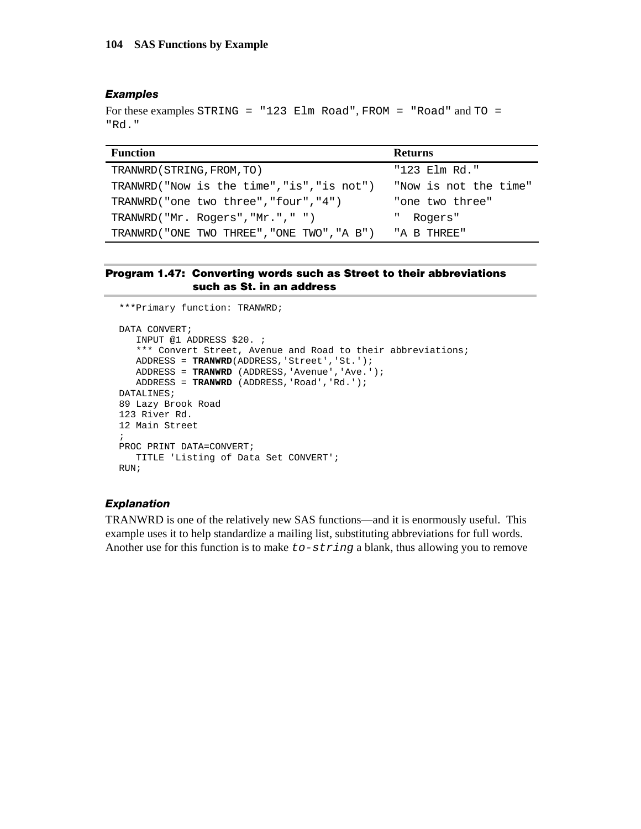#### *Examples*

```
For these examples STRING = "123 Elm Road", FROM = "Road" and TO = 
"Rd."
```

| <b>Function</b>                             | <b>Returns</b>        |
|---------------------------------------------|-----------------------|
| TRANWRD (STRING, FROM, TO)                  | "123 Elm Rd."         |
| TRANWRD("Now is the time","is","is not")    | "Now is not the time" |
| TRANWRD("one two three", "four", "4")       | "one two three"       |
| TRANWRD("Mr. Rogers","Mr.","")              | Ш.<br>Rogers"         |
| TRANWRD ("ONE TWO THREE", "ONE TWO", "A B") | "A B THREE"           |

#### **Program 1.47: Converting words such as Street to their abbreviations such as St. in an address**

```
***Primary function: TRANWRD; 
DATA CONVERT; 
   INPUT @1 ADDRESS $20. ; 
   *** Convert Street, Avenue and Road to their abbreviations;
  ADDRESS = TRANWRD(ADDRESS, 'Street', 'St.');
   ADDRESS = TRANWRD (ADDRESS,'Avenue','Ave.'); 
   ADDRESS = TRANWRD (ADDRESS,'Road','Rd.'); 
DATALINES; 
89 Lazy Brook Road 
123 River Rd. 
12 Main Street 
; 
PROC PRINT DATA=CONVERT; 
    TITLE 'Listing of Data Set CONVERT'; 
RIN;
```
#### *Explanation*

TRANWRD is one of the relatively new SAS functions—and it is enormously useful. This example uses it to help standardize a mailing list, substituting abbreviations for full words. Another use for this function is to make *to-string* a blank, thus allowing you to remove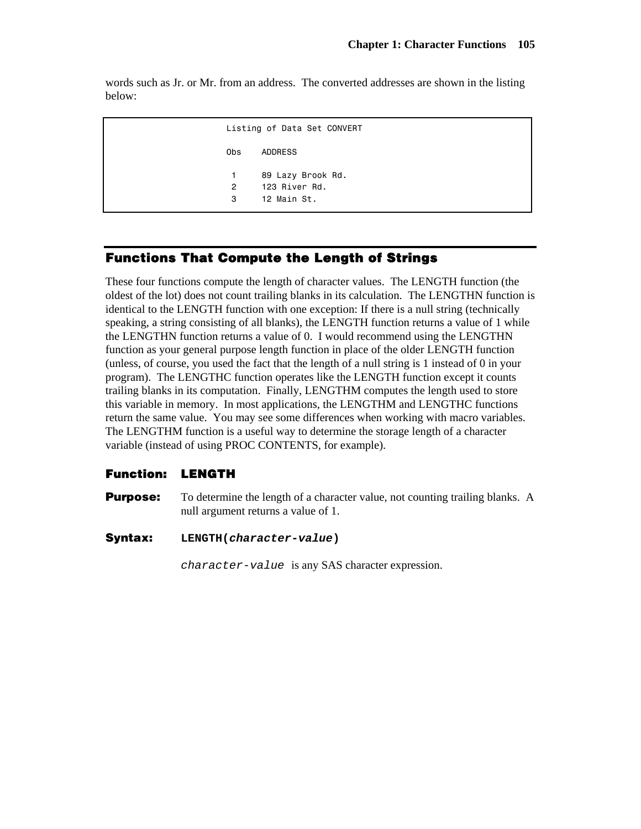words such as Jr. or Mr. from an address. The converted addresses are shown in the listing below:

 Listing of Data Set CONVERT Obs ADDRESS 1 89 Lazy Brook Rd. 2 123 River Rd. 3 12 Main St.

# **Functions That Compute the Length of Strings**

These four functions compute the length of character values. The LENGTH function (the oldest of the lot) does not count trailing blanks in its calculation. The LENGTHN function is identical to the LENGTH function with one exception: If there is a null string (technically speaking, a string consisting of all blanks), the LENGTH function returns a value of 1 while the LENGTHN function returns a value of 0. I would recommend using the LENGTHN function as your general purpose length function in place of the older LENGTH function (unless, of course, you used the fact that the length of a null string is 1 instead of 0 in your program). The LENGTHC function operates like the LENGTH function except it counts trailing blanks in its computation. Finally, LENGTHM computes the length used to store this variable in memory. In most applications, the LENGTHM and LENGTHC functions return the same value. You may see some differences when working with macro variables. The LENGTHM function is a useful way to determine the storage length of a character variable (instead of using PROC CONTENTS, for example).

## **Function: LENGTH**

- **Purpose:** To determine the length of a character value, not counting trailing blanks. A null argument returns a value of 1.
- **Syntax: LENGTH(***character-value***)**

*character-value* is any SAS character expression.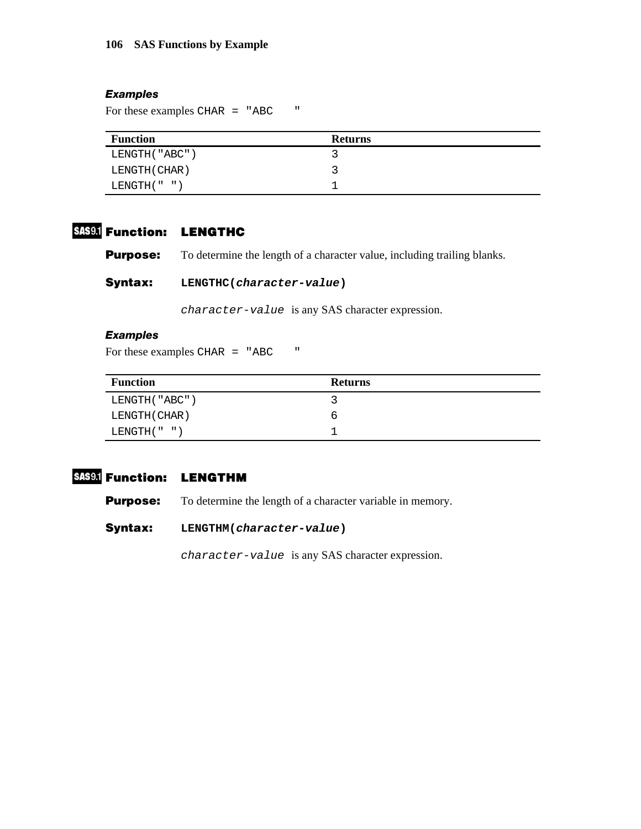#### *Examples*

For these examples CHAR = "ABC "

| <b>Function</b>  | <b>Returns</b> |
|------------------|----------------|
| LENGTH ( "ABC" ) |                |
| LENGTH ( CHAR )  |                |
| LENGTH(" " )     |                |

# **Function: LENGTHC**

**Purpose:** To determine the length of a character value, including trailing blanks.

# **Syntax: LENGTHC(***character-value***)**

*character-value* is any SAS character expression.

# *Examples*

For these examples CHAR = "ABC "

| <b>Function</b>  | <b>Returns</b> |
|------------------|----------------|
| LENGTH ( "ABC" ) |                |
| LENGTH ( CHAR )  | h              |
| LENGTH( " " )    |                |

# **Function: LENGTHM**

**Purpose:** To determine the length of a character variable in memory.

**Syntax: LENGTHM(***character-value***)** 

*character-value* is any SAS character expression.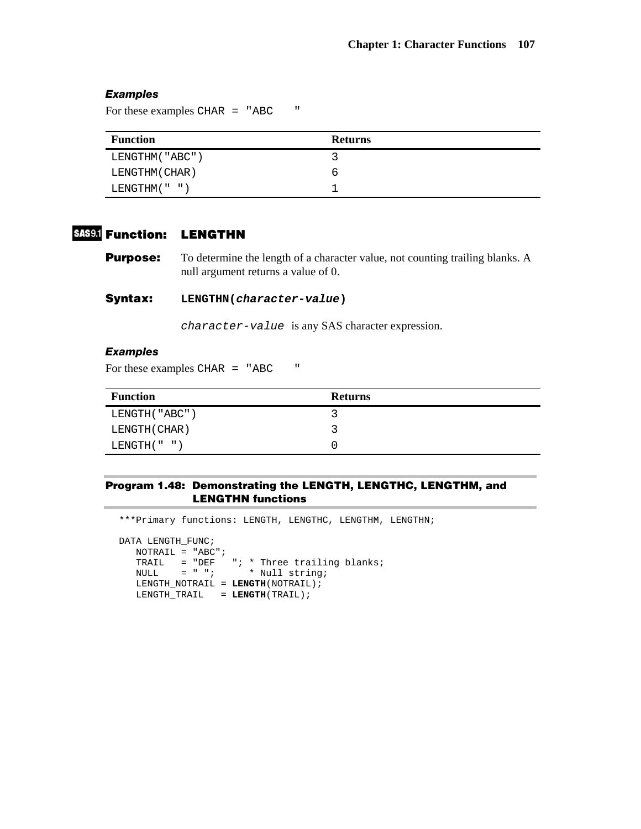#### *Examples*

For these examples CHAR = "ABC "

| <b>Function</b>   | <b>Returns</b> |
|-------------------|----------------|
| LENGTHM ( "ABC" ) |                |
| LENGTHM ( CHAR )  | b              |
| LENGTHM("")       |                |

# **Function: LENGTHN**

**Purpose:** To determine the length of a character value, not counting trailing blanks. A null argument returns a value of 0.

**Syntax: LENGTHN(***character-value***)** 

*character-value* is any SAS character expression.

#### *Examples*

For these examples CHAR = "ABC "

| <b>Function</b>  | <b>Returns</b> |  |  |  |
|------------------|----------------|--|--|--|
| LENGTH ( "ABC" ) |                |  |  |  |
| LENGTH ( CHAR )  |                |  |  |  |
| LENGTH( " " )    |                |  |  |  |

#### **Program 1.48: Demonstrating the LENGTH, LENGTHC, LENGTHM, and LENGTHN functions**

\*\*\*Primary functions: LENGTH, LENGTHC, LENGTHM, LENGTHN; DATA LENGTH\_FUNC; NOTRAIL = "ABC"; TRAIL = "DEF "; \* Three trailing blanks; NULL = " "; \* Null string; LENGTH\_NOTRAIL = **LENGTH**(NOTRAIL); LENGTH\_TRAIL = **LENGTH**(TRAIL);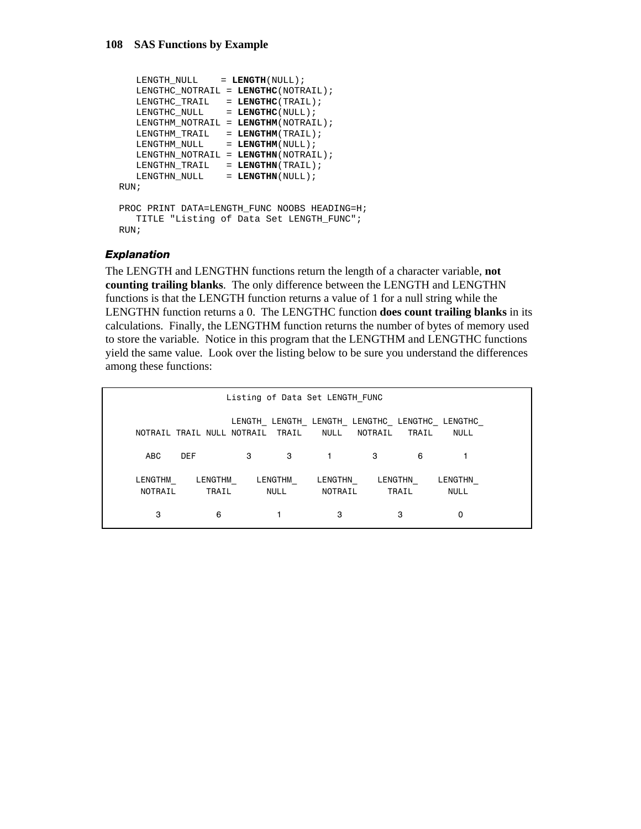```
LENGTH NULL = LENGTH(NULL);
    LENGTHC_NOTRAIL = LENGTHC(NOTRAIL); 
    LENGTHC_TRAIL = LENGTHC(TRAIL); 
   LENGTHC_NULL = LENGTHC(NULL);
    LENGTHM_NOTRAIL = LENGTHM(NOTRAIL); 
    LENGTHM_TRAIL = LENGTHM(TRAIL); 
   LENGTHM_NULL = LENGTHM(NULL);
    LENGTHN_NOTRAIL = LENGTHN(NOTRAIL); 
   \begin{tabular}{llcl} \multicolumn{2}{l}{{\bf \texttt{LENGTHN}}}\end{tabular} & = & \textbf{LEMGTHN} \end{tabular} (TRAIL) \label{eq:1}LENGTHN_NULL = LENGTHN(NULL);
RUN; 
PROC PRINT DATA=LENGTH_FUNC NOOBS HEADING=H; 
    TITLE "Listing of Data Set LENGTH_FUNC"; 
RUN;
```
#### *Explanation*

The LENGTH and LENGTHN functions return the length of a character variable, **not counting trailing blanks**. The only difference between the LENGTH and LENGTHN functions is that the LENGTH function returns a value of 1 for a null string while the LENGTHN function returns a 0. The LENGTHC function **does count trailing blanks** in its calculations. Finally, the LENGTHM function returns the number of bytes of memory used to store the variable. Notice in this program that the LENGTHM and LENGTHC functions yield the same value. Look over the listing below to be sure you understand the differences among these functions:

| Listing of Data Set LENGTH FUNC |            |                                  |                 |                                                      |         |       |                        |  |  |
|---------------------------------|------------|----------------------------------|-----------------|------------------------------------------------------|---------|-------|------------------------|--|--|
|                                 |            | NOTRAIL TRAIL NULL NOTRAIL TRAIL |                 | LENGTH LENGTH LENGTH LENGTHC LENGTHC LENGTHC<br>NULL | NOTRAIL | TRAIL | <b>NULL</b>            |  |  |
| <b>ABC</b>                      | <b>DEF</b> | 3                                | 3               |                                                      | 3       | 6     |                        |  |  |
| LENGTHM<br>NOTRAIL              |            | LENGTHM<br>TRAIL                 | LENGTHM<br>NULL | LENGTHN<br>NOTRAIL                                   | LENGTHN | TRAIL | LENGTHN<br><b>NULL</b> |  |  |
| 3                               |            | 6                                |                 | 3                                                    |         | 3     | 0                      |  |  |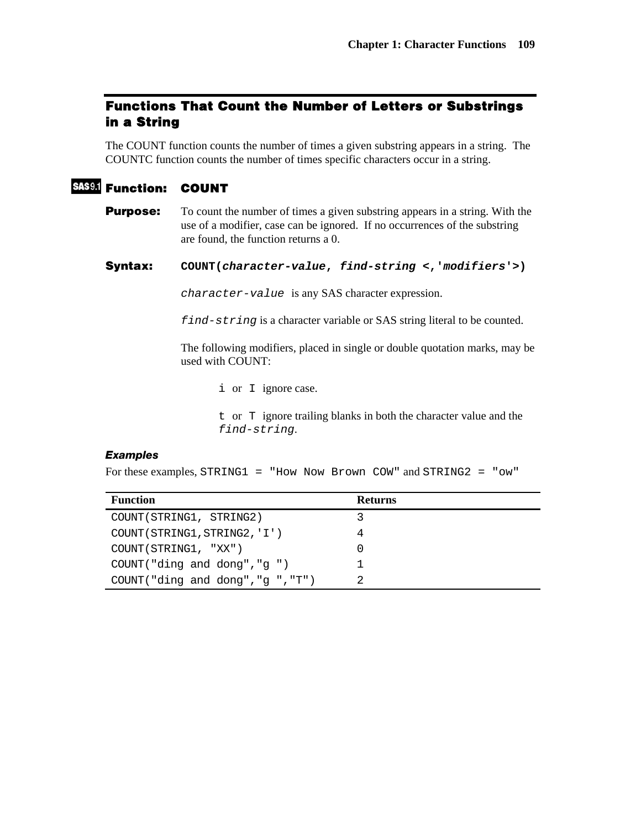# **Functions That Count the Number of Letters or Substrings in a String**

The COUNT function counts the number of times a given substring appears in a string. The COUNTC function counts the number of times specific characters occur in a string.

# **Function: COUNT**

**Purpose:** To count the number of times a given substring appears in a string. With the use of a modifier, case can be ignored. If no occurrences of the substring are found, the function returns a 0.

**Syntax: COUNT(***character-value***,** *find-string* **<,'***modifiers***'>)** 

*character-value* is any SAS character expression.

*find-string* is a character variable or SAS string literal to be counted.

The following modifiers, placed in single or double quotation marks, may be used with COUNT:

i or I ignore case.

t or T ignore trailing blanks in both the character value and the *find-string*.

### *Examples*

For these examples, STRING1 = "How Now Brown COW" and STRING2 = "ow"

| <b>Function</b>                | <b>Returns</b> |
|--------------------------------|----------------|
| COUNT (STRING1, STRING2)       |                |
| COUNT (STRING1, STRING2, 'I')  |                |
| COUNT (STRING1, "XX")          |                |
| COUNT("ding and dong", "g")    |                |
| COUNT("ding and dong","g","T") |                |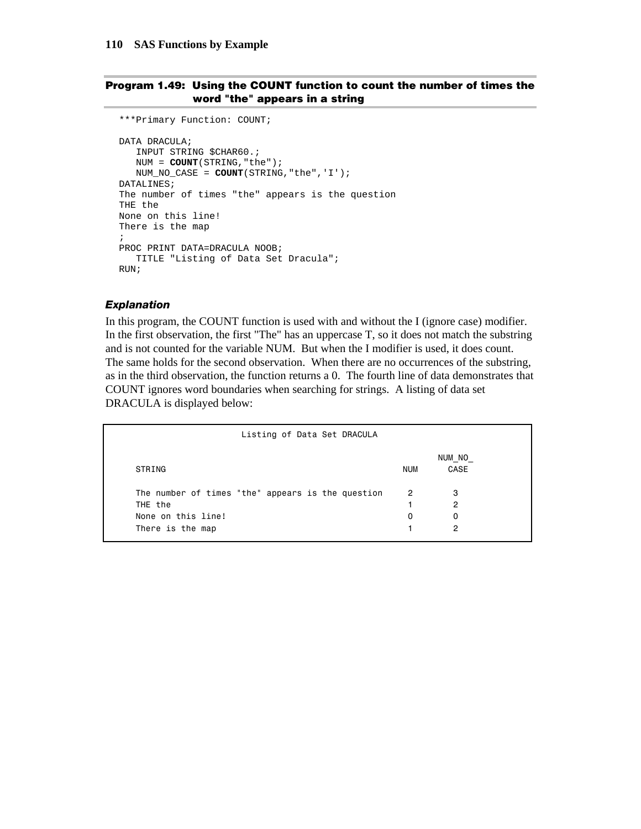### **Program 1.49: Using the COUNT function to count the number of times the word "the" appears in a string**

```
***Primary Function: COUNT; 
DATA DRACULA; 
   INPUT STRING $CHAR60.; 
    NUM = COUNT(STRING,"the"); 
    NUM_NO_CASE = COUNT(STRING,"the",'I'); 
DATALINES; 
The number of times "the" appears is the question 
THE the 
None on this line! 
There is the map 
; 
PROC PRINT DATA=DRACULA NOOB; 
    TITLE "Listing of Data Set Dracula"; 
RIIN;
```
### *Explanation*

In this program, the COUNT function is used with and without the I (ignore case) modifier. In the first observation, the first "The" has an uppercase T, so it does not match the substring and is not counted for the variable NUM. But when the I modifier is used, it does count. The same holds for the second observation. When there are no occurrences of the substring, as in the third observation, the function returns a 0. The fourth line of data demonstrates that COUNT ignores word boundaries when searching for strings. A listing of data set DRACULA is displayed below:

| Listing of Data Set DRACULA                       |                |                |  |
|---------------------------------------------------|----------------|----------------|--|
| STRING                                            | <b>NUM</b>     | NUM NO<br>CASE |  |
| The number of times "the" appears is the question | $\overline{2}$ | 3              |  |
| THE the                                           |                | 2              |  |
| None on this line!                                | 0              | 0              |  |
| There is the map                                  |                | 2              |  |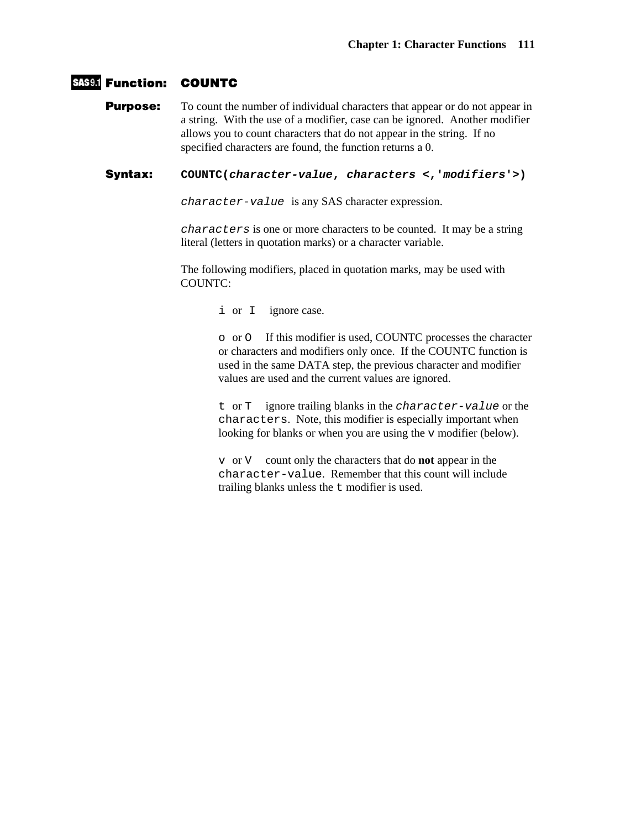## **Function: COUNTC**

**Purpose:** To count the number of individual characters that appear or do not appear in a string. With the use of a modifier, case can be ignored. Another modifier allows you to count characters that do not appear in the string. If no specified characters are found, the function returns a 0.

**Syntax: COUNTC(***character-value***,** *characters* **<,'***modifiers***'>)** 

*character-value* is any SAS character expression.

*characters* is one or more characters to be counted. It may be a string literal (letters in quotation marks) or a character variable.

The following modifiers, placed in quotation marks, may be used with COUNTC:

i or I ignore case.

o or O If this modifier is used, COUNTC processes the character or characters and modifiers only once. If the COUNTC function is used in the same DATA step, the previous character and modifier values are used and the current values are ignored.

t or T ignore trailing blanks in the *character-value* or the characters. Note, this modifier is especially important when looking for blanks or when you are using the v modifier (below).

v or V count only the characters that do **not** appear in the character-value. Remember that this count will include trailing blanks unless the t modifier is used.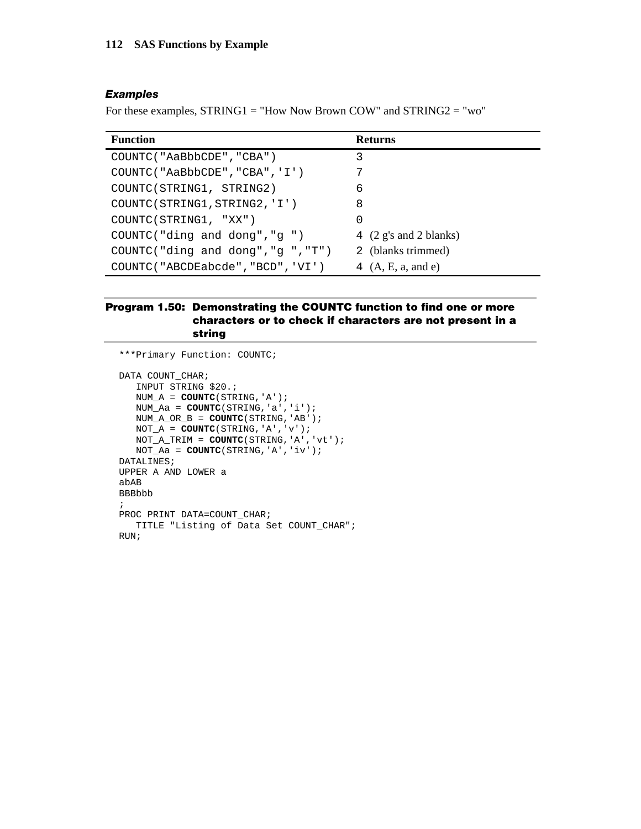#### *Examples*

For these examples, STRING1 = "How Now Brown COW" and STRING2 = "wo"

| <b>Function</b>                   | <b>Returns</b>                            |
|-----------------------------------|-------------------------------------------|
| COUNTC ("AaBbbCDE", "CBA")        | 3                                         |
| COUNTC("AaBbbCDE","CBA", 'I')     | 7                                         |
| COUNTC(STRING1, STRING2)          | 6                                         |
| COUNTC(STRING1, STRING2, 'I')     | 8                                         |
| COUNTC(STRING1, "XX")             | 0                                         |
| COUNTC("ding and dong","g")       | 4 $(2 \text{ g's and } 2 \text{ blanks})$ |
| COUNTC("ding and dong","g","T")   | 2 (blanks trimmed)                        |
| COUNTC("ABCDEabcde", "BCD", 'VI') | 4 $(A, E, a, and e)$                      |

## **Program 1.50: Demonstrating the COUNTC function to find one or more characters or to check if characters are not present in a string**

```
***Primary Function: COUNTC; 
DATA COUNT_CHAR;
    INPUT STRING $20.; 
    NUM_A = COUNTC(STRING,'A'); 
    NUM_Aa = COUNTC(STRING,'a','i'); 
   NUM_A_OR_B = COUNTC(STRING,'AB'); 
  \texttt{NOT\_A = COUNTC}(\texttt{STRING}, \texttt{'A'}, \texttt{'v'}); NOT_A_TRIM = COUNTC(STRING,'A','vt'); 
   NOT_Aa = COUNTC(STRING,'A','iv'); 
DATALINES; 
UPPER A AND LOWER a 
abAB 
BBBbbb 
; 
PROC PRINT DATA=COUNT_CHAR;
   TITLE "Listing of Data Set COUNT_CHAR"; 
RUN;
```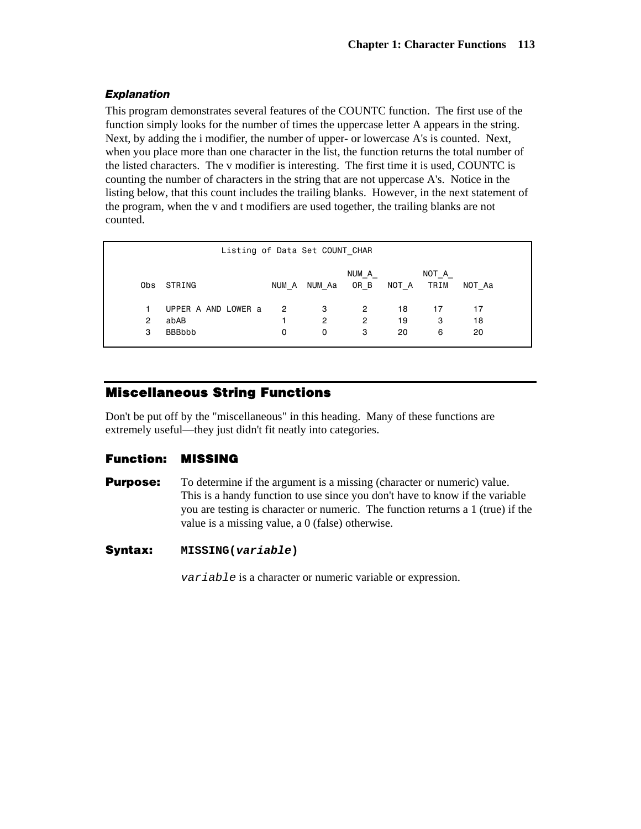## *Explanation*

This program demonstrates several features of the COUNTC function. The first use of the function simply looks for the number of times the uppercase letter A appears in the string. Next, by adding the i modifier, the number of upper- or lowercase A's is counted. Next, when you place more than one character in the list, the function returns the total number of the listed characters. The v modifier is interesting. The first time it is used, COUNTC is counting the number of characters in the string that are not uppercase A's. Notice in the listing below, that this count includes the trailing blanks. However, in the next statement of the program, when the v and t modifiers are used together, the trailing blanks are not counted.

|                | Listing of Data Set COUNT CHAR |                |                      |                |       |               |        |  |
|----------------|--------------------------------|----------------|----------------------|----------------|-------|---------------|--------|--|
|                | Obs STRING                     | NUM A          | NUM Aa               | NUM A<br>OR B  | NOT A | NOT A<br>TRIM | NOT Aa |  |
|                | UPPER A AND LOWER a            | $\overline{2}$ | 3                    | $\overline{2}$ | 18    | 17            | 17     |  |
| $\overline{2}$ | abAB                           |                | $\mathbf{2}^{\circ}$ | $\mathbf{2}$   | 19    | 3             | 18     |  |
| 3              | <b>BBBbbb</b>                  | 0              | 0                    | 3              | 20    | 6             | 20     |  |
|                |                                |                |                      |                |       |               |        |  |

# **Miscellaneous String Functions**

Don't be put off by the "miscellaneous" in this heading. Many of these functions are extremely useful—they just didn't fit neatly into categories.

## **Function: MISSING**

**Purpose:** To determine if the argument is a missing (character or numeric) value. This is a handy function to use since you don't have to know if the variable you are testing is character or numeric. The function returns a 1 (true) if the value is a missing value, a 0 (false) otherwise.

## **Syntax: MISSING(***variable***)**

*variable* is a character or numeric variable or expression.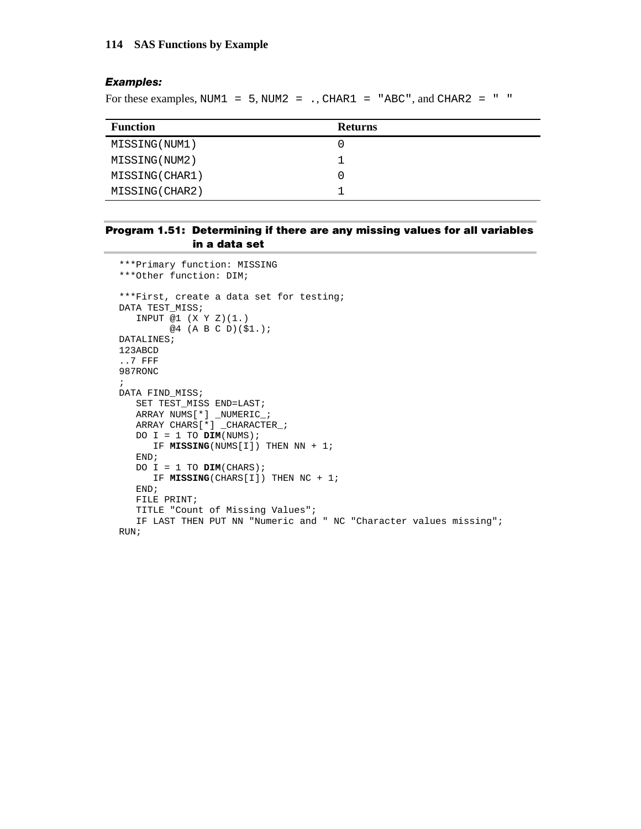#### **114 SAS Functions by Example**

#### *Examples:*

For these examples, NUM1 =  $5$ , NUM2 = ., CHAR1 = "ABC", and CHAR2 = " "

| <b>Function</b> | <b>Returns</b> |
|-----------------|----------------|
| MISSING (NUM1)  |                |
| MISSING (NUM2)  |                |
| MISSING (CHAR1) |                |
| MISSING (CHAR2) |                |

#### **Program 1.51: Determining if there are any missing values for all variables in a data set**

```
***Primary function: MISSING 
***Other function: DIM; 
***First, create a data set for testing; 
DATA TEST_MISS; 
   INPUT @1 (X Y Z)(1.) 
         @4 (A B C D)($1.); 
DATALINES; 
123ABCD 
..7 FFF 
987RONC 
; 
DATA FIND_MISS; 
    SET TEST_MISS END=LAST; 
    ARRAY NUMS[*] _NUMERIC_; 
    ARRAY CHARS[*] _CHARACTER_; 
  DO I = 1 TO Dim(NUMS);
       IF MISSING(NUMS[I]) THEN NN + 1; 
    END; 
    DO I = 1 TO DIM(CHARS); 
       IF MISSING(CHARS[I]) THEN NC + 1; 
    END; 
    FILE PRINT; 
    TITLE "Count of Missing Values"; 
    IF LAST THEN PUT NN "Numeric and " NC "Character values missing"; 
RUN;
```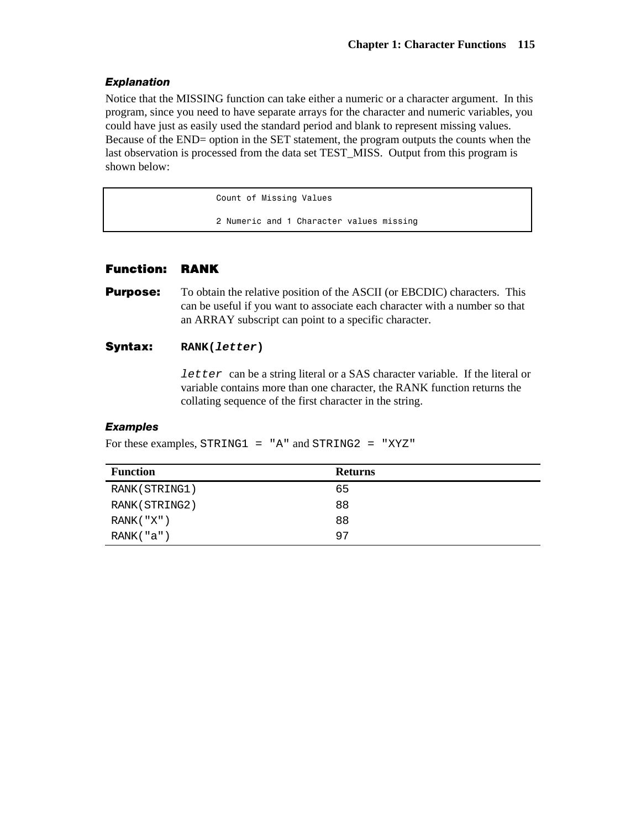## *Explanation*

Notice that the MISSING function can take either a numeric or a character argument. In this program, since you need to have separate arrays for the character and numeric variables, you could have just as easily used the standard period and blank to represent missing values. Because of the END= option in the SET statement, the program outputs the counts when the last observation is processed from the data set TEST\_MISS. Output from this program is shown below:

Count of Missing Values

2 Numeric and 1 Character values missing

## **Function: RANK**

**Purpose:** To obtain the relative position of the ASCII (or EBCDIC) characters. This can be useful if you want to associate each character with a number so that an ARRAY subscript can point to a specific character.

## **Syntax: RANK(***letter***)**

*letter* can be a string literal or a SAS character variable. If the literal or variable contains more than one character, the RANK function returns the collating sequence of the first character in the string.

## *Examples*

For these examples, STRING1 = "A" and STRING2 = "XYZ"

| <b>Function</b> | <b>Returns</b> |
|-----------------|----------------|
| RANK (STRING1)  | 65             |
| RANK (STRING2)  | 88             |
| RANK('X")       | 88             |
| RANK("a")       | 97             |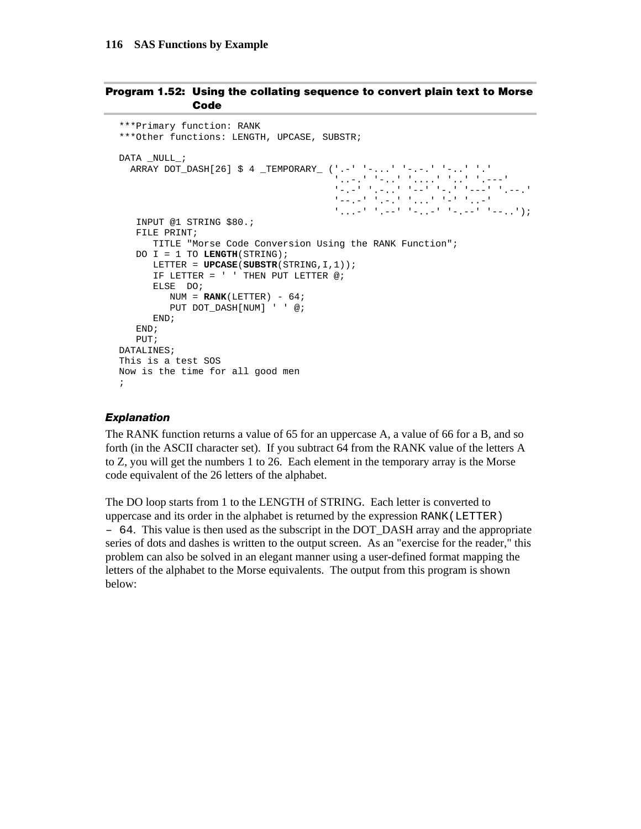#### **Program 1.52: Using the collating sequence to convert plain text to Morse Code**

```
***Primary function: RANK 
***Other functions: LENGTH, UPCASE, SUBSTR; 
DATA NULL ;
   ARRAY DOT_DASH[26] $ 4 _TEMPORARY_ ('.-' '-...' '-.-.' '-..' '.' 
                                          '..-.' '-..' '....' '..' '.---' 
                                          '-.-' '.-..' '--' '-.' '---' '.--.' 
                                         1-1-1 '...' 1-1' 1-1' 1-1' 1-1' 1-1 '...-' '.--' '-..-' '-.--' '--..'); 
    INPUT @1 STRING $80.; 
    FILE PRINT; 
       TITLE "Morse Code Conversion Using the RANK Function"; 
    DO I = 1 TO LENGTH(STRING); 
       LETTER = UPCASE(SUBSTR(STRING,I,1)); 
       IF LETTER = ' ' THEN PUT LETTER @; 
       ELSE DO; 
        NUM = RANK(LETTER) - 64; PUT DOT_DASH[NUM] ' ' @; 
       END; 
    END; 
    PUT; 
DATALINES; 
This is a test SOS 
Now is the time for all good men 
;
```
## *Explanation*

The RANK function returns a value of 65 for an uppercase A, a value of 66 for a B, and so forth (in the ASCII character set). If you subtract 64 from the RANK value of the letters A to Z, you will get the numbers 1 to 26. Each element in the temporary array is the Morse code equivalent of the 26 letters of the alphabet.

The DO loop starts from 1 to the LENGTH of STRING. Each letter is converted to uppercase and its order in the alphabet is returned by the expression RANK(LETTER) – 64. This value is then used as the subscript in the DOT\_DASH array and the appropriate series of dots and dashes is written to the output screen. As an "exercise for the reader," this problem can also be solved in an elegant manner using a user-defined format mapping the letters of the alphabet to the Morse equivalents. The output from this program is shown below: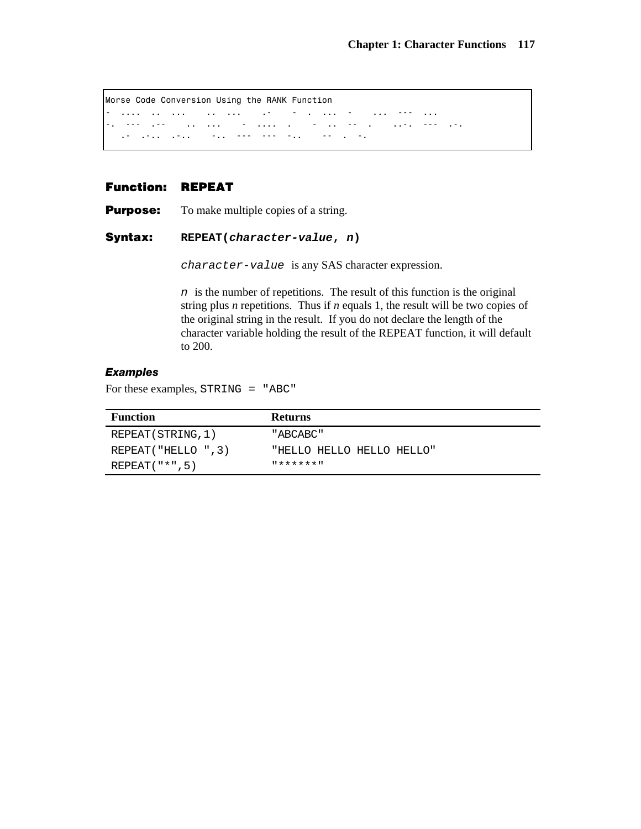Morse Code Conversion Using the RANK Function - .... .. ... .. ... .- - . ... - ... --- ... لوفي العجم الوفيين المناد العامل المناد المناد المناد المناد المناد المناد المناد المناد المعادل المعادلين .- .-.. .-.. -.. --- --- -.. -- . -.

## **Function: REPEAT**

**Purpose:** To make multiple copies of a string.

**Syntax: REPEAT(***character-value***,** *n***)** 

*character-value* is any SAS character expression.

*n* is the number of repetitions. The result of this function is the original string plus *n* repetitions. Thus if *n* equals 1, the result will be two copies of the original string in the result. If you do not declare the length of the character variable holding the result of the REPEAT function, it will default to 200.

#### *Examples*

For these examples, STRING = "ABC"

| <b>Function</b>      | <b>Returns</b>            |
|----------------------|---------------------------|
| REPEAT (STRING, 1)   | "ABCABC"                  |
| REPEAT ("HELLO ", 3) | "HELLO HELLO HELLO HELLO" |
| $REPEAT("*", 5)$     | *******                   |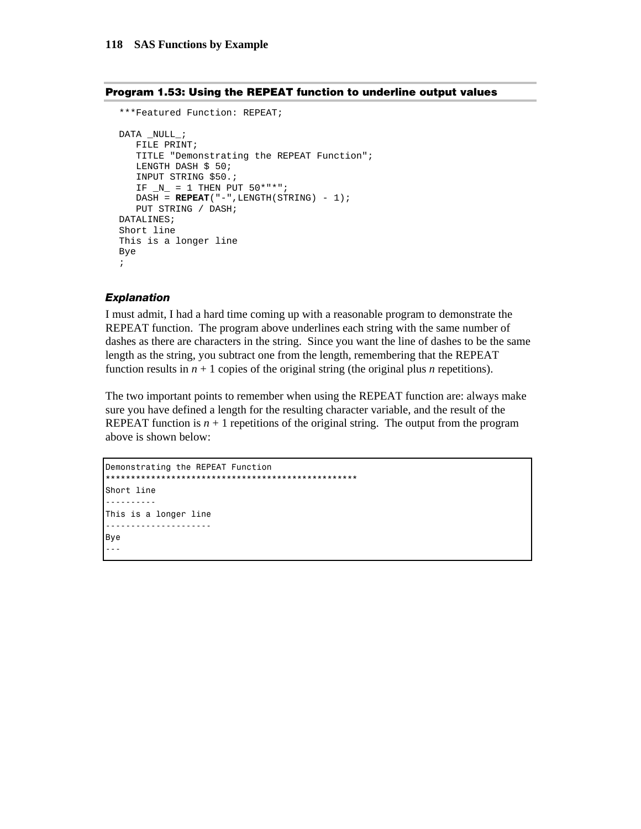#### **Program 1.53: Using the REPEAT function to underline output values**

```
***Featured Function: REPEAT; 
DATA _NULL_; 
   FILE PRINT; 
    TITLE "Demonstrating the REPEAT Function"; 
   LENGTH DASH $ 50;
    INPUT STRING $50.; 
   IF _N = 1 THEN PUT 50***;
   DASH = REPERT("--], LENGTH(STRING) - 1); PUT STRING / DASH; 
DATALINES; 
Short line 
This is a longer line 
Bye 
;
```
#### *Explanation*

I must admit, I had a hard time coming up with a reasonable program to demonstrate the REPEAT function. The program above underlines each string with the same number of dashes as there are characters in the string. Since you want the line of dashes to be the same length as the string, you subtract one from the length, remembering that the REPEAT function results in  $n + 1$  copies of the original string (the original plus *n* repetitions).

The two important points to remember when using the REPEAT function are: always make sure you have defined a length for the resulting character variable, and the result of the REPEAT function is  $n + 1$  repetitions of the original string. The output from the program above is shown below:

```
Demonstrating the REPEAT Function 
                       *************************************
Short line 
---------- 
This is a longer line 
--------------------- 
Bye 
---
```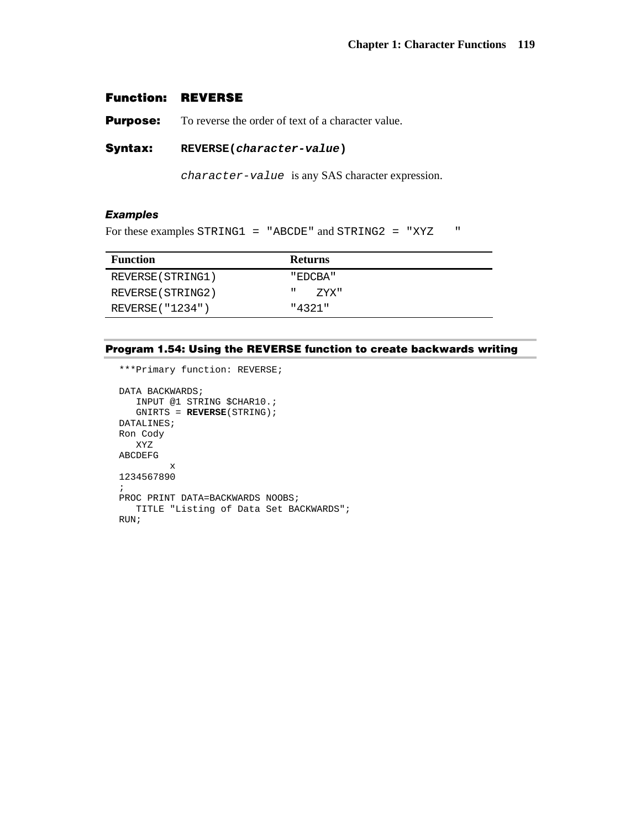### **Function: REVERSE**

**Purpose:** To reverse the order of text of a character value.

**Syntax: REVERSE(***character-value***)**

*character-value* is any SAS character expression.

### *Examples*

For these examples STRING1 = "ABCDE" and STRING2 = "XYZ "

| <b>Function</b>   | <b>Returns</b> |
|-------------------|----------------|
| REVERSE (STRING1) | " EDCBA"       |
| REVERSE (STRING2) | ш<br>7.YX "    |
| REVERSE ( "1234") | "4321"         |

#### **Program 1.54: Using the REVERSE function to create backwards writing**

```
***Primary function: REVERSE; 
DATA BACKWARDS;
   INPUT @1 STRING $CHAR10.; 
   GNIRTS = REVERSE(STRING); 
DATALINES; 
Ron Cody 
   XYZ 
ABCDEFG 
          x 
1234567890 
; 
PROC PRINT DATA=BACKWARDS NOOBS;
   TITLE "Listing of Data Set BACKWARDS"; 
RUN;
```